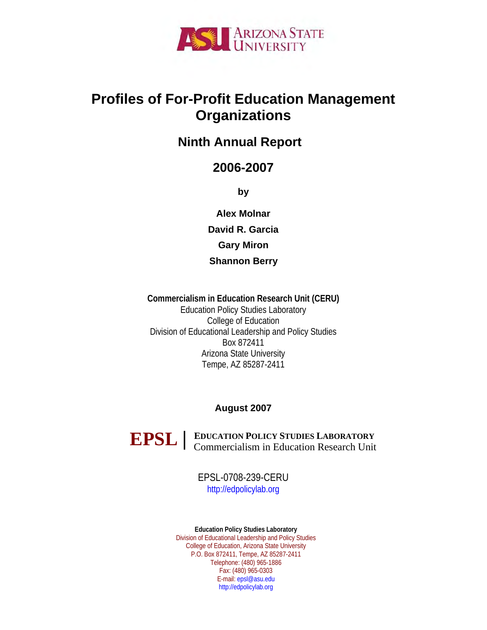

# **Profiles of For-Profit Education Management Organizations**

# **Ninth Annual Report**

# **2006-2007**

**by** 

**Alex Molnar David R. Garcia Gary Miron Shannon Berry**

**Commercialism in Education Research Unit (CERU)**  Education Policy Studies Laboratory College of Education Division of Educational Leadership and Policy Studies Box 872411 Arizona State University Tempe, AZ 85287-2411

# **August 2007**



**EDUCATION POLICY STUDIES LABORATORY EPSL** EDUCATION POLICY STUDIES LABORATORY<br>
Commercialism in Education Research Unit

> EPSL-0708-239-CERU [http://edpolicylab.org](http://edpolicylab.org/)

**Education Policy Studies Laboratory**  Division of Educational Leadership and Policy Studies College of Education, Arizona State University P.O. Box 872411, Tempe, AZ 85287-2411 Telephone: (480) 965-1886 Fax: (480) 965-0303 E-mail: [epsl@asu.edu](mailto:epsl@asu.edu) [http://edpolicylab.org](http://edpolicylab.org/)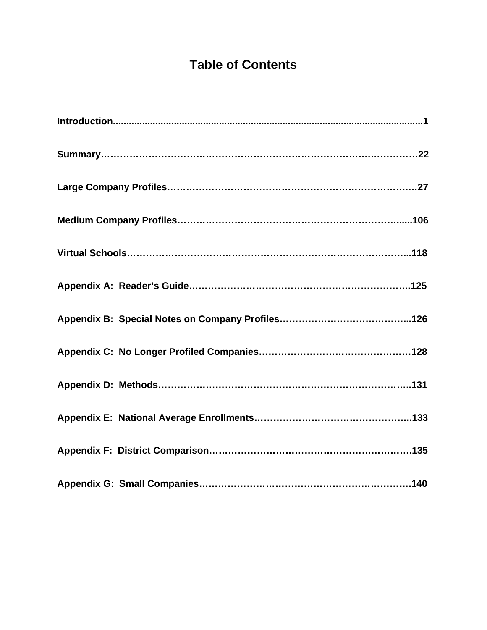# **Table of Contents**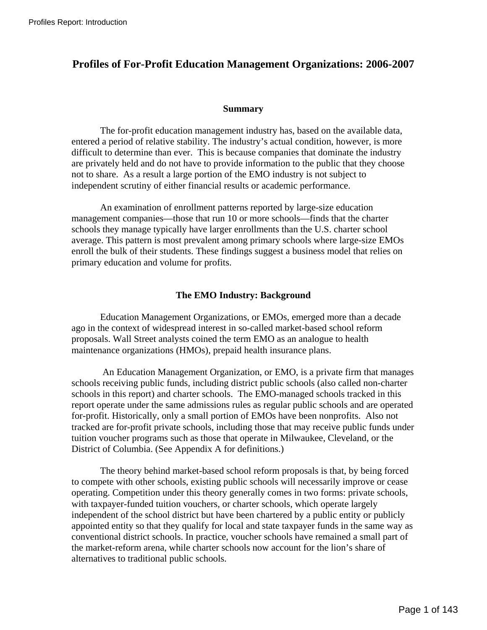# **Profiles of For-Profit Education Management Organizations: 2006-2007**

### **Summary**

The for-profit education management industry has, based on the available data, entered a period of relative stability. The industry's actual condition, however, is more difficult to determine than ever. This is because companies that dominate the industry are privately held and do not have to provide information to the public that they choose not to share. As a result a large portion of the EMO industry is not subject to independent scrutiny of either financial results or academic performance.

An examination of enrollment patterns reported by large-size education management companies—those that run 10 or more schools—finds that the charter schools they manage typically have larger enrollments than the U.S. charter school average. This pattern is most prevalent among primary schools where large-size EMOs enroll the bulk of their students. These findings suggest a business model that relies on primary education and volume for profits.

## **The EMO Industry: Background**

Education Management Organizations, or EMOs, emerged more than a decade ago in the context of widespread interest in so-called market-based school reform proposals. Wall Street analysts coined the term EMO as an analogue to health maintenance organizations (HMOs), prepaid health insurance plans.

 An Education Management Organization, or EMO, is a private firm that manages schools receiving public funds, including district public schools (also called non-charter schools in this report) and charter schools. The EMO-managed schools tracked in this report operate under the same admissions rules as regular public schools and are operated for-profit. Historically, only a small portion of EMOs have been nonprofits. Also not tracked are for-profit private schools, including those that may receive public funds under tuition voucher programs such as those that operate in Milwaukee, Cleveland, or the District of Columbia. (See Appendix A for definitions.)

The theory behind market-based school reform proposals is that, by being forced to compete with other schools, existing public schools will necessarily improve or cease operating. Competition under this theory generally comes in two forms: private schools, with taxpayer-funded tuition vouchers, or charter schools, which operate largely independent of the school district but have been chartered by a public entity or publicly appointed entity so that they qualify for local and state taxpayer funds in the same way as conventional district schools. In practice, voucher schools have remained a small part of the market-reform arena, while charter schools now account for the lion's share of alternatives to traditional public schools.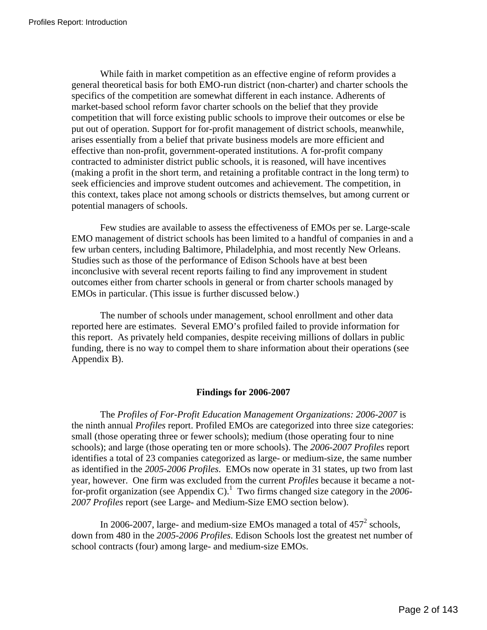While faith in market competition as an effective engine of reform provides a general theoretical basis for both EMO-run district (non-charter) and charter schools the specifics of the competition are somewhat different in each instance. Adherents of market-based school reform favor charter schools on the belief that they provide competition that will force existing public schools to improve their outcomes or else be put out of operation. Support for for-profit management of district schools, meanwhile, arises essentially from a belief that private business models are more efficient and effective than non-profit, government-operated institutions. A for-profit company contracted to administer district public schools, it is reasoned, will have incentives (making a profit in the short term, and retaining a profitable contract in the long term) to seek efficiencies and improve student outcomes and achievement. The competition, in this context, takes place not among schools or districts themselves, but among current or potential managers of schools.

Few studies are available to assess the effectiveness of EMOs per se. Large-scale EMO management of district schools has been limited to a handful of companies in and a few urban centers, including Baltimore, Philadelphia, and most recently New Orleans. Studies such as those of the performance of Edison Schools have at best been inconclusive with several recent reports failing to find any improvement in student outcomes either from charter schools in general or from charter schools managed by EMOs in particular. (This issue is further discussed below.)

The number of schools under management, school enrollment and other data reported here are estimates. Several EMO's profiled failed to provide information for this report. As privately held companies, despite receiving millions of dollars in public funding, there is no way to compel them to share information about their operations (see Appendix B).

## **Findings for 2006-2007**

The *Profiles of For-Profit Education Management Organizations: 2006-2007* is the ninth annual *Profiles* report. Profiled EMOs are categorized into three size categories: small (those operating three or fewer schools); medium (those operating four to nine schools); and large (those operating ten or more schools). The *2006-2007 Profiles* report identifies a total of 23 companies categorized as large- or medium-size, the same number as identified in the *2005-2006 Profiles*. EMOs now operate in 31 states, up two from last year, however. One firm was excluded from the current *Profiles* because it became a notfor-profit organization (see Appendix C).<sup>1</sup> Two firms changed size category in the 2006-*2007 Profiles* report (see Large- and Medium-Size EMO section below).

In2006-2007, large- and medium-size EMOs managed a total of  $457<sup>2</sup>$  schools, down from 480 in the *2005-2006 Profiles*. Edison Schools lost the greatest net number of school contracts (four) among large- and medium-size EMOs.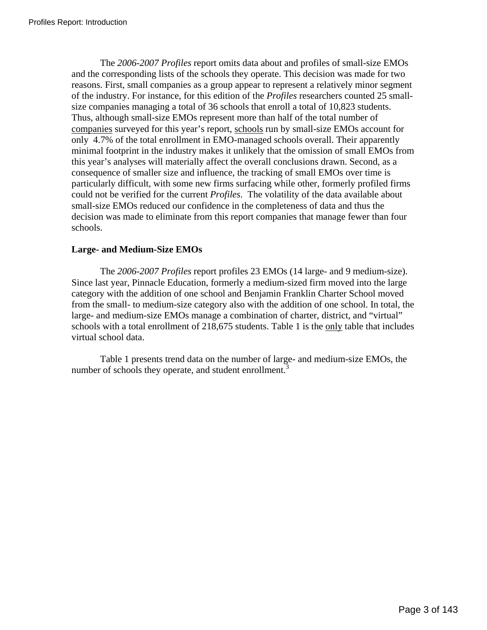The *2006-2007 Profiles* report omits data about and profiles of small-size EMOs and the corresponding lists of the schools they operate. This decision was made for two reasons. First, small companies as a group appear to represent a relatively minor segment of the industry. For instance, for this edition of the *Profiles* researchers counted 25 smallsize companies managing a total of 36 schools that enroll a total of 10,823 students. Thus, although small-size EMOs represent more than half of the total number of companies surveyed for this year's report, schools run by small-size EMOs account for only 4.7% of the total enrollment in EMO-managed schools overall. Their apparently minimal footprint in the industry makes it unlikely that the omission of small EMOs from this year's analyses will materially affect the overall conclusions drawn. Second, as a consequence of smaller size and influence, the tracking of small EMOs over time is particularly difficult, with some new firms surfacing while other, formerly profiled firms could not be verified for the current *Profiles*. The volatility of the data available about small-size EMOs reduced our confidence in the completeness of data and thus the decision was made to eliminate from this report companies that manage fewer than four schools.

# **Large- and Medium-Size EMOs**

The *2006-2007 Profiles* report profiles 23 EMOs (14 large- and 9 medium-size). Since last year, Pinnacle Education, formerly a medium-sized firm moved into the large category with the addition of one school and Benjamin Franklin Charter School moved from the small- to medium-size category also with the addition of one school. In total, the large- and medium-size EMOs manage a combination of charter, district, and "virtual" schools with a total enrollment of 218,675 students. Table 1 is the only table that includes virtual school data.

Table 1 presents trend data on the number of large- and medium-size EMOs, the number of schools they operate, and student enrollment.<sup>[3](#page-22-2)</sup>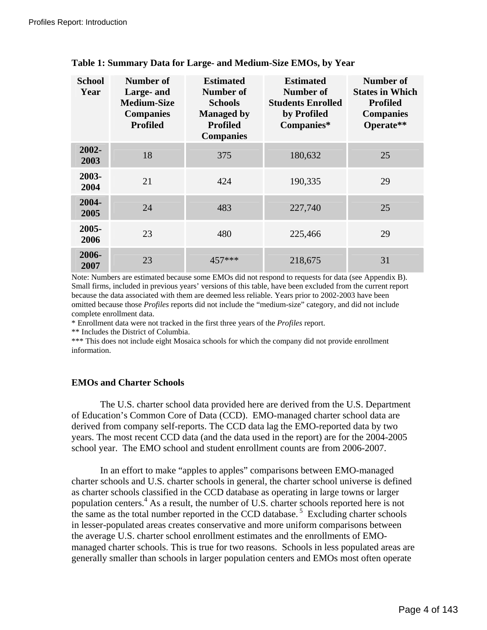| <b>School</b><br>Year | Number of<br>Large- and<br><b>Medium-Size</b><br><b>Companies</b><br><b>Profiled</b> | <b>Estimated</b><br>Number of<br><b>Schools</b><br><b>Managed by</b><br><b>Profiled</b><br><b>Companies</b> | <b>Estimated</b><br>Number of<br><b>Students Enrolled</b><br>by Profiled<br>Companies* | <b>Number of</b><br><b>States in Which</b><br><b>Profiled</b><br><b>Companies</b><br>Operate** |
|-----------------------|--------------------------------------------------------------------------------------|-------------------------------------------------------------------------------------------------------------|----------------------------------------------------------------------------------------|------------------------------------------------------------------------------------------------|
| $2002 -$<br>2003      | 18                                                                                   | 375                                                                                                         | 180,632                                                                                | 25                                                                                             |
| 2003-<br>2004         | 21                                                                                   | 424                                                                                                         | 190,335                                                                                | 29                                                                                             |
| 2004-<br>2005         | 24                                                                                   | 483                                                                                                         | 227,740                                                                                | 25                                                                                             |
| 2005-<br>2006         | 23                                                                                   | 480                                                                                                         | 225,466                                                                                | 29                                                                                             |
| 2006-<br>2007         | 23                                                                                   | $457***$                                                                                                    | 218,675                                                                                | 31                                                                                             |

## **Table 1: Summary Data for Large- and Medium-Size EMOs, by Year**

Note: Numbers are estimated because some EMOs did not respond to requests for data (see Appendix B). Small firms, included in previous years' versions of this table, have been excluded from the current report because the data associated with them are deemed less reliable. Years prior to 2002-2003 have been omitted because those *Profiles* reports did not include the "medium-size" category, and did not include complete enrollment data.

\* Enrollment data were not tracked in the first three years of the *Profiles* report.

\*\* Includes the District of Columbia.

\*\*\* This does not include eight Mosaica schools for which the company did not provide enrollment information.

### **EMOs and Charter Schools**

The U.S. charter school data provided here are derived from the U.S. Department of Education's Common Core of Data (CCD). EMO-managed charter school data are derived from company self-reports. The CCD data lag the EMO-reported data by two years. The most recent CCD data (and the data used in the report) are for the 2004-2005 school year. The EMO school and student enrollment counts are from 2006-2007.

In an effort to make "apples to apples" comparisons between EMO-managed charter schools and U.S. charter schools in general, the charter school universe is defined as charter schools classified in the CCD database as operating in large towns or larger population centers.<sup>[4](#page-22-3)</sup> As a result, the number of U.S. charter schools reported here is not the same as the total number reported in the CCD database.<sup>5</sup> Excluding charter schools in lesser-populated areas creates conservative and more uniform comparisons between the average U.S. charter school enrollment estimates and the enrollments of EMOmanaged charter schools. This is true for two reasons. Schools in less populated areas are generally smaller than schools in larger population centers and EMOs most often operate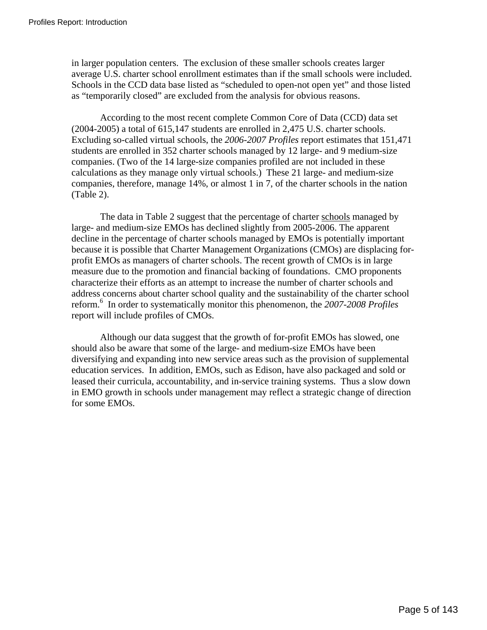in larger population centers. The exclusion of these smaller schools creates larger average U.S. charter school enrollment estimates than if the small schools were included. Schools in the CCD data base listed as "scheduled to open-not open yet" and those listed as "temporarily closed" are excluded from the analysis for obvious reasons.

According to the most recent complete Common Core of Data (CCD) data set (2004-2005) a total of 615,147 students are enrolled in 2,475 U.S. charter schools. Excluding so-called virtual schools, the *2006-2007 Profiles* report estimates that 151,471 students are enrolled in 352 charter schools managed by 12 large- and 9 medium-size companies. (Two of the 14 large-size companies profiled are not included in these calculations as they manage only virtual schools.) These 21 large- and medium-size companies, therefore, manage 14%, or almost 1 in 7, of the charter schools in the nation (Table 2).

 The data in Table 2 suggest that the percentage of charter schools managed by large- and medium-size EMOs has declined slightly from 2005-2006. The apparent decline in the percentage of charter schools managed by EMOs is potentially important because it is possible that Charter Management Organizations (CMOs) are displacing forprofit EMOs as managers of charter schools. The recent growth of CMOs is in large measure due to the promotion and financial backing of foundations. CMO proponents characterize their efforts as an attempt to increase the number of charter schools and address concerns about charter school quality and the sustainability of the charter school reform.<sup>6</sup> In order to systematically monitor this phenomenon, the *2007-2008 Profiles* report will include profiles of CMOs.

 Although our data suggest that the growth of for-profit EMOs has slowed, one should also be aware that some of the large- and medium-size EMOs have been diversifying and expanding into new service areas such as the provision of supplemental education services. In addition, EMOs, such as Edison, have also packaged and sold or leased their curricula, accountability, and in-service training systems. Thus a slow down in EMO growth in schools under management may reflect a strategic change of direction for some EMOs.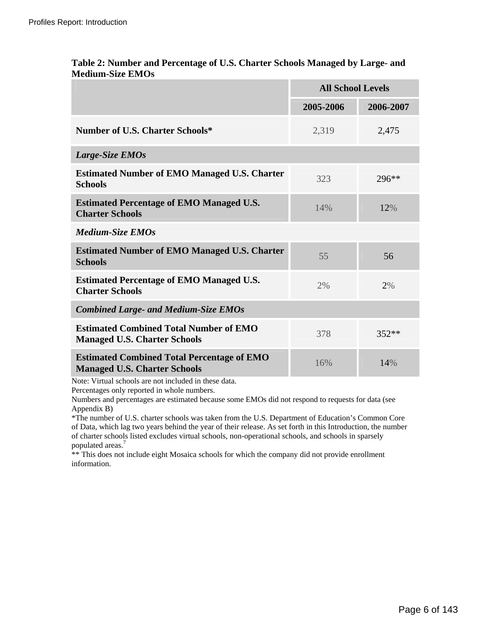|                                                                                          | <b>All School Levels</b> |           |
|------------------------------------------------------------------------------------------|--------------------------|-----------|
|                                                                                          | 2005-2006                | 2006-2007 |
| <b>Number of U.S. Charter Schools*</b>                                                   | 2,319                    | 2,475     |
| Large-Size EMOs                                                                          |                          |           |
| <b>Estimated Number of EMO Managed U.S. Charter</b><br><b>Schools</b>                    | 323                      | 296**     |
| <b>Estimated Percentage of EMO Managed U.S.</b><br><b>Charter Schools</b>                | 14%                      | 12%       |
| <b>Medium-Size EMOs</b>                                                                  |                          |           |
| <b>Estimated Number of EMO Managed U.S. Charter</b><br><b>Schools</b>                    | 55                       | 56        |
| <b>Estimated Percentage of EMO Managed U.S.</b><br><b>Charter Schools</b>                | 2%                       | 2%        |
| <b>Combined Large- and Medium-Size EMOs</b>                                              |                          |           |
| <b>Estimated Combined Total Number of EMO</b><br><b>Managed U.S. Charter Schools</b>     | 378                      | $352**$   |
| <b>Estimated Combined Total Percentage of EMO</b><br><b>Managed U.S. Charter Schools</b> | 16%                      | 14%       |

## **Table 2: Number and Percentage of U.S. Charter Schools Managed by Large- and Medium-Size EMOs**

Note: Virtual schools are not included in these data.

Percentages only reported in whole numbers.

Numbers and percentages are estimated because some EMOs did not respond to requests for data (see Appendix B)

\*The number of U.S. charter schools was taken from the U.S. Department of Education's Common Core of Data, which lag two years behind the year of their release. As set forth in this Introduction, the number of charter schools listed excludes virtual schools, non-operational schools, and schools in sparsely populated areas.<sup>[7](#page-22-6)</sup>

\*\* This does not include eight Mosaica schools for which the company did not provide enrollment information.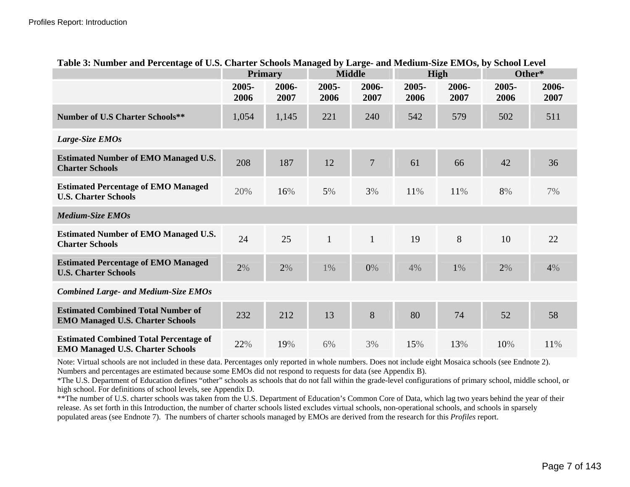| Table 3: Number and Percentage of U.S. Charter Schools Managed by Large- and Medium-Size EMOs, by School Level |               |                |               |                |               |               |               |               |
|----------------------------------------------------------------------------------------------------------------|---------------|----------------|---------------|----------------|---------------|---------------|---------------|---------------|
|                                                                                                                |               | <b>Primary</b> |               | <b>Middle</b>  |               | <b>High</b>   | Other*        |               |
|                                                                                                                | 2005-<br>2006 | 2006-<br>2007  | 2005-<br>2006 | 2006-<br>2007  | 2005-<br>2006 | 2006-<br>2007 | 2005-<br>2006 | 2006-<br>2007 |
| <b>Number of U.S Charter Schools**</b>                                                                         | 1,054         | 1,145          | 221           | 240            | 542           | 579           | 502           | 511           |
| Large-Size EMOs                                                                                                |               |                |               |                |               |               |               |               |
| <b>Estimated Number of EMO Managed U.S.</b><br><b>Charter Schools</b>                                          | 208           | 187            | 12            | $\overline{7}$ | 61            | 66            | 42            | 36            |
| <b>Estimated Percentage of EMO Managed</b><br><b>U.S. Charter Schools</b>                                      | 20%           | 16%            | 5%            | 3%             | 11%           | 11%           | 8%            | 7%            |
| <b>Medium-Size EMOs</b>                                                                                        |               |                |               |                |               |               |               |               |
| <b>Estimated Number of EMO Managed U.S.</b><br><b>Charter Schools</b>                                          | 24            | 25             | $\mathbf{1}$  | $\mathbf{1}$   | 19            | 8             | 10            | 22            |
| <b>Estimated Percentage of EMO Managed</b><br><b>U.S. Charter Schools</b>                                      | 2%            | 2%             | $1\%$         | $0\%$          | 4%            | $1\%$         | 2%            | 4%            |
| <b>Combined Large- and Medium-Size EMOs</b>                                                                    |               |                |               |                |               |               |               |               |
| <b>Estimated Combined Total Number of</b><br><b>EMO Managed U.S. Charter Schools</b>                           | 232           | 212            | 13            | 8              | 80            | 74            | 52            | 58            |
| <b>Estimated Combined Total Percentage of</b><br><b>EMO Managed U.S. Charter Schools</b>                       | 22%           | 19%            | 6%            | 3%             | 15%           | 13%           | 10%           | 11%           |

# **Table 3: Number and Percentage of U.S. Charter Schools Managed by Large- and Medium-Size EMOs, by School Level**

Note: Virtual schools are not included in these data. Percentages only reported in whole numbers. Does not include eight Mosaica schools (see Endnote 2). Numbers and percentages are estimated because some EMOs did not respond to requests for data (see Appendix B).

\*The U.S. Department of Education defines "other" schools as schools that do not fall within the grade-level configurations of primary school, middle school, or high school. For definitions of school levels, see Appendix D.

\*\*The number of U.S. charter schools was taken from the U.S. Department of Education's Common Core of Data, which lag two years behind the year of their release. As set forth in this Introduction, the number of charter schools listed excludes virtual schools, non-operational schools, and schools in sparsely populated areas (see Endnote 7). The numbers of charter schools managed by EMOs are derived from the research for this *Profiles* report.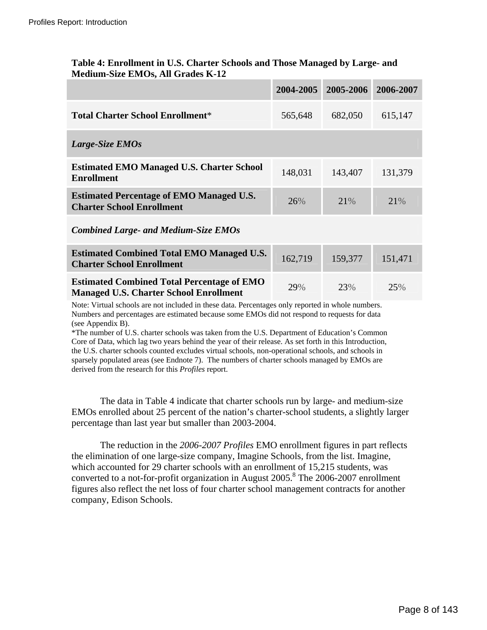|                                                                                                    | 2004-2005 | 2005-2006 | 2006-2007 |
|----------------------------------------------------------------------------------------------------|-----------|-----------|-----------|
| <b>Total Charter School Enrollment*</b>                                                            | 565,648   | 682,050   | 615,147   |
| Large-Size EMOs                                                                                    |           |           |           |
| <b>Estimated EMO Managed U.S. Charter School</b><br><b>Enrollment</b>                              | 148,031   | 143,407   | 131,379   |
| <b>Estimated Percentage of EMO Managed U.S.</b><br><b>Charter School Enrollment</b>                | 26%       | 21%       | 21%       |
| <b>Combined Large- and Medium-Size EMOs</b>                                                        |           |           |           |
| <b>Estimated Combined Total EMO Managed U.S.</b><br><b>Charter School Enrollment</b>               | 162,719   | 159,377   | 151,471   |
| <b>Estimated Combined Total Percentage of EMO</b><br><b>Managed U.S. Charter School Enrollment</b> | 29%       | 23%       | 25%       |

## **Table 4: Enrollment in U.S. Charter Schools and Those Managed by Large- and Medium-Size EMOs, All Grades K-12**

Note: Virtual schools are not included in these data. Percentages only reported in whole numbers. Numbers and percentages are estimated because some EMOs did not respond to requests for data (see Appendix B).

\*The number of U.S. charter schools was taken from the U.S. Department of Education's Common Core of Data, which lag two years behind the year of their release. As set forth in this Introduction, the U.S. charter schools counted excludes virtual schools, non-operational schools, and schools in sparsely populated areas (see Endnote 7). The numbers of charter schools managed by EMOs are derived from the research for this *Profiles* report.

The data in Table 4 indicate that charter schools run by large- and medium-size EMOs enrolled about 25 percent of the nation's charter-school students, a slightly larger percentage than last year but smaller than 2003-2004.

The reduction in the *2006-2007 Profiles* EMO enrollment figures in part reflects the elimination of one large-size company, Imagine Schools, from the list. Imagine, which accounted for 29 charter schools with an enrollment of 15,215 students, was converted to a not-for-profit organization in August  $2005$ .<sup>[8](#page-22-7)</sup> The  $2006$ - $2007$  enrollment figures also reflect the net loss of four charter school management contracts for another company, Edison Schools.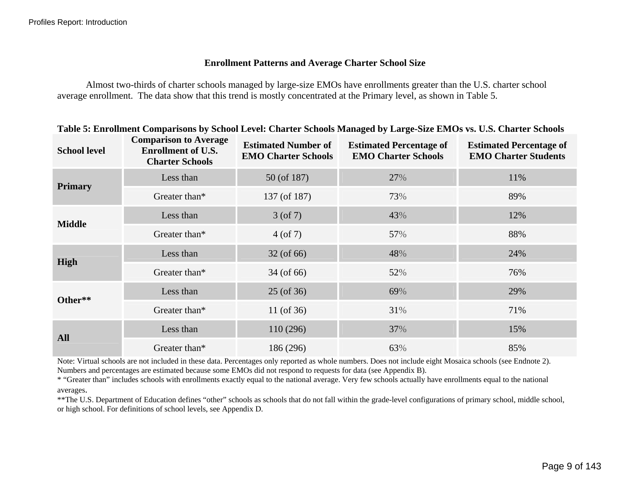## **Enrollment Patterns and Average Charter School Size**

Almost two-thirds of charter schools managed by large-size EMOs have enrollments greater than the U.S. charter school average enrollment. The data show that this trend is mostly concentrated at the Primary level, as shown in Table 5.

| <b>School level</b> | <b>Comparison to Average</b><br><b>Enrollment of U.S.</b><br><b>Charter Schools</b> | <b>Estimated Number of</b><br><b>EMO Charter Schools</b> | <b>Estimated Percentage of</b><br><b>EMO Charter Schools</b> | <b>Estimated Percentage of</b><br><b>EMO Charter Students</b> |
|---------------------|-------------------------------------------------------------------------------------|----------------------------------------------------------|--------------------------------------------------------------|---------------------------------------------------------------|
|                     | Less than                                                                           | 50 (of 187)                                              | 27%                                                          | 11%                                                           |
| <b>Primary</b>      | Greater than*                                                                       | 137 (of 187)                                             | 73%                                                          | 89%                                                           |
| <b>Middle</b>       | Less than                                                                           | $3($ of 7 $)$                                            | 43%                                                          | 12%                                                           |
|                     | Greater than*                                                                       | $4($ of 7)                                               | 57%                                                          | 88%                                                           |
|                     | Less than                                                                           | 32 (of 66)                                               | 48%                                                          | 24%                                                           |
| High                | Greater than*                                                                       | 34 (of 66)                                               | 52%                                                          | 76%                                                           |
| Other**             | Less than                                                                           | 25 (of 36)                                               | 69%                                                          | 29%                                                           |
|                     | Greater than*                                                                       | 11 (of $36$ )                                            | 31%                                                          | 71%                                                           |
|                     | Less than                                                                           | 110 (296)                                                | 37%                                                          | 15%                                                           |
| <b>All</b>          | Greater than*                                                                       | 186 (296)                                                | 63%                                                          | 85%                                                           |

## **Table 5: Enrollment Comparisons by School Level: Charter Schools Managed by Large-Size EMOs vs. U.S. Charter Schools**

Note: Virtual schools are not included in these data. Percentages only reported as whole numbers. Does not include eight Mosaica schools (see Endnote 2). Numbers and percentages are estimated because some EMOs did not respond to requests for data (see Appendix B).

\* "Greater than" includes schools with enrollments exactly equal to the national average. Very few schools actually have enroll ments equal to the national averages.

\*\*The U.S. Department of Education defines "other" schools as schools that do not fall within the grade-level configurations of primary school, middle school, or high school. For definitions of school levels, see Appendix D.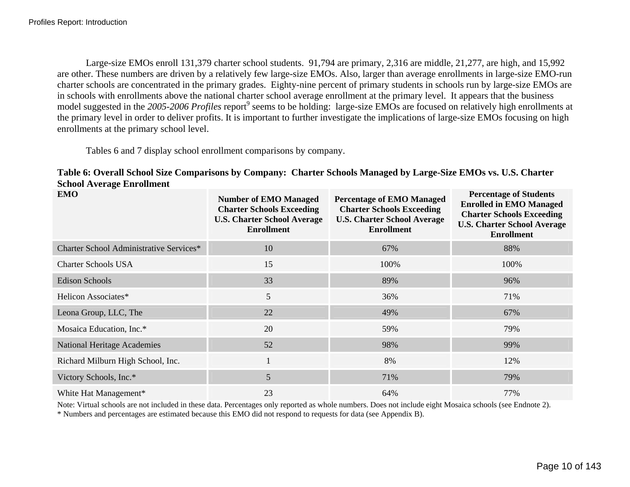Large-size EMOs enroll 131,379 charter school students. 91,794 are primary, 2,316 are middle, 21,277, are high, and 15,992 are other. These numbers are driven by a relatively few large-size EMOs. Also, larger than average enrollments in large-size EMO-run charter schools are concentrated in the primary grades. Eighty-nine percent of primary students in schools run by large-size EMOs are in schools with enrollments above the national charter school average enrollment at the primary level. It appears that the business model suggested in the 2005-2006 Profiles report<sup>[9](#page-22-8)</sup> seems to be holding: large-size EMOs are focused on relatively high enrollments at the primary level in order to deliver profits. It is important to further investigate the implications of large-size EMOs focusing on high enrollments at the primary school level.

Tables 6 and 7 display school enrollment comparisons by company.

| Table 6: Overall School Size Comparisons by Company: Charter Schools Managed by Large-Size EMOs vs. U.S. Charter |  |  |
|------------------------------------------------------------------------------------------------------------------|--|--|
| <b>School Average Enrollment</b>                                                                                 |  |  |

| <b>EMO</b>                              | <b>Number of EMO Managed</b><br><b>Charter Schools Exceeding</b><br><b>U.S. Charter School Average</b><br><b>Enrollment</b> | <b>Percentage of EMO Managed</b><br><b>Charter Schools Exceeding</b><br><b>U.S. Charter School Average</b><br><b>Enrollment</b> | <b>Percentage of Students</b><br><b>Enrolled in EMO Managed</b><br><b>Charter Schools Exceeding</b><br><b>U.S. Charter School Average</b><br><b>Enrollment</b> |
|-----------------------------------------|-----------------------------------------------------------------------------------------------------------------------------|---------------------------------------------------------------------------------------------------------------------------------|----------------------------------------------------------------------------------------------------------------------------------------------------------------|
| Charter School Administrative Services* | 10                                                                                                                          | 67%                                                                                                                             | 88%                                                                                                                                                            |
| <b>Charter Schools USA</b>              | 15                                                                                                                          | 100%                                                                                                                            | 100%                                                                                                                                                           |
| Edison Schools                          | 33                                                                                                                          | 89%                                                                                                                             | 96%                                                                                                                                                            |
| Helicon Associates*                     | 5                                                                                                                           | 36%                                                                                                                             | 71%                                                                                                                                                            |
| Leona Group, LLC, The                   | 22                                                                                                                          | 49%                                                                                                                             | 67%                                                                                                                                                            |
| Mosaica Education, Inc.*                | 20                                                                                                                          | 59%                                                                                                                             | 79%                                                                                                                                                            |
| <b>National Heritage Academies</b>      | 52                                                                                                                          | 98%                                                                                                                             | 99%                                                                                                                                                            |
| Richard Milburn High School, Inc.       |                                                                                                                             | 8%                                                                                                                              | 12%                                                                                                                                                            |
| Victory Schools, Inc.*                  | 5                                                                                                                           | 71%                                                                                                                             | 79%                                                                                                                                                            |
| White Hat Management*                   | 23                                                                                                                          | 64%                                                                                                                             | 77%                                                                                                                                                            |

Note: Virtual schools are not included in these data. Percentages only reported as whole numbers. Does not include eight Mosaica schools (see Endnote 2).

\* Numbers and percentages are estimated because this EMO did not respond to requests for data (see Appendix B).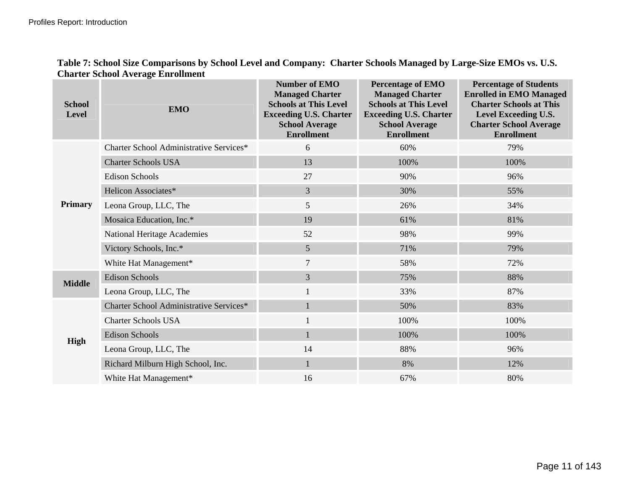| Table 7: School Size Comparisons by School Level and Company: Charter Schools Managed by Large-Size EMOs vs. U.S. |  |
|-------------------------------------------------------------------------------------------------------------------|--|
| <b>Charter School Average Enrollment</b>                                                                          |  |

| <b>School</b><br><b>Level</b> | <b>EMO</b>                              | <b>Number of EMO</b><br><b>Managed Charter</b><br><b>Schools at This Level</b><br><b>Exceeding U.S. Charter</b><br><b>School Average</b><br><b>Enrollment</b> | <b>Percentage of EMO</b><br><b>Managed Charter</b><br><b>Schools at This Level</b><br><b>Exceeding U.S. Charter</b><br><b>School Average</b><br><b>Enrollment</b> | <b>Percentage of Students</b><br><b>Enrolled in EMO Managed</b><br><b>Charter Schools at This</b><br>Level Exceeding U.S.<br><b>Charter School Average</b><br><b>Enrollment</b> |
|-------------------------------|-----------------------------------------|---------------------------------------------------------------------------------------------------------------------------------------------------------------|-------------------------------------------------------------------------------------------------------------------------------------------------------------------|---------------------------------------------------------------------------------------------------------------------------------------------------------------------------------|
|                               | Charter School Administrative Services* | 6                                                                                                                                                             | 60%                                                                                                                                                               | 79%                                                                                                                                                                             |
|                               | <b>Charter Schools USA</b>              | 13                                                                                                                                                            | 100%                                                                                                                                                              | 100%                                                                                                                                                                            |
|                               | <b>Edison Schools</b>                   | 27                                                                                                                                                            | 90%                                                                                                                                                               | 96%                                                                                                                                                                             |
|                               | Helicon Associates*                     | $\overline{3}$                                                                                                                                                | 30%                                                                                                                                                               | 55%                                                                                                                                                                             |
| <b>Primary</b>                | Leona Group, LLC, The                   | 5                                                                                                                                                             | 26%                                                                                                                                                               | 34%                                                                                                                                                                             |
|                               | Mosaica Education, Inc.*                | 19                                                                                                                                                            | 61%                                                                                                                                                               | 81%                                                                                                                                                                             |
|                               | <b>National Heritage Academies</b>      | 52                                                                                                                                                            | 98%                                                                                                                                                               | 99%                                                                                                                                                                             |
|                               | Victory Schools, Inc.*                  | 5                                                                                                                                                             | 71%                                                                                                                                                               | 79%                                                                                                                                                                             |
|                               | White Hat Management*                   | $\overline{7}$                                                                                                                                                | 58%                                                                                                                                                               | 72%                                                                                                                                                                             |
| <b>Middle</b>                 | <b>Edison Schools</b>                   | $\overline{3}$                                                                                                                                                | 75%                                                                                                                                                               | 88%                                                                                                                                                                             |
|                               | Leona Group, LLC, The                   | $\mathbf{1}$                                                                                                                                                  | 33%                                                                                                                                                               | 87%                                                                                                                                                                             |
|                               | Charter School Administrative Services* | 1                                                                                                                                                             | 50%                                                                                                                                                               | 83%                                                                                                                                                                             |
|                               | <b>Charter Schools USA</b>              | 1                                                                                                                                                             | 100%                                                                                                                                                              | 100%                                                                                                                                                                            |
| <b>High</b>                   | <b>Edison Schools</b>                   | $\mathbf{1}$                                                                                                                                                  | 100%                                                                                                                                                              | 100%                                                                                                                                                                            |
|                               | Leona Group, LLC, The                   | 14                                                                                                                                                            | 88%                                                                                                                                                               | 96%                                                                                                                                                                             |
|                               | Richard Milburn High School, Inc.       | $\mathbf{1}$                                                                                                                                                  | 8%                                                                                                                                                                | 12%                                                                                                                                                                             |
|                               | White Hat Management*                   | 16                                                                                                                                                            | 67%                                                                                                                                                               | 80%                                                                                                                                                                             |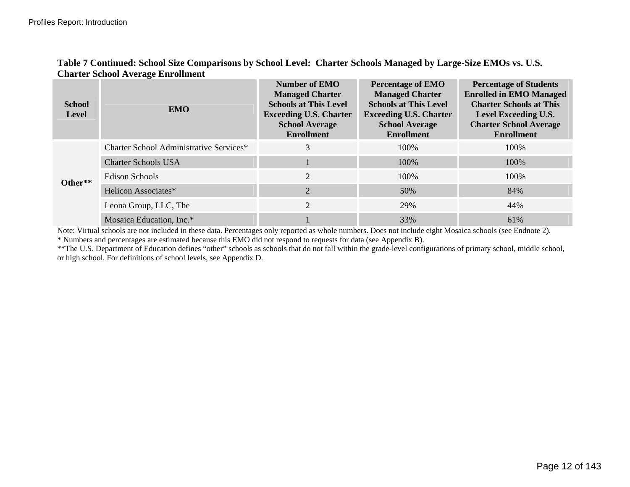|                               | Charter Denoor <i>ix</i> verage Em omnem |                                                                                                                                                               |                                                                                                                                                                   |                                                                                                                                                                                 |
|-------------------------------|------------------------------------------|---------------------------------------------------------------------------------------------------------------------------------------------------------------|-------------------------------------------------------------------------------------------------------------------------------------------------------------------|---------------------------------------------------------------------------------------------------------------------------------------------------------------------------------|
| <b>School</b><br><b>Level</b> | <b>EMO</b>                               | <b>Number of EMO</b><br><b>Managed Charter</b><br><b>Schools at This Level</b><br><b>Exceeding U.S. Charter</b><br><b>School Average</b><br><b>Enrollment</b> | <b>Percentage of EMO</b><br><b>Managed Charter</b><br><b>Schools at This Level</b><br><b>Exceeding U.S. Charter</b><br><b>School Average</b><br><b>Enrollment</b> | <b>Percentage of Students</b><br><b>Enrolled in EMO Managed</b><br><b>Charter Schools at This</b><br>Level Exceeding U.S.<br><b>Charter School Average</b><br><b>Enrollment</b> |
| Other**                       | Charter School Administrative Services*  | 3                                                                                                                                                             | 100\%                                                                                                                                                             | 100%                                                                                                                                                                            |
|                               | <b>Charter Schools USA</b>               |                                                                                                                                                               | 100%                                                                                                                                                              | 100%                                                                                                                                                                            |
|                               | Edison Schools                           | $\overline{2}$                                                                                                                                                | 100%                                                                                                                                                              | 100%                                                                                                                                                                            |
|                               | Helicon Associates*                      | $\overline{2}$                                                                                                                                                | 50%                                                                                                                                                               | 84%                                                                                                                                                                             |
|                               | Leona Group, LLC, The                    | $\overline{2}$                                                                                                                                                | 29%                                                                                                                                                               | 44%                                                                                                                                                                             |
|                               | Mosaica Education, Inc.*                 |                                                                                                                                                               | 33%                                                                                                                                                               | 61%                                                                                                                                                                             |

## **Table 7 Continued: School Size Comparisons by School Level: Charter Schools Managed by Large-Size EMOs vs. U.S. Charter School Average Enrollment**

Note: Virtual schools are not included in these data. Percentages only reported as whole numbers. Does not include eight Mosaica schools (see Endnote 2). \* Numbers and percentages are estimated because this EMO did not respond to requests for data (see Appendix B).

\*\*The U.S. Department of Education defines "other" schools as schools that do not fall within the grade-level configurations of primary school, middle school, or high school. For definitions of school levels, see Appendix D.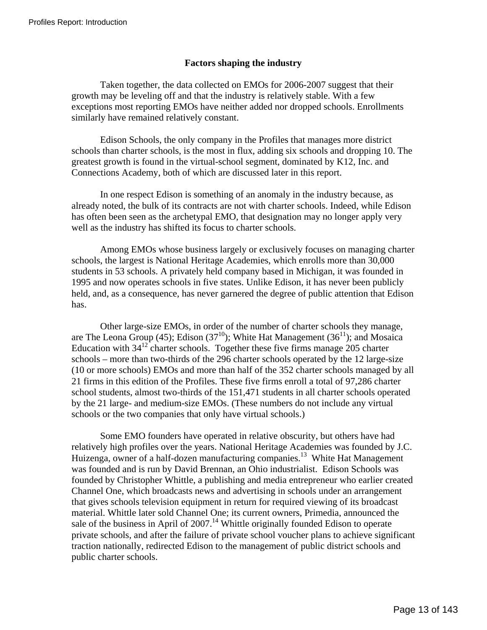## **Factors shaping the industry**

 Taken together, the data collected on EMOs for 2006-2007 suggest that their growth may be leveling off and that the industry is relatively stable. With a few exceptions most reporting EMOs have neither added nor dropped schools. Enrollments similarly have remained relatively constant.

Edison Schools, the only company in the Profiles that manages more district schools than charter schools, is the most in flux, adding six schools and dropping 10. The greatest growth is found in the virtual-school segment, dominated by K12, Inc. and Connections Academy, both of which are discussed later in this report.

In one respect Edison is something of an anomaly in the industry because, as already noted, the bulk of its contracts are not with charter schools. Indeed, while Edison has often been seen as the archetypal EMO, that designation may no longer apply very well as the industry has shifted its focus to charter schools.

Among EMOs whose business largely or exclusively focuses on managing charter schools, the largest is National Heritage Academies, which enrolls more than 30,000 students in 53 schools. A privately held company based in Michigan, it was founded in 1995 and now operates schools in five states. Unlike Edison, it has never been publicly held, and, as a consequence, has never garnered the degree of public attention that Edison has.

Other large-size EMOs, in order of the number of charter schools they manage, are The Leona Group (45); Edison (37<sup>10</sup>); White Hat Management (36<sup>11</sup>); and Mosaica Education with  $34^{12}$  charter schools. Together these five firms manage 205 charter schools – more than two-thirds of the 296 charter schools operated by the 12 large-size (10 or more schools) EMOs and more than half of the 352 charter schools managed by all 21 firms in this edition of the Profiles. These five firms enroll a total of 97,286 charter school students, almost two-thirds of the 151,471 students in all charter schools operated by the 21 large- and medium-size EMOs. (These numbers do not include any virtual schools or the two companies that only have virtual schools.)

Some EMO founders have operated in relative obscurity, but others have had relatively high profiles over the years. National Heritage Academies was founded by J.C. Huizenga, owner of a half-dozen manufacturing companies.<sup>13</sup> White Hat Management was founded and is run by David Brennan, an Ohio industrialist. Edison Schools was founded by Christopher Whittle, a publishing and media entrepreneur who earlier created Channel One, which broadcasts news and advertising in schools under an arrangement that gives schools television equipment in return for required viewing of its broadcast material. Whittle later sold Channel One; its current owners, Primedia, announced the sale of the business in April of  $2007<sup>14</sup>$  Whittle originally founded Edison to operate private schools, and after the failure of private school voucher plans to achieve significant traction nationally, redirected Edison to the management of public district schools and public charter schools.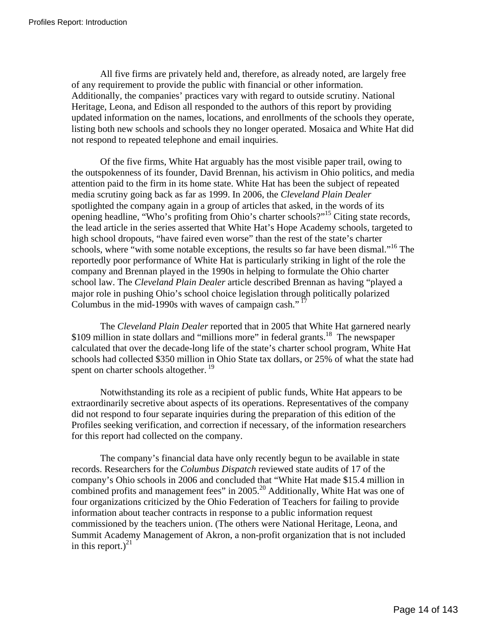All five firms are privately held and, therefore, as already noted, are largely free of any requirement to provide the public with financial or other information. Additionally, the companies' practices vary with regard to outside scrutiny. National Heritage, Leona, and Edison all responded to the authors of this report by providing updated information on the names, locations, and enrollments of the schools they operate, listing both new schools and schools they no longer operated. Mosaica and White Hat did not respond to repeated telephone and email inquiries.

Of the five firms, White Hat arguably has the most visible paper trail, owing to the outspokenness of its founder, David Brennan, his activism in Ohio politics, and media attention paid to the firm in its home state. White Hat has been the subject of repeated media scrutiny going back as far as 1999. In 2006, the *Cleveland Plain Dealer* spotlighted the company again in a group of articles that asked, in the words of its opening headline, "Who's profiting from Ohio's charter schools?"[15 C](#page-22-14)iting state records, the lead article in the series asserted that White Hat's Hope Academy schools, targeted to high school dropouts, "have faired even worse" than the rest of the state's charter schools, where "with some notable exceptions, the results so far have been dismal."<sup>16</sup> The reportedly poor performance of White Hat is particularly striking in light of the role the company and Brennan played in the 1990s in helping to formulate the Ohio charter school law. The *Cleveland Plain Dealer* article described Brennan as having "played a major role in pushing Ohio's school choice legislation through politically polarized Columbus in the mid-1990s with waves of campaign cash."<sup>[17](#page-22-16)</sup>

The *Cleveland Plain Dealer* reported that in 2005 that White Hat garnered nearly \$109 million in state dollars and "millions more" in federal grants.<sup>18</sup> The newspaper calculated that over the decade-long life of the state's charter school program, White Hat schools had collected \$350 million in Ohio State tax dollars, or 25% of what the state had spent on charter schools altogether.<sup>[19](#page-22-18)</sup>

Notwithstanding its role as a recipient of public funds, White Hat appears to be extraordinarily secretive about aspects of its operations. Representatives of the company did not respond to four separate inquiries during the preparation of this edition of the Profiles seeking verification, and correction if necessary, of the information researchers for this report had collected on the company.

The company's financial data have only recently begun to be available in state records. Researchers for the *Columbus Dispatch* reviewed state audits of 17 of the company's Ohio schools in 2006 and concluded that "White Hat made \$15.4 million in combined profits and management fees" in 2005.<sup>20</sup> Additionally, White Hat was one of four organizations criticized by the Ohio Federation of Teachers for failing to provide information about teacher contracts in response to a public information request commissioned by the teachers union. (The others were National Heritage, Leona, and Summit Academy Management of Akron, a non-profit organization that is not included in this report.) $^{21}$  $^{21}$  $^{21}$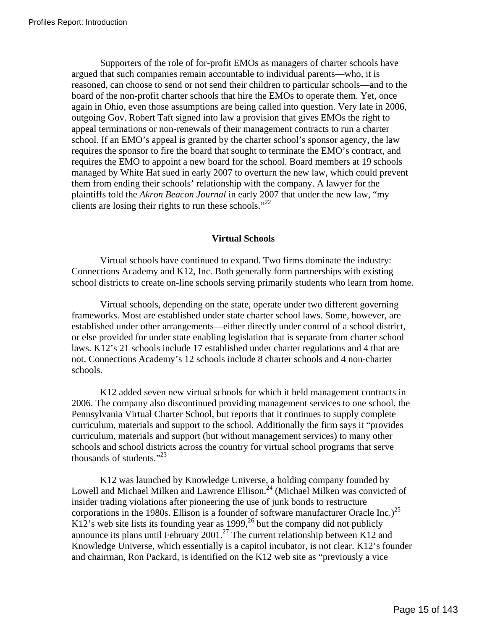Supporters of the role of for-profit EMOs as managers of charter schools have argued that such companies remain accountable to individual parents—who, it is reasoned, can choose to send or not send their children to particular schools—and to the board of the non-profit charter schools that hire the EMOs to operate them. Yet, once again in Ohio, even those assumptions are being called into question. Very late in 2006, outgoing Gov. Robert Taft signed into law a provision that gives EMOs the right to appeal terminations or non-renewals of their management contracts to run a charter school. If an EMO's appeal is granted by the charter school's sponsor agency, the law requires the sponsor to fire the board that sought to terminate the EMO's contract, and requires the EMO to appoint a new board for the school. Board members at 19 schools managed by White Hat sued in early 2007 to overturn the new law, which could prevent them from ending their schools' relationship with the company. A lawyer for the plaintiffs told the *Akron Beacon Journal* in early 2007 that under the new law, "my clients are losing their rights to run these schools."<sup>[22](#page-22-21)</sup>

## **Virtual Schools**

Virtual schools have continued to expand. Two firms dominate the industry: Connections Academy and K12, Inc. Both generally form partnerships with existing school districts to create on-line schools serving primarily students who learn from home.

Virtual schools, depending on the state, operate under two different governing frameworks. Most are established under state charter school laws. Some, however, are established under other arrangements—either directly under control of a school district, or else provided for under state enabling legislation that is separate from charter school laws. K12's 21 schools include 17 established under charter regulations and 4 that are not. Connections Academy's 12 schools include 8 charter schools and 4 non-charter schools.

K12 added seven new virtual schools for which it held management contracts in 2006. The company also discontinued providing management services to one school, the Pennsylvania Virtual Charter School, but reports that it continues to supply complete curriculum, materials and support to the school. Additionally the firm says it "provides curriculum, materials and support (but without management services) to many other schools and school districts across the country for virtual school programs that serve thousands of students." $^{23}$  $^{23}$  $^{23}$ 

K12 was launched by Knowledge Universe, a holding company founded by Lowell and Michael Milken and Lawrence Ellison.<sup>24</sup> (Michael Milken was convicted of insider trading violations after pioneering the use of junk bonds to restructure corporations in the 1980s. Ellison is a founder of software manufacturer Oracle Inc.)<sup>[25](#page-22-24)</sup> K12's web site lists its founding year as 1999,<sup>26</sup> but the company did not publicly announce its plans until February 2001.<sup>27</sup> The current relationship between K12 and Knowledge Universe, which essentially is a capitol incubator, is not clear. K12's founder and chairman, Ron Packard, is identified on the K12 web site as "previously a vice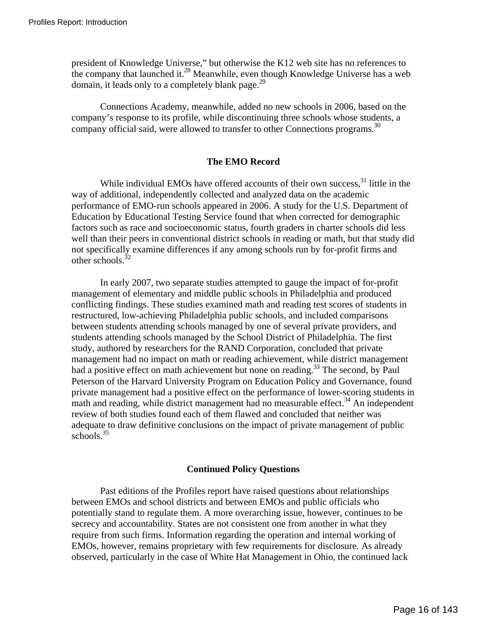president of Knowledge Universe," but otherwise the K12 web site has no references to the company that launched it.<sup>28</sup> Meanwhile, even though Knowledge Universe has a web domain, it leads only to a completely blank page.<sup>[29](#page-22-28)</sup>

Connections Academy, meanwhile, added no new schools in 2006, based on the company's response to its profile, while discontinuing three schools whose students, a company official said, were allowed to transfer to other Connections programs.<sup>30</sup>

### **The EMO Record**

While individual EMOs have offered accounts of their own success,<sup>31</sup> little in the way of additional, independently collected and analyzed data on the academic performance of EMO-run schools appeared in 2006. A study for the U.S. Department of Education by Educational Testing Service found that when corrected for demographic factors such as race and socioeconomic status, fourth graders in charter schools did less well than their peers in conventional district schools in reading or math, but that study did not specifically examine differences if any among schools run by for-profit firms and other schools. $32$ 

In early 2007, two separate studies attempted to gauge the impact of for-profit management of elementary and middle public schools in Philadelphia and produced conflicting findings. These studies examined math and reading test scores of students in restructured, low-achieving Philadelphia public schools, and included comparisons between students attending schools managed by one of several private providers, and students attending schools managed by the School District of Philadelphia. The first study, authored by researchers for the RAND Corporation, concluded that private management had no impact on math or reading achievement, while district management had a positive effect on math achievement but none on reading.<sup>33</sup> The second, by Paul Peterson of the Harvard University Program on Education Policy and Governance, found private management had a positive effect on the performance of lower-scoring students in math and reading, while district management had no measurable effect.<sup>34</sup> An independent review of both studies found each of them flawed and concluded that neither was adequate to draw definitive conclusions on the impact of private management of public schools. $35$ 

### **Continued Policy Questions**

Past editions of the Profiles report have raised questions about relationships between EMOs and school districts and between EMOs and public officials who potentially stand to regulate them. A more overarching issue, however, continues to be secrecy and accountability. States are not consistent one from another in what they require from such firms. Information regarding the operation and internal working of EMOs, however, remains proprietary with few requirements for disclosure. As already observed, particularly in the case of White Hat Management in Ohio, the continued lack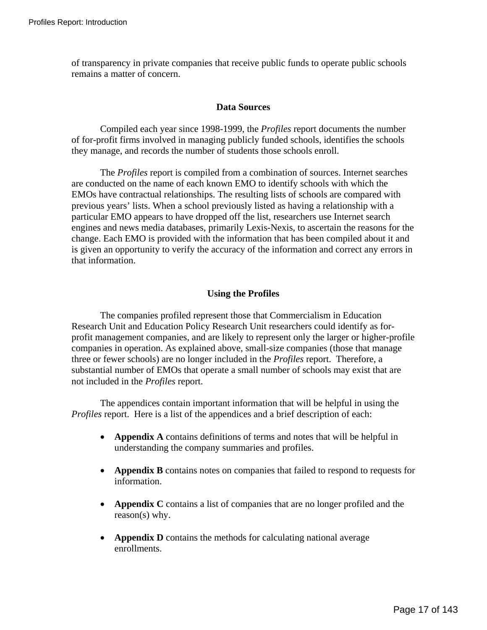of transparency in private companies that receive public funds to operate public schools remains a matter of concern.

## **Data Sources**

Compiled each year since 1998-1999, the *Profiles* report documents the number of for-profit firms involved in managing publicly funded schools, identifies the schools they manage, and records the number of students those schools enroll.

The *Profiles* report is compiled from a combination of sources. Internet searches are conducted on the name of each known EMO to identify schools with which the EMOs have contractual relationships. The resulting lists of schools are compared with previous years' lists. When a school previously listed as having a relationship with a particular EMO appears to have dropped off the list, researchers use Internet search engines and news media databases, primarily Lexis-Nexis, to ascertain the reasons for the change. Each EMO is provided with the information that has been compiled about it and is given an opportunity to verify the accuracy of the information and correct any errors in that information.

## **Using the Profiles**

The companies profiled represent those that Commercialism in Education Research Unit and Education Policy Research Unit researchers could identify as forprofit management companies, and are likely to represent only the larger or higher-profile companies in operation. As explained above, small-size companies (those that manage three or fewer schools) are no longer included in the *Profiles* report. Therefore, a substantial number of EMOs that operate a small number of schools may exist that are not included in the *Profiles* report.

The appendices contain important information that will be helpful in using the *Profiles* report. Here is a list of the appendices and a brief description of each:

- **Appendix A** contains definitions of terms and notes that will be helpful in understanding the company summaries and profiles.
- **Appendix B** contains notes on companies that failed to respond to requests for information.
- **Appendix C** contains a list of companies that are no longer profiled and the reason(s) why.
- **Appendix D** contains the methods for calculating national average enrollments.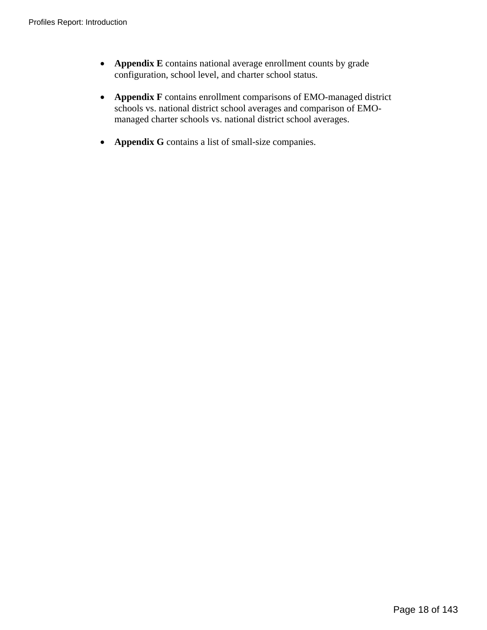- **Appendix E** contains national average enrollment counts by grade configuration, school level, and charter school status.
- **Appendix F** contains enrollment comparisons of EMO-managed district schools vs. national district school averages and comparison of EMOmanaged charter schools vs. national district school averages.
- **Appendix G** contains a list of small-size companies.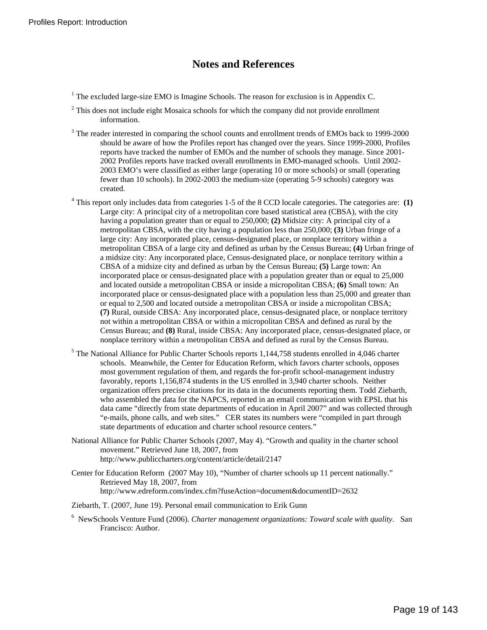# **Notes and References**

- <sup>1</sup> The excluded large-size EMO is Imagine Schools. The reason for exclusion is in Appendix C.
- $2^2$  This does not include eight Mosaica schools for which the company did not provide enrollment information.
- <sup>3</sup> The reader interested in comparing the school counts and enrollment trends of EMOs back to 1999-2000 should be aware of how the Profiles report has changed over the years. Since 1999-2000, Profiles reports have tracked the number of EMOs and the number of schools they manage. Since 2001- 2002 Profiles reports have tracked overall enrollments in EMO-managed schools. Until 2002- 2003 EMO's were classified as either large (operating 10 or more schools) or small (operating fewer than 10 schools). In 2002-2003 the medium-size (operating 5-9 schools) category was created.
- 4 This report only includes data from categories 1-5 of the 8 CCD locale categories. The categories are: **(1)** Large city: A principal city of a metropolitan core based statistical area (CBSA), with the city having a population greater than or equal to 250,000; **(2)** Midsize city: A principal city of a metropolitan CBSA, with the city having a population less than 250,000; **(3)** Urban fringe of a large city: Any incorporated place, census-designated place, or nonplace territory within a metropolitan CBSA of a large city and defined as urban by the Census Bureau; **(4)** Urban fringe of a midsize city: Any incorporated place, Census-designated place, or nonplace territory within a CBSA of a midsize city and defined as urban by the Census Bureau; **(5)** Large town: An incorporated place or census-designated place with a population greater than or equal to 25,000 and located outside a metropolitan CBSA or inside a micropolitan CBSA; **(6)** Small town: An incorporated place or census-designated place with a population less than 25,000 and greater than or equal to 2,500 and located outside a metropolitan CBSA or inside a micropolitan CBSA; **(7)** Rural, outside CBSA: Any incorporated place, census-designated place, or nonplace territory not within a metropolitan CBSA or within a micropolitan CBSA and defined as rural by the Census Bureau; and **(8)** Rural, inside CBSA: Any incorporated place, census-designated place, or nonplace territory within a metropolitan CBSA and defined as rural by the Census Bureau.
- <sup>5</sup> The National Alliance for Public Charter Schools reports 1,144,758 students enrolled in 4,046 charter schools. Meanwhile, the Center for Education Reform, which favors charter schools, opposes most government regulation of them, and regards the for-profit school-management industry favorably, reports 1,156,874 students in the US enrolled in 3,940 charter schools. Neither organization offers precise citations for its data in the documents reporting them. Todd Ziebarth, who assembled the data for the NAPCS, reported in an email communication with EPSL that his data came "directly from state departments of education in April 2007" and was collected through "e-mails, phone calls, and web sites." CER states its numbers were "compiled in part through state departments of education and charter school resource centers."
- National Alliance for Public Charter Schools (2007, May 4). "Growth and quality in the charter school movement." Retrieved June 18, 2007, from http://www.publiccharters.org/content/article/detail/2147
- Center for Education Reform (2007 May 10), "Number of charter schools up 11 percent nationally." Retrieved May 18, 2007, from http://www.edreform.com/index.cfm?fuseAction=document&documentID=2632
- Ziebarth, T. (2007, June 19). Personal email communication to Erik Gunn
- 6 NewSchools Venture Fund (2006). *Charter management organizations: Toward scale with quality*. San Francisco: Author.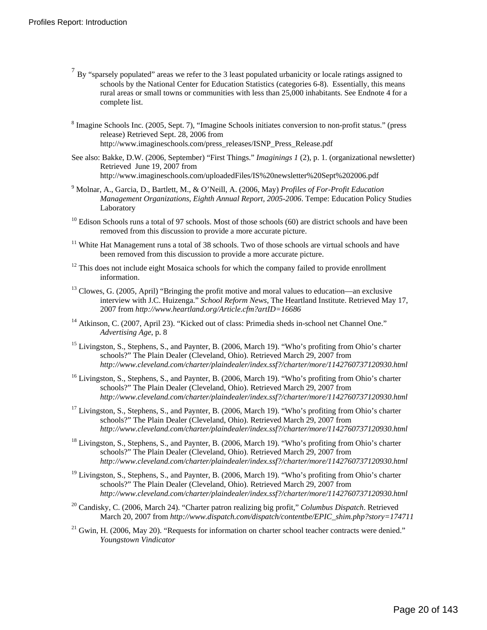- $7 By$  "sparsely populated" areas we refer to the 3 least populated urbanicity or locale ratings assigned to schools by the National Center for Education Statistics (categories 6-8). Essentially, this means rural areas or small towns or communities with less than 25,000 inhabitants. See Endnote 4 for a complete list.
- <sup>8</sup> Imagine Schools Inc. (2005, Sept. 7), "Imagine Schools initiates conversion to non-profit status." (press release) Retrieved Sept. 28, 2006 from http://www.imagineschools.com/press\_releases/ISNP\_Press\_Release.pdf
- See also: Bakke, D.W. (2006, September) "First Things." *Imaginings 1* (2), p. 1. (organizational newsletter) Retrieved June 19, 2007 from http://www.imagineschools.com/uploadedFiles/IS%20newsletter%20Sept%202006.pdf
- 9 Molnar, A., Garcia, D., Bartlett, M., & O'Neill, A. (2006, May) *Profiles of For-Profit Education Management Organizations*, *Eighth Annual Report, 2005-2006*. Tempe: Education Policy Studies Laboratory
- $10$  Edison Schools runs a total of 97 schools. Most of those schools (60) are district schools and have been removed from this discussion to provide a more accurate picture.
- $11$  White Hat Management runs a total of 38 schools. Two of those schools are virtual schools and have been removed from this discussion to provide a more accurate picture.
- <sup>12</sup> This does not include eight Mosaica schools for which the company failed to provide enrollment information.
- $13$  Clowes, G. (2005, April) "Bringing the profit motive and moral values to education—an exclusive interview with J.C. Huizenga." *School Reform News*, The Heartland Institute. Retrieved May 17, 2007 from *http://www.heartland.org/Article.cfm?artID=16686*
- <sup>14</sup> Atkinson, C. (2007, April 23). "Kicked out of class: Primedia sheds in-school net Channel One." *Advertising Age*, p. 8
- <sup>15</sup> Livingston, S., Stephens, S., and Paynter, B. (2006, March 19). "Who's profiting from Ohio's charter schools?" The Plain Dealer (Cleveland, Ohio). Retrieved March 29, 2007 from *http://www.cleveland.com/charter/plaindealer/index.ssf?/charter/more/1142760737120930.html*
- <sup>16</sup> Livingston, S., Stephens, S., and Paynter, B. (2006, March 19). "Who's profiting from Ohio's charter schools?" The Plain Dealer (Cleveland, Ohio). Retrieved March 29, 2007 from *http://www.cleveland.com/charter/plaindealer/index.ssf?/charter/more/1142760737120930.html*
- <sup>17</sup> Livingston, S., Stephens, S., and Paynter, B. (2006, March 19). "Who's profiting from Ohio's charter schools?" The Plain Dealer (Cleveland, Ohio). Retrieved March 29, 2007 from *http://www.cleveland.com/charter/plaindealer/index.ssf?/charter/more/1142760737120930.html*
- <sup>18</sup> Livingston, S., Stephens, S., and Paynter, B. (2006, March 19). "Who's profiting from Ohio's charter schools?" The Plain Dealer (Cleveland, Ohio). Retrieved March 29, 2007 from *http://www.cleveland.com/charter/plaindealer/index.ssf?/charter/more/1142760737120930.html*
- <sup>19</sup> Livingston, S., Stephens, S., and Paynter, B. (2006, March 19). "Who's profiting from Ohio's charter schools?" The Plain Dealer (Cleveland, Ohio). Retrieved March 29, 2007 from *http://www.cleveland.com/charter/plaindealer/index.ssf?/charter/more/1142760737120930.html*
- 20 Candisky, C. (2006, March 24). "Charter patron realizing big profit," *Columbus Dispatch*. Retrieved March 20, 2007 from *http://www.dispatch.com/dispatch/contentbe/EPIC\_shim.php?story=174711*
- $21$  Gwin, H. (2006, May 20). "Requests for information on charter school teacher contracts were denied." *Youngstown Vindicator*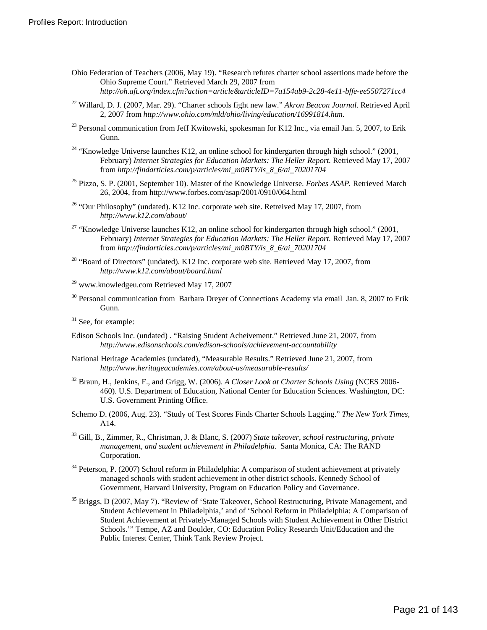- <span id="page-22-8"></span><span id="page-22-6"></span>Ohio Federation of Teachers (2006, May 19). "Research refutes charter school assertions made before the Ohio Supreme Court." Retrieved March 29, 2007 from *http://oh.aft.org/index.cfm?action=article&articleID=7a154ab9-2c28-4e11-bffe-ee5507271cc4*
- <span id="page-22-21"></span><span id="page-22-1"></span><span id="page-22-0"></span>22 Willard, D. J. (2007, Mar. 29). "Charter schools fight new law." *Akron Beacon Journal*. Retrieved April 2, 2007 from *http://www.ohio.com/mld/ohio/living/education/16991814.htm.*
- <span id="page-22-22"></span><span id="page-22-7"></span><span id="page-22-2"></span><sup>23</sup> Personal communication from Jeff Kwitowski, spokesman for K12 Inc., via email Jan. 5, 2007, to Erik Gunn.
- <span id="page-22-23"></span><sup>24</sup> "Knowledge Universe launches K12, an online school for kindergarten through high school." (2001, February) *Internet Strategies for Education Markets: The Heller Report.* Retrieved May 17, 2007 from *http://findarticles.com/p/articles/mi\_m0BTY/is\_8\_6/ai\_70201704*
- <span id="page-22-24"></span><sup>25</sup> Pizzo, S. P. (2001, September 10). Master of the Knowledge Universe. *Forbes ASAP.* Retrieved March 26, 2004, from http://www.forbes.com/asap/2001/0910/064.html
- <span id="page-22-25"></span><span id="page-22-3"></span><sup>26</sup> "Our Philosophy" (undated). K12 Inc. corporate web site. Retreived May 17, 2007, from *http://www.k12.com/about/*
- <span id="page-22-26"></span><span id="page-22-10"></span><span id="page-22-9"></span><sup>27</sup> "Knowledge Universe launches K12, an online school for kindergarten through high school." (2001, February) *Internet Strategies for Education Markets: The Heller Report.* Retrieved May 17, 2007 from *http://findarticles.com/p/articles/mi\_m0BTY/is\_8\_6/ai\_70201704*
- <span id="page-22-27"></span><span id="page-22-11"></span> $28$  "Board of Directors" (undated). K12 Inc. corporate web site. Retrieved May 17, 2007, from *http://www.k12.com/about/board.html*
- <span id="page-22-28"></span><span id="page-22-12"></span> $29$  www.knowledgeu.com Retrieved May 17, 2007
- <span id="page-22-29"></span><sup>30</sup> Personal communication from Barbara Dreyer of Connections Academy via email Jan. 8, 2007 to Erik Gunn.
- <span id="page-22-30"></span><span id="page-22-13"></span><sup>31</sup> See, for example:
- <span id="page-22-14"></span>Edison Schools Inc. (undated) . "Raising Student Acheivement." Retrieved June 21, 2007, from *http://www.edisonschools.com/edison-schools/achievement-accountability*
- <span id="page-22-4"></span>National Heritage Academies (undated), "Measurable Results." Retrieved June 21, 2007, from *http://www.heritageacademies.com/about-us/measurable-results/*
- <span id="page-22-31"></span><span id="page-22-15"></span>32 Braun, H., Jenkins, F., and Grigg, W. (2006). *A Closer Look at Charter Schools Using* (NCES 2006- 460). U.S. Department of Education, National Center for Education Sciences. Washington, DC: U.S. Government Printing Office.
- <span id="page-22-16"></span>Schemo D. (2006, Aug. 23). "Study of Test Scores Finds Charter Schools Lagging." *The New York Times*, A14.
- <span id="page-22-32"></span><span id="page-22-17"></span>33 Gill, B., Zimmer, R., Christman, J. & Blanc, S. (2007) *State takeover, school restructuring, private management, and student achievement in Philadelphia*. Santa Monica, CA: The RAND Corporation.
- <span id="page-22-33"></span><span id="page-22-18"></span><sup>34</sup> Peterson, P. (2007) School reform in Philadelphia: A comparison of student achievement at privately managed schools with student achievement in other district schools. Kennedy School of Government, Harvard University, Program on Education Policy and Governance.
- <span id="page-22-34"></span><span id="page-22-20"></span><span id="page-22-19"></span><span id="page-22-5"></span><sup>35</sup> Briggs, D (2007, May 7). "Review of 'State Takeover, School Restructuring, Private Management, and Student Achievement in Philadelphia,' and of 'School Reform in Philadelphia: A Comparison of Student Achievement at Privately-Managed Schools with Student Achievement in Other District Schools.'" Tempe, AZ and Boulder, CO: Education Policy Research Unit/Education and the Public Interest Center, Think Tank Review Project.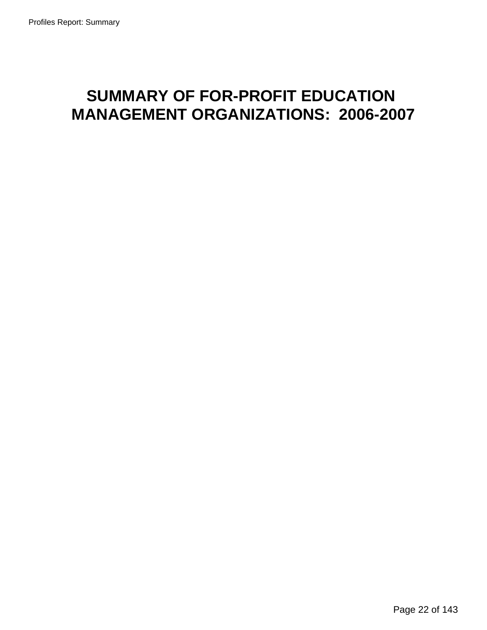# **SUMMARY OF FOR-PROFIT EDUCATION MANAGEMENT ORGANIZATIONS: 2006-2007**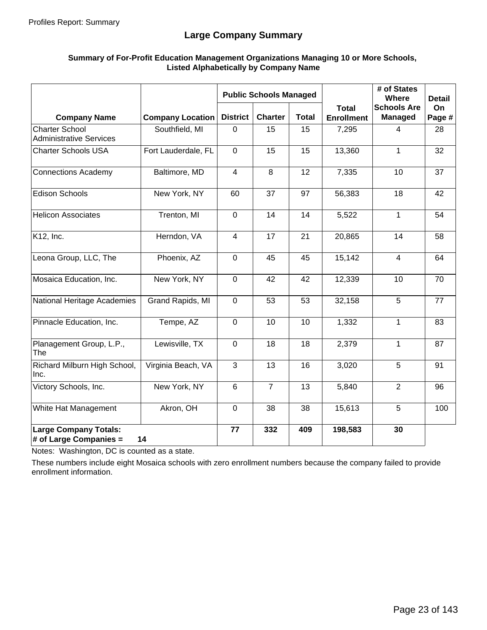# **Large Company Summary**

### **Summary of For-Profit Education Management Organizations Managing 10 or More Schools, Listed Alphabetically by Company Name**

|                                                         | <b>Public Schools Managed</b> |                 |                |              | # of States<br><b>Where</b>       | <b>Detail</b>                        |              |
|---------------------------------------------------------|-------------------------------|-----------------|----------------|--------------|-----------------------------------|--------------------------------------|--------------|
| <b>Company Name</b>                                     | <b>Company Location</b>       | <b>District</b> | <b>Charter</b> | <b>Total</b> | <b>Total</b><br><b>Enrollment</b> | <b>Schools Are</b><br><b>Managed</b> | On<br>Page # |
| <b>Charter School</b><br><b>Administrative Services</b> | Southfield, MI                | $\mathbf 0$     | 15             | 15           | 7,295                             | $\overline{4}$                       | 28           |
| <b>Charter Schools USA</b>                              | Fort Lauderdale, FL           | $\Omega$        | 15             | 15           | 13,360                            | 1                                    | 32           |
| <b>Connections Academy</b>                              | Baltimore, MD                 | $\overline{4}$  | 8              | 12           | 7,335                             | 10                                   | 37           |
| <b>Edison Schools</b>                                   | New York, NY                  | 60              | 37             | 97           | 56,383                            | 18                                   | 42           |
| <b>Helicon Associates</b>                               | Trenton, MI                   | $\mathbf 0$     | 14             | 14           | 5,522                             | 1                                    | 54           |
| K12, Inc.                                               | Herndon, VA                   | 4               | 17             | 21           | 20,865                            | 14                                   | 58           |
| Leona Group, LLC, The                                   | Phoenix, AZ                   | $\mathbf 0$     | 45             | 45           | 15,142                            | $\overline{4}$                       | 64           |
| Mosaica Education, Inc.                                 | New York, NY                  | $\mathbf 0$     | 42             | 42           | 12,339                            | 10                                   | 70           |
| National Heritage Academies                             | Grand Rapids, MI              | $\mathbf 0$     | 53             | 53           | 32,158                            | 5                                    | 77           |
| Pinnacle Education, Inc.                                | Tempe, AZ                     | $\mathbf 0$     | 10             | 10           | 1,332                             | 1                                    | 83           |
| Planagement Group, L.P.,<br>The                         | Lewisville, TX                | $\mathbf 0$     | 18             | 18           | 2,379                             | 1                                    | 87           |
| Richard Milburn High School,<br>Inc.                    | Virginia Beach, VA            | 3               | 13             | 16           | 3,020                             | 5                                    | 91           |
| Victory Schools, Inc.                                   | New York, NY                  | $6\phantom{1}$  | $\overline{7}$ | 13           | 5,840                             | $\overline{2}$                       | 96           |
| White Hat Management                                    | Akron, OH                     | $\overline{0}$  | 38             | 38           | 15,613                            | 5                                    | 100          |
| <b>Large Company Totals:</b><br># of Large Companies =  | 14                            | 77              | 332            | 409          | 198,583                           | 30                                   |              |

Notes: Washington, DC is counted as a state.

These numbers include eight Mosaica schools with zero enrollment numbers because the company failed to provide enrollment information.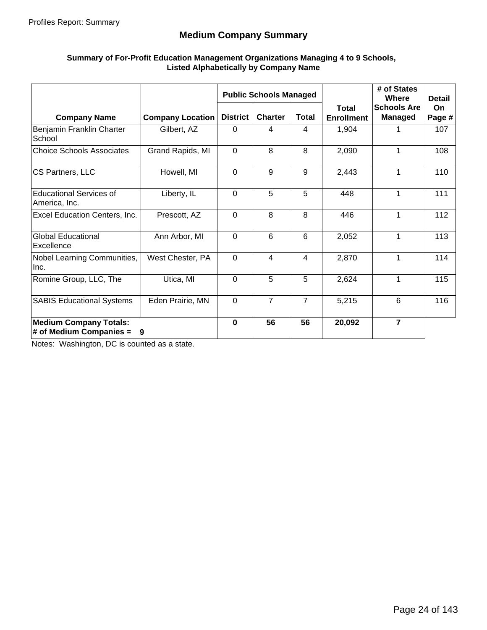# **Medium Company Summary**

#### **Summary of For-Profit Education Management Organizations Managing 4 to 9 Schools, Listed Alphabetically by Company Name**

|                                                            |                         |                 | <b>Public Schools Managed</b> |                |                                   | # of States<br>Where                 | <b>Detail</b>       |
|------------------------------------------------------------|-------------------------|-----------------|-------------------------------|----------------|-----------------------------------|--------------------------------------|---------------------|
| <b>Company Name</b>                                        | <b>Company Location</b> | <b>District</b> | <b>Charter</b>                | <b>Total</b>   | <b>Total</b><br><b>Enrollment</b> | <b>Schools Are</b><br><b>Managed</b> | <b>On</b><br>Page # |
| Benjamin Franklin Charter<br>School                        | Gilbert, AZ             | 0               | 4                             | 4              | 1,904                             |                                      | 107                 |
| <b>Choice Schools Associates</b>                           | Grand Rapids, MI        | $\mathbf 0$     | 8                             | 8              | 2,090                             | 1                                    | 108                 |
| CS Partners, LLC                                           | Howell, MI              | $\Omega$        | 9                             | 9              | 2,443                             | 1                                    | 110                 |
| <b>Educational Services of</b><br>America, Inc.            | Liberty, IL             | $\mathbf 0$     | 5                             | 5              | 448                               | 1                                    | 111                 |
| Excel Education Centers, Inc.                              | Prescott, AZ            | $\mathbf 0$     | 8                             | 8              | 446                               | 1                                    | 112                 |
| <b>Global Educational</b><br>Excellence                    | Ann Arbor, MI           | $\mathbf 0$     | 6                             | 6              | 2,052                             | 1                                    | 113                 |
| Nobel Learning Communities,<br>Inc.                        | West Chester, PA        | $\Omega$        | 4                             | 4              | 2,870                             | 1                                    | 114                 |
| Romine Group, LLC, The                                     | Utica, MI               | $\Omega$        | 5                             | 5              | 2,624                             | 1                                    | 115                 |
| <b>SABIS Educational Systems</b>                           | Eden Prairie, MN        | $\mathbf 0$     | $\overline{7}$                | $\overline{7}$ | 5,215                             | 6                                    | 116                 |
| <b>Medium Company Totals:</b><br># of Medium Companies $=$ | 9                       | $\bf{0}$        | 56                            | 56             | 20,092                            | $\overline{7}$                       |                     |

Notes: Washington, DC is counted as a state.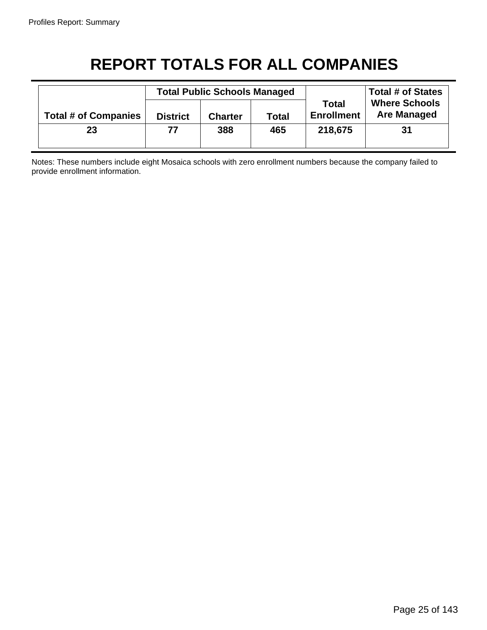# **REPORT TOTALS FOR ALL COMPANIES**

|                             | <b>Total Public Schools Managed</b> |                                |     |                                   | <b>Total # of States</b>                   |  |
|-----------------------------|-------------------------------------|--------------------------------|-----|-----------------------------------|--------------------------------------------|--|
| <b>Total # of Companies</b> | <b>District</b>                     | <b>Total</b><br><b>Charter</b> |     | <b>Total</b><br><b>Enrollment</b> | <b>Where Schools</b><br><b>Are Managed</b> |  |
| 23                          | 77                                  | 388                            | 465 | 218,675                           | 31                                         |  |

Notes: These numbers include eight Mosaica schools with zero enrollment numbers because the company failed to provide enrollment information.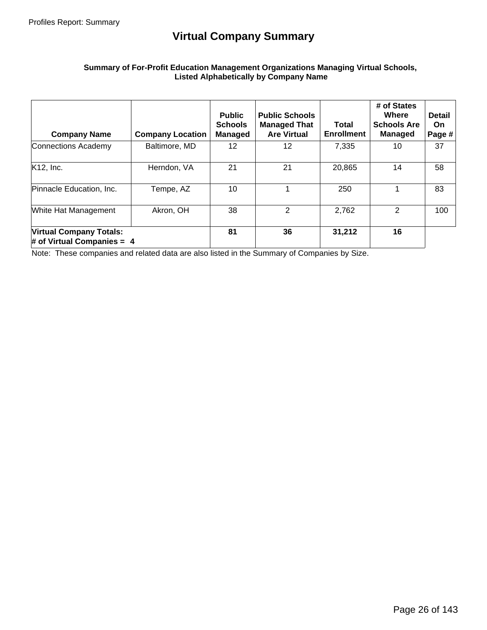# **Virtual Company Summary**

### **Summary of For-Profit Education Management Organizations Managing Virtual Schools, Listed Alphabetically by Company Name**

| <b>Company Name</b>                                            | <b>Company Location</b> | <b>Public</b><br><b>Schools</b><br><b>Managed</b> | <b>Public Schools</b><br><b>Managed That</b><br><b>Are Virtual</b> | Total<br><b>Enrollment</b> | # of States<br>Where<br><b>Schools Are</b><br><b>Managed</b> | <b>Detail</b><br><b>On</b><br>Page # |
|----------------------------------------------------------------|-------------------------|---------------------------------------------------|--------------------------------------------------------------------|----------------------------|--------------------------------------------------------------|--------------------------------------|
| Connections Academy                                            | Baltimore, MD           | 12                                                | 12                                                                 | 7,335                      | 10                                                           | 37                                   |
| K12, Inc.                                                      | Herndon, VA             | 21                                                | 21                                                                 | 20,865                     | 14                                                           | 58                                   |
| Pinnacle Education, Inc.                                       | Tempe, AZ               | 10                                                |                                                                    | 250                        |                                                              | 83                                   |
| White Hat Management                                           | Akron, OH               | 38                                                | 2                                                                  | 2,762                      | 2                                                            | 100                                  |
| <b>Virtual Company Totals:</b><br># of Virtual Companies = $4$ |                         | 81                                                | 36                                                                 | 31,212                     | 16                                                           |                                      |

Note: These companies and related data are also listed in the Summary of Companies by Size.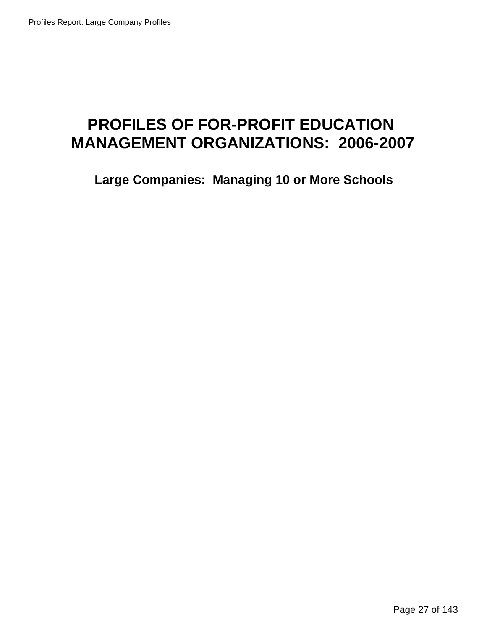# **PROFILES OF FOR-PROFIT EDUCATION MANAGEMENT ORGANIZATIONS: 2006-2007**

**Large Companies: Managing 10 or More Schools**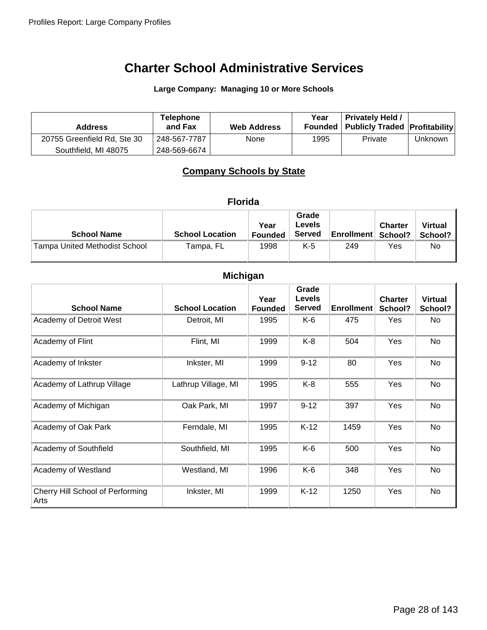**Large Company: Managing 10 or More Schools**

| <b>Address</b>              | <b>Telephone</b><br>and Fax | <b>Web Address</b> | Year | <b>Privately Held /</b><br>Founded   Publicly Traded   Profitability |         |
|-----------------------------|-----------------------------|--------------------|------|----------------------------------------------------------------------|---------|
| 20755 Greenfield Rd, Ste 30 | 248-567-7787                | None               | 1995 | Private                                                              | Unknown |
| Southfield, MI 48075        | 248-569-6674                |                    |      |                                                                      |         |

# **Company Schools by State**

|  | oria |  |
|--|------|--|
|  |      |  |
|  |      |  |

| <b>School Name</b>                   | <b>School Location</b> | Year<br><b>Founded</b> | Grade<br>Levels<br><b>Served</b> | <b>Enrollment   School?</b> | <b>Charter</b> | <b>Virtual</b><br>School? |
|--------------------------------------|------------------------|------------------------|----------------------------------|-----------------------------|----------------|---------------------------|
| <b>Tampa United Methodist School</b> | Tampa, FL              | 1998                   | K-5                              | 249                         | Yes            | No                        |

# **Michigan**

| <b>School Name</b>                       | <b>School Location</b> | Year<br><b>Founded</b> | Grade<br><b>Levels</b><br><b>Served</b> | <b>Enrollment</b> | <b>Charter</b><br>School? | <b>Virtual</b><br>School? |
|------------------------------------------|------------------------|------------------------|-----------------------------------------|-------------------|---------------------------|---------------------------|
| Academy of Detroit West                  | Detroit, MI            | 1995                   | K-6                                     | 475               | Yes                       | No                        |
| Academy of Flint                         | Flint, MI              | 1999                   | $K-8$                                   | 504               | Yes                       | No                        |
| Academy of Inkster                       | Inkster, MI            | 1999                   | $9 - 12$                                | 80                | Yes                       | No                        |
| Academy of Lathrup Village               | Lathrup Village, MI    | 1995                   | $K-8$                                   | 555               | Yes                       | No                        |
| Academy of Michigan                      | Oak Park, MI           | 1997                   | $9 - 12$                                | 397               | Yes                       | No                        |
| Academy of Oak Park                      | Ferndale, MI           | 1995                   | $K-12$                                  | 1459              | Yes                       | <b>No</b>                 |
| Academy of Southfield                    | Southfield, MI         | 1995                   | K-6                                     | 500               | Yes                       | No                        |
| Academy of Westland                      | Westland, MI           | 1996                   | K-6                                     | 348               | Yes                       | No                        |
| Cherry Hill School of Performing<br>Arts | Inkster, MI            | 1999                   | $K-12$                                  | 1250              | Yes                       | No                        |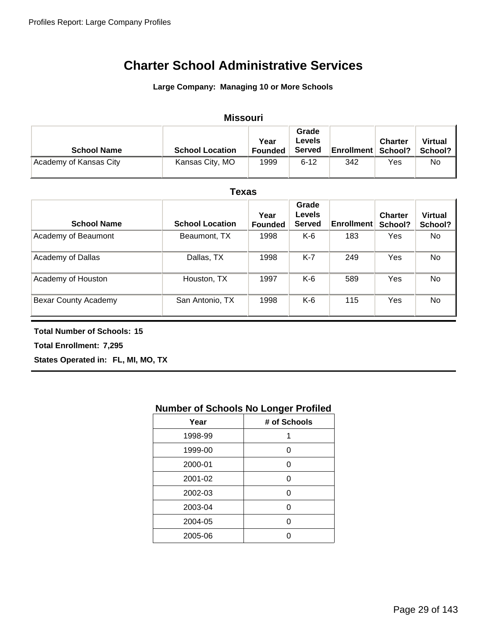### **Large Company: Managing 10 or More Schools**

#### Academy of Kansas City **Kansas City, MO** 1999 6-12 342 Yes No **School Name School Location Year Founded Grade Levels Served Enrollment Charter School? Missouri Virtual School?**

#### **Texas**

| <b>School Name</b>   | <b>School Location</b> | Year<br><b>Founded</b> | Grade<br><b>Levels</b><br><b>Served</b> | <b>Enrollment</b> | <b>Charter</b><br>School? | <b>Virtual</b><br>School? |
|----------------------|------------------------|------------------------|-----------------------------------------|-------------------|---------------------------|---------------------------|
| Academy of Beaumont  | Beaumont, TX           | 1998                   | K-6                                     | 183               | Yes                       | No                        |
| Academy of Dallas    | Dallas, TX             | 1998                   | $K-7$                                   | 249               | Yes                       | No                        |
| Academy of Houston   | Houston, TX            | 1997                   | K-6                                     | 589               | Yes                       | No                        |
| Bexar County Academy | San Antonio, TX        | 1998                   | $K-6$                                   | 115               | Yes                       | <b>No</b>                 |

### **Total Number of Schools: 15**

**Total Enrollment: 7,295**

**States Operated in: FL, MI, MO, TX**

# **Number of Schools No Longer Profiled**

| Year    | # of Schools |
|---------|--------------|
| 1998-99 | 1            |
| 1999-00 | ი            |
| 2000-01 | ი            |
| 2001-02 | ი            |
| 2002-03 | ∩            |
| 2003-04 | n            |
| 2004-05 |              |
| 2005-06 |              |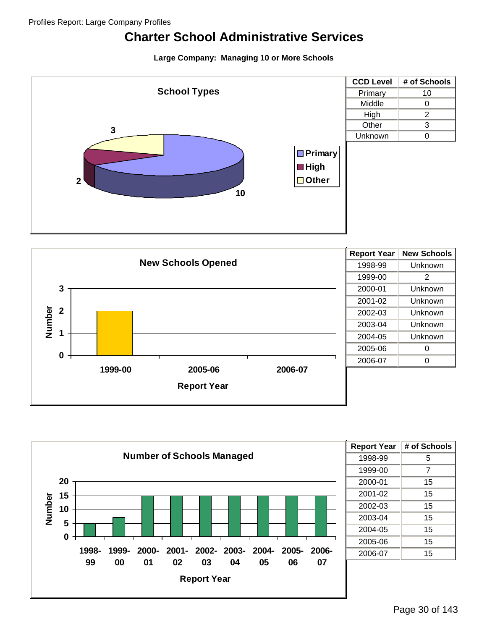# **Large Company: Managing 10 or More Schools**







| <b>Report Year</b> | # of Schools |
|--------------------|--------------|
| 1998-99            | 5            |
| 1999-00            | 7            |
| 2000-01            | 15           |
| 2001-02            | 15           |
| 2002-03            | 15           |
| 2003-04            | 15           |
| 2004-05            | 15           |
| 2005-06            | 15           |
| 2006-07            | 15           |
|                    |              |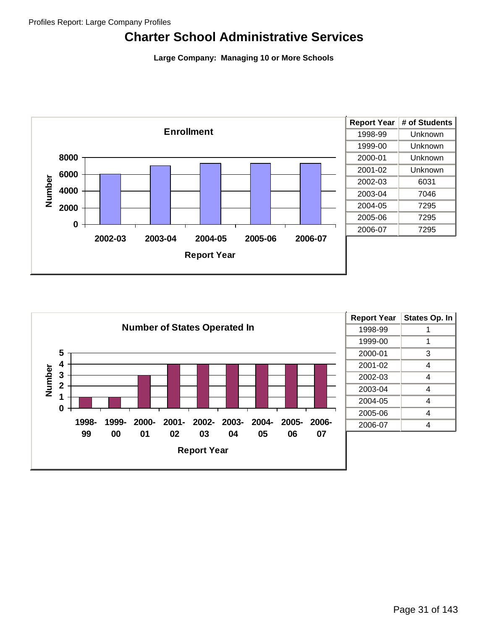**Large Company: Managing 10 or More Schools**



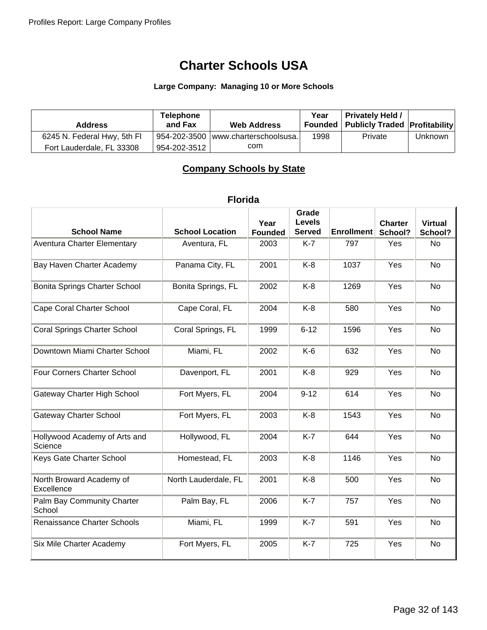# **Charter Schools USA**

# **Large Company: Managing 10 or More Schools**

| <b>Address</b>              | <b>Telephone</b><br>and Fax | <b>Web Address</b>                   | Year | <b>Privately Held /</b><br><b>Founded   Publicly Traded   Profitability </b> |         |
|-----------------------------|-----------------------------|--------------------------------------|------|------------------------------------------------------------------------------|---------|
| 6245 N. Federal Hwy, 5th Fl |                             | 954-202-3500 lwww.charterschoolsusa. | 1998 | Private                                                                      | Unknown |
| Fort Lauderdale, FL 33308   | 954-202-3512                | com                                  |      |                                                                              |         |

# **Company Schools by State**

# **Florida**

| <b>School Name</b>                       | <b>School Location</b> | Year<br><b>Founded</b> | Grade<br><b>Levels</b><br><b>Served</b> | <b>Enrollment</b> | <b>Charter</b><br>School? | <b>Virtual</b><br>School? |
|------------------------------------------|------------------------|------------------------|-----------------------------------------|-------------------|---------------------------|---------------------------|
| <b>Aventura Charter Elementary</b>       | Aventura, FL           | 2003                   | $K-7$                                   | 797               | Yes                       | No                        |
| Bay Haven Charter Academy                | Panama City, FL        | 2001                   | $K-8$                                   | 1037              | Yes                       | <b>No</b>                 |
| Bonita Springs Charter School            | Bonita Springs, FL     | 2002                   | $K-8$                                   | 1269              | Yes                       | <b>No</b>                 |
| <b>Cape Coral Charter School</b>         | Cape Coral, FL         | 2004                   | $K-8$                                   | 580               | Yes                       | <b>No</b>                 |
| <b>Coral Springs Charter School</b>      | Coral Springs, FL      | 1999                   | $6 - 12$                                | 1596              | Yes                       | <b>No</b>                 |
| Downtown Miami Charter School            | Miami, FL              | 2002                   | $K-6$                                   | 632               | Yes                       | <b>No</b>                 |
| Four Corners Charter School              | Davenport, FL          | 2001                   | $K-8$                                   | 929               | Yes                       | <b>No</b>                 |
| Gateway Charter High School              | Fort Myers, FL         | 2004                   | $9 - 12$                                | 614               | Yes                       | <b>No</b>                 |
| <b>Gateway Charter School</b>            | Fort Myers, FL         | 2003                   | $K-8$                                   | 1543              | Yes                       | <b>No</b>                 |
| Hollywood Academy of Arts and<br>Science | Hollywood, FL          | 2004                   | $K-7$                                   | 644               | Yes                       | <b>No</b>                 |
| Keys Gate Charter School                 | Homestead, FL          | 2003                   | $K-8$                                   | 1146              | Yes                       | No                        |
| North Broward Academy of<br>Excellence   | North Lauderdale, FL   | 2001                   | $K-8$                                   | 500               | Yes                       | <b>No</b>                 |
| Palm Bay Community Charter<br>School     | Palm Bay, FL           | 2006                   | $K-7$                                   | 757               | Yes                       | <b>No</b>                 |
| Renaissance Charter Schools              | Miami, FL              | 1999                   | $K-7$                                   | 591               | Yes                       | <b>No</b>                 |
| Six Mile Charter Academy                 | Fort Myers, FL         | 2005                   | $K-7$                                   | 725               | Yes                       | <b>No</b>                 |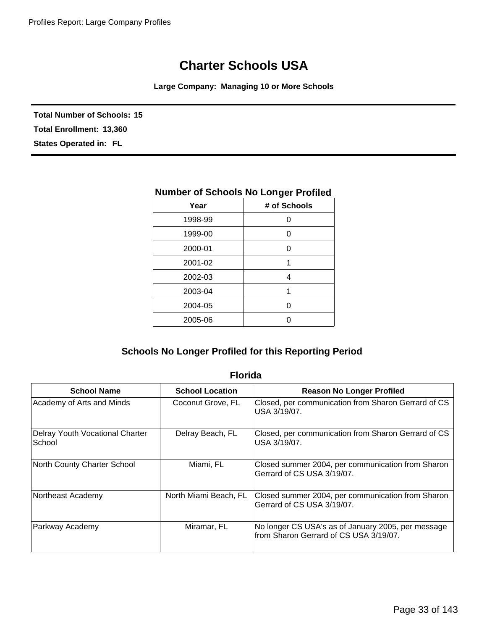# **Charter Schools USA**

**Large Company: Managing 10 or More Schools**

**Total Number of Schools: 15 States Operated in: FL Total Enrollment: 13,360**

| Year    | # of Schools |  |
|---------|--------------|--|
| 1998-99 | O            |  |
| 1999-00 | 0            |  |
| 2000-01 | 0            |  |
| 2001-02 | 1            |  |
| 2002-03 | 4            |  |
| 2003-04 | 1            |  |
| 2004-05 | 0            |  |
| 2005-06 | Ω            |  |
|         |              |  |

# **Number of Schools No Longer Profiled**

# **Schools No Longer Profiled for this Reporting Period**

| <b>School Name</b>                        | <b>School Location</b> | <b>Reason No Longer Profiled</b>                                                             |  |
|-------------------------------------------|------------------------|----------------------------------------------------------------------------------------------|--|
| Academy of Arts and Minds                 | Coconut Grove, FL      | Closed, per communication from Sharon Gerrard of CS<br>USA 3/19/07.                          |  |
| Delray Youth Vocational Charter<br>School | Delray Beach, FL       | Closed, per communication from Sharon Gerrard of CS<br>USA 3/19/07.                          |  |
| North County Charter School               | Miami, FL              | Closed summer 2004, per communication from Sharon<br>Gerrard of CS USA 3/19/07.              |  |
| Northeast Academy                         | North Miami Beach, FL  | Closed summer 2004, per communication from Sharon<br>Gerrard of CS USA 3/19/07.              |  |
| Parkway Academy                           | Miramar, FL            | No longer CS USA's as of January 2005, per message<br>from Sharon Gerrard of CS USA 3/19/07. |  |

## **Florida**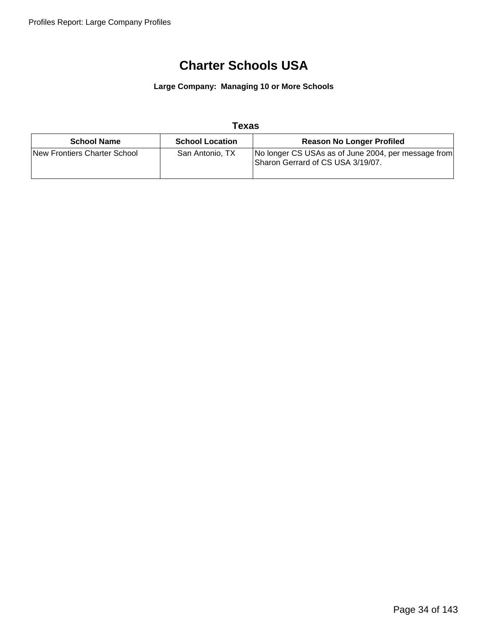# **Charter Schools USA**

**Large Company: Managing 10 or More Schools**

## **Texas**

| <b>School Name</b>           | <b>School Location</b> | <b>Reason No Longer Profiled</b>                                                         |
|------------------------------|------------------------|------------------------------------------------------------------------------------------|
| New Frontiers Charter School | San Antonio, TX        | No longer CS USAs as of June 2004, per message from<br>Sharon Gerrard of CS USA 3/19/07. |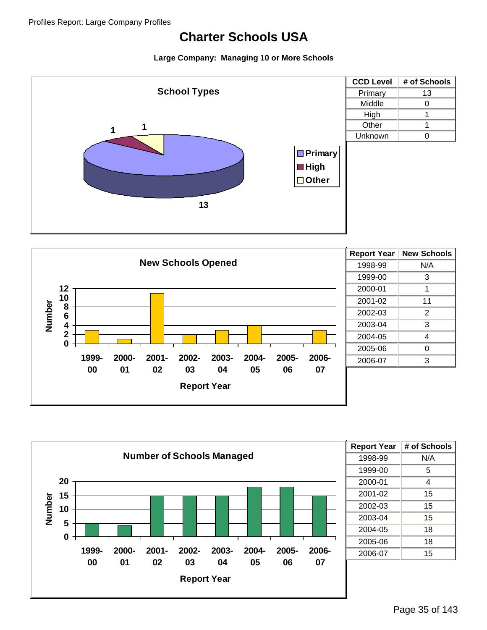## **Charter Schools USA**







| <b>Report Year</b> | # of Schools |
|--------------------|--------------|
| 1998-99            | N/A          |
| 1999-00            | 5            |
| 2000-01            | 4            |
| 2001-02            | 15           |
| 2002-03            | 15           |
| 2003-04            | 15           |
| 2004-05            | 18           |
| 2005-06            | 18           |
| 2006-07            | 15           |
|                    |              |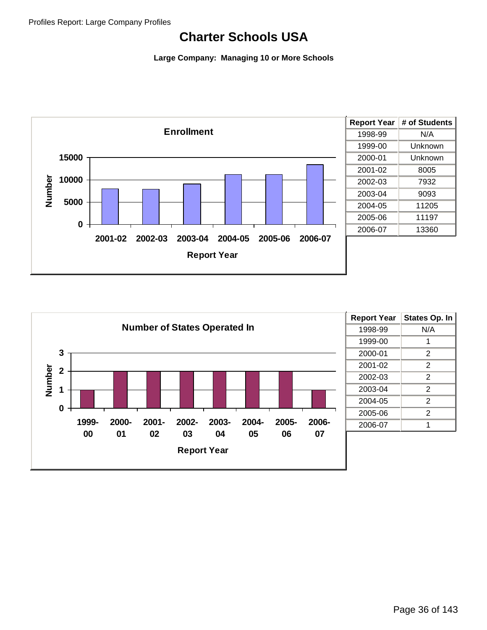## **Charter Schools USA**



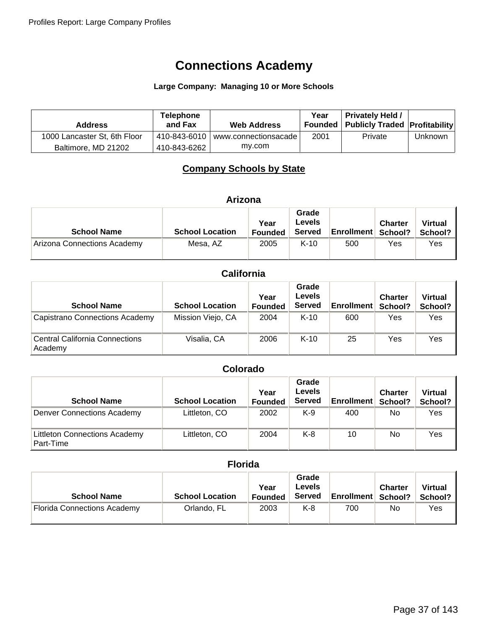### **Large Company: Managing 10 or More Schools**

| <b>Address</b>               | <b>Telephone</b><br>and Fax | <b>Web Address</b>                | Year | <b>Privately Held /</b><br>Founded   Publicly Traded   Profitability |         |
|------------------------------|-----------------------------|-----------------------------------|------|----------------------------------------------------------------------|---------|
| 1000 Lancaster St, 6th Floor |                             | 410-843-6010 www.connectionsacade | 2001 | Private                                                              | Unknown |
| Baltimore, MD 21202          | 410-843-6262                | mv.com                            |      |                                                                      |         |

## **Company Schools by State**

| Arizona                     |                        |                        |                                         |                   |                           |                           |
|-----------------------------|------------------------|------------------------|-----------------------------------------|-------------------|---------------------------|---------------------------|
| <b>School Name</b>          | <b>School Location</b> | Year<br><b>Founded</b> | Grade<br><b>Levels</b><br><b>Served</b> | <b>Enrollment</b> | <b>Charter</b><br>School? | <b>Virtual</b><br>School? |
| Arizona Connections Academy | Mesa, AZ               | 2005                   | $K-10$                                  | 500               | Yes                       | Yes                       |

### **California**

| <b>School Name</b>                               | <b>School Location</b> | Year<br><b>Founded</b> | Grade<br><b>Levels</b><br><b>Served</b> | <b>Enrollment</b> | <b>Charter</b><br>School? | <b>Virtual</b><br>School? |
|--------------------------------------------------|------------------------|------------------------|-----------------------------------------|-------------------|---------------------------|---------------------------|
| Capistrano Connections Academy                   | Mission Viejo, CA      | 2004                   | $K-10$                                  | 600               | Yes                       | Yes                       |
| <b>Central California Connections</b><br>Academy | Visalia, CA            | 2006                   | $K-10$                                  | 25                | Yes                       | Yes                       |

### **Colorado**

| <b>School Name</b>                                | <b>School Location</b> | Year<br><b>Founded</b> | Grade<br><b>Levels</b><br><b>Served</b> | <b>Enrollment</b> | <b>Charter</b><br>School? | <b>Virtual</b><br>School? |
|---------------------------------------------------|------------------------|------------------------|-----------------------------------------|-------------------|---------------------------|---------------------------|
| <b>Denver Connections Academy</b>                 | Littleton, CO          | 2002                   | $K-9$                                   | 400               | No                        | Yes                       |
| <b>Littleton Connections Academy</b><br>Part-Time | Littleton, CO          | 2004                   | $K-8$                                   | 10                | No                        | Yes                       |

### **Florida**

| <b>School Name</b>                 | <b>School Location</b> | Year<br><b>Founded</b> | Grade<br>Levels<br><b>Served</b> | <b>Enrollment   School?</b> | <b>Charter</b> | <b>Virtual</b><br>School? |
|------------------------------------|------------------------|------------------------|----------------------------------|-----------------------------|----------------|---------------------------|
| <b>Florida Connections Academy</b> | Orlando, FL            | 2003                   | $K-8$                            | 700                         | No             | Yes                       |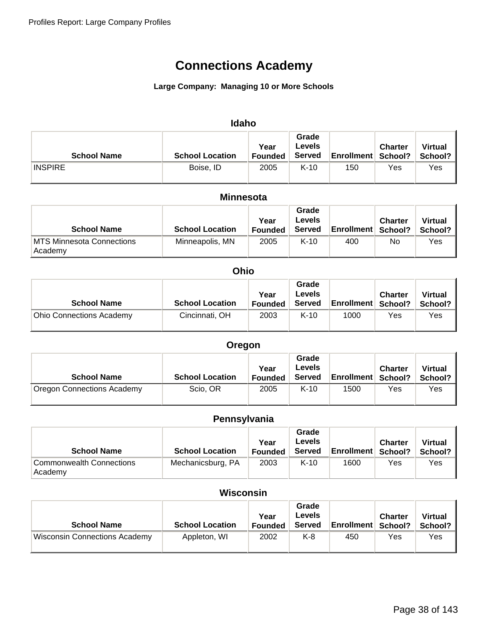### **Large Company: Managing 10 or More Schools**

| <b>Idaho</b>       |                        |                        |                                  |                           |                |                           |  |
|--------------------|------------------------|------------------------|----------------------------------|---------------------------|----------------|---------------------------|--|
| <b>School Name</b> | <b>School Location</b> | Year<br><b>Founded</b> | Grade<br>Levels<br><b>Served</b> | <b>Enrollment School?</b> | <b>Charter</b> | <b>Virtual</b><br>School? |  |
| <b>INSPIRE</b>     | Boise, ID              | 2005                   | $K-10$                           | 150                       | Yes            | Yes                       |  |

#### **Minnesota**

| <b>School Name</b>                           | <b>School Location</b> | Year<br>Founded | Grade<br>Levels<br><b>Served</b> | <b>Enrollment School?</b> | <b>Charter</b> | <b>Virtual</b><br>School? |
|----------------------------------------------|------------------------|-----------------|----------------------------------|---------------------------|----------------|---------------------------|
| <b>IMTS Minnesota Connections</b><br>Academy | Minneapolis, MN        | 2005            | $K-10$                           | 400                       | No             | Yes                       |

#### **Ohio**

| <b>School Name</b>              | <b>School Location</b> | Year<br><b>Founded</b> | Grade<br>Levels<br><b>Served</b> | <b>Enrollment School?</b> | <b>Charter</b> | <b>Virtual</b><br>School? |
|---------------------------------|------------------------|------------------------|----------------------------------|---------------------------|----------------|---------------------------|
| <b>Ohio Connections Academy</b> | Cincinnati, OH         | 2003                   | $K-10$                           | 1000                      | Yes            | Yes                       |

| Oregon                     |                        |                        |                                  |                             |                |                           |
|----------------------------|------------------------|------------------------|----------------------------------|-----------------------------|----------------|---------------------------|
| <b>School Name</b>         | <b>School Location</b> | Year<br><b>Founded</b> | Grade<br>Levels<br><b>Served</b> | <b>Enrollment   School?</b> | <b>Charter</b> | <b>Virtual</b><br>School? |
| Oregon Connections Academy | Scio, OR               | 2005                   | $K-10$                           | 1500                        | Yes            | Yes                       |

### **Pennsylvania**

| <b>School Name</b>                  | <b>School Location</b> | Year<br><b>Founded</b> | Grade<br>Levels<br><b>Served</b> | <b>Enrollment   School?</b> | <b>Charter</b> | <b>Virtual</b><br>School? |
|-------------------------------------|------------------------|------------------------|----------------------------------|-----------------------------|----------------|---------------------------|
| Commonwealth Connections<br>Academy | Mechanicsburg, PA      | 2003                   | $K-10$                           | 1600                        | Yes            | Yes                       |

### **Wisconsin**

| <b>School Name</b>                   | <b>School Location</b> | Year<br><b>Founded</b> | Grade<br>Levels<br>Served | <b>Enrollment</b> | <b>Charter</b><br>School? | <b>Virtual</b><br>School? |
|--------------------------------------|------------------------|------------------------|---------------------------|-------------------|---------------------------|---------------------------|
| <b>Wisconsin Connections Academy</b> | Appleton, WI           | 2002                   | K-8                       | 450               | Yes                       | Yes                       |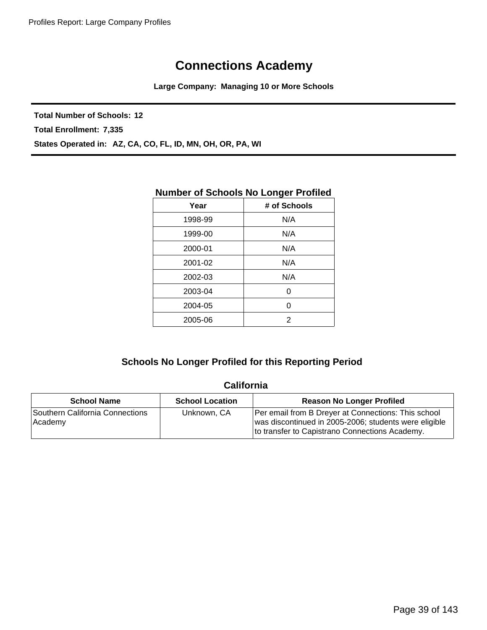**Large Company: Managing 10 or More Schools**

**Total Number of Schools: 12**

**Total Enrollment: 7,335**

**States Operated in: AZ, CA, CO, FL, ID, MN, OH, OR, PA, WI**

|         | nambor or concolo no Longor rionical |
|---------|--------------------------------------|
| Year    | # of Schools                         |
| 1998-99 | N/A                                  |
| 1999-00 | N/A                                  |
| 2000-01 | N/A                                  |
| 2001-02 | N/A                                  |
| 2002-03 | N/A                                  |
| 2003-04 | 0                                    |
| 2004-05 | 0                                    |
| 2005-06 | 2                                    |
|         |                                      |

### **Number of Schools No Longer Profiled**

### **Schools No Longer Profiled for this Reporting Period**

### **California**

| <b>School Name</b>                          | <b>School Location</b> | <b>Reason No Longer Profiled</b>                                                                                                                               |
|---------------------------------------------|------------------------|----------------------------------------------------------------------------------------------------------------------------------------------------------------|
| Southern California Connections<br>⊪Academy | Unknown, CA            | Per email from B Dreyer at Connections: This school<br>was discontinued in 2005-2006; students were eligible<br>to transfer to Capistrano Connections Academy. |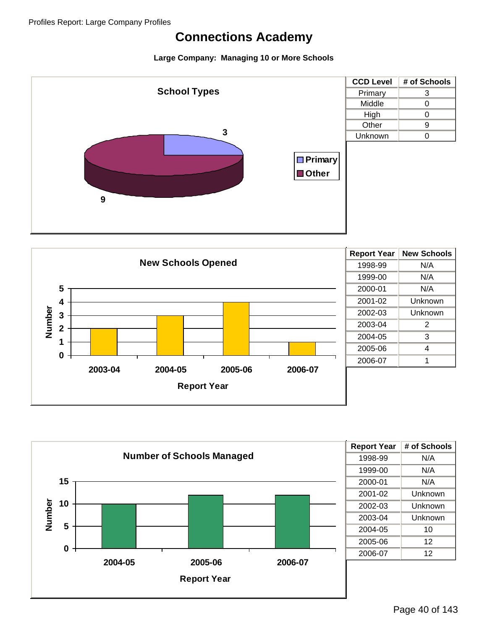



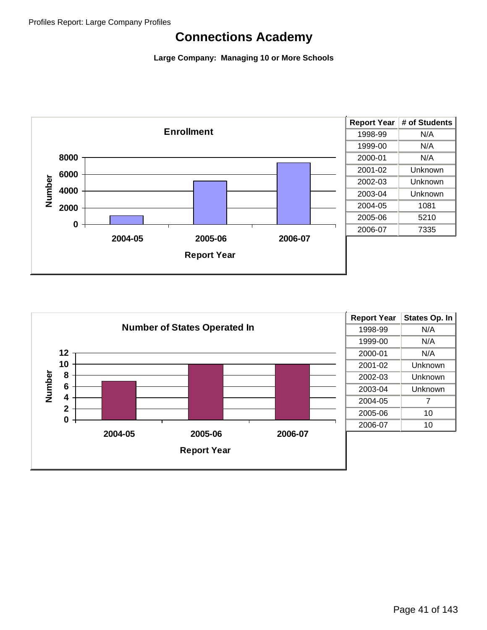

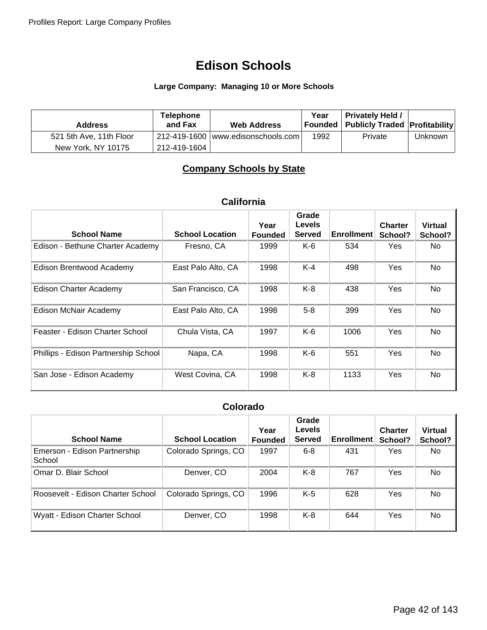### **Large Company: Managing 10 or More Schools**

| <b>Address</b>          | <b>Telephone</b><br>and Fax | <b>Web Address</b>                   | Year | <b>Privately Held /</b><br>Founded   Publicly Traded   Profitability |         |
|-------------------------|-----------------------------|--------------------------------------|------|----------------------------------------------------------------------|---------|
| 521 5th Ave, 11th Floor |                             | 212-419-1600   www.edisonschools.com | 1992 | Private                                                              | Unknown |
| New York, NY 10175      | 212-419-1604                |                                      |      |                                                                      |         |

## **Company Schools by State**

### **California**

|                                      |                        | Year           | Grade<br><b>Levels</b> |                   | <b>Charter</b> | <b>Virtual</b> |
|--------------------------------------|------------------------|----------------|------------------------|-------------------|----------------|----------------|
| <b>School Name</b>                   | <b>School Location</b> | <b>Founded</b> | <b>Served</b>          | <b>Enrollment</b> | School?        | School?        |
| Edison - Bethune Charter Academy     | Fresno, CA             | 1999           | K-6                    | 534               | Yes            | No.            |
| Edison Brentwood Academy             | East Palo Alto, CA     | 1998           | $K-4$                  | 498               | <b>Yes</b>     | No.            |
| <b>Edison Charter Academy</b>        | San Francisco, CA      | 1998           | $K-8$                  | 438               | Yes            | No.            |
| Edison McNair Academy                | East Palo Alto, CA     | 1998           | $5-8$                  | 399               | <b>Yes</b>     | No.            |
| Feaster - Edison Charter School      | Chula Vista, CA        | 1997           | $K-6$                  | 1006              | Yes            | N <sub>o</sub> |
| Phillips - Edison Partnership School | Napa, CA               | 1998           | $K-6$                  | 551               | Yes            | No             |
| San Jose - Edison Academy            | West Covina, CA        | 1998           | K-8                    | 1133              | Yes            | No             |

### **Colorado**

| <b>School Name</b>                     | <b>School Location</b> | Year<br><b>Founded</b> | Grade<br>Levels<br><b>Served</b> | <b>Enrollment</b> | <b>Charter</b><br>School? | <b>Virtual</b><br>School? |
|----------------------------------------|------------------------|------------------------|----------------------------------|-------------------|---------------------------|---------------------------|
| Emerson - Edison Partnership<br>School | Colorado Springs, CO   | 1997                   | $6 - 8$                          | 431               | Yes                       | No.                       |
| Omar D. Blair School                   | Denver, CO             | 2004                   | K-8                              | 767               | Yes                       | No                        |
| Roosevelt - Edison Charter School      | Colorado Springs, CO   | 1996                   | $K-5$                            | 628               | Yes                       | No                        |
| Wyatt - Edison Charter School          | Denver, CO             | 1998                   | $K-8$                            | 644               | Yes                       | No                        |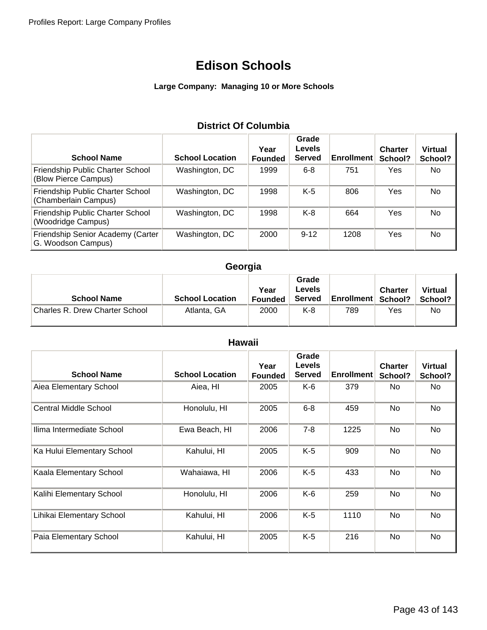### **Large Company: Managing 10 or More Schools**

## **District Of Columbia**

| <b>School Name</b>                                       | <b>School Location</b> | Year<br><b>Founded</b> | Grade<br><b>Levels</b><br><b>Served</b> | <b>Enrollment</b> | <b>Charter</b><br>School? | <b>Virtual</b><br>School? |
|----------------------------------------------------------|------------------------|------------------------|-----------------------------------------|-------------------|---------------------------|---------------------------|
| Friendship Public Charter School<br>(Blow Pierce Campus) | Washington, DC         | 1999                   | $6 - 8$                                 | 751               | Yes                       | No.                       |
| Friendship Public Charter School<br>(Chamberlain Campus) | Washington, DC         | 1998                   | $K-5$                                   | 806               | Yes                       | No                        |
| Friendship Public Charter School<br>(Woodridge Campus)   | Washington, DC         | 1998                   | K-8                                     | 664               | Yes                       | No.                       |
| Friendship Senior Academy (Carter<br>G. Woodson Campus)  | Washington, DC         | 2000                   | $9 - 12$                                | 1208              | Yes                       | No                        |

## **Georgia**

| <b>School Name</b>             | <b>School Location</b> | Year<br><b>Founded</b> | Grade<br>Levels<br><b>Served</b> | <b>Enrollment</b> | <b>Charter</b><br>School? | <b>Virtual</b><br>School? |
|--------------------------------|------------------------|------------------------|----------------------------------|-------------------|---------------------------|---------------------------|
| Charles R. Drew Charter School | Atlanta, GA            | 2000                   | K-8                              | 789               | Yes                       | No.                       |

| <b>Hawaii</b>                |                        |                        |                                         |                   |                           |                           |  |
|------------------------------|------------------------|------------------------|-----------------------------------------|-------------------|---------------------------|---------------------------|--|
| <b>School Name</b>           | <b>School Location</b> | Year<br><b>Founded</b> | Grade<br><b>Levels</b><br><b>Served</b> | <b>Enrollment</b> | <b>Charter</b><br>School? | <b>Virtual</b><br>School? |  |
| Aiea Elementary School       | Aiea, HI               | 2005                   | K-6                                     | 379               | No.                       | No.                       |  |
| <b>Central Middle School</b> | Honolulu, HI           | 2005                   | $6 - 8$                                 | 459               | No.                       | No                        |  |
| Ilima Intermediate School    | Ewa Beach, HI          | 2006                   | $7 - 8$                                 | 1225              | No                        | <b>No</b>                 |  |
| Ka Hului Elementary School   | Kahului, HI            | 2005                   | K-5                                     | 909               | No                        | No                        |  |
| Kaala Elementary School      | Wahaiawa, HI           | 2006                   | K-5                                     | 433               | No                        | No                        |  |
| Kalihi Elementary School     | Honolulu, HI           | 2006                   | K-6                                     | 259               | No                        | No                        |  |
| Lihikai Elementary School    | Kahului, HI            | 2006                   | $K-5$                                   | 1110              | No                        | <b>No</b>                 |  |
| Paia Elementary School       | Kahului, HI            | 2005                   | K-5                                     | 216               | No                        | <b>No</b>                 |  |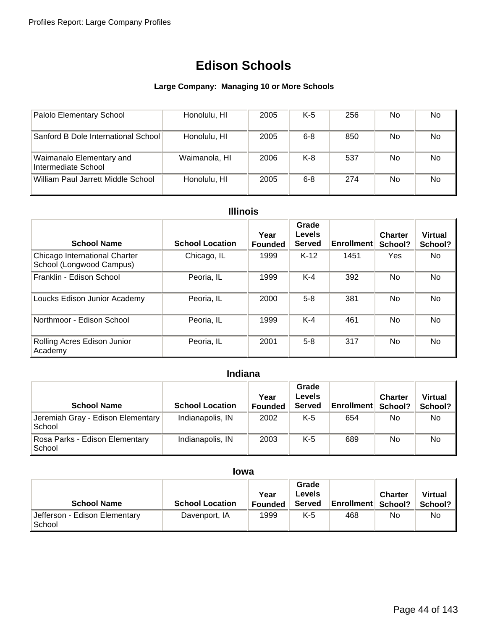### **Large Company: Managing 10 or More Schools**

| Palolo Elementary School                        | Honolulu, HI  | 2005 | K-5     | 256 | No. | No |
|-------------------------------------------------|---------------|------|---------|-----|-----|----|
| Sanford B Dole International School             | Honolulu, HI  | 2005 | $6 - 8$ | 850 | No. | No |
| Waimanalo Elementary and<br>Intermediate School | Waimanola, HI | 2006 | $K-8$   | 537 | No. | No |
| William Paul Jarrett Middle School              | Honolulu, HI  | 2005 | $6 - 8$ | 274 | No. | No |

### **Illinois**

| <b>School Name</b>                                        | <b>School Location</b> | Year<br><b>Founded</b> | Grade<br>Levels<br><b>Served</b> | <b>Enrollment</b> | <b>Charter</b><br>School? | <b>Virtual</b><br>School? |
|-----------------------------------------------------------|------------------------|------------------------|----------------------------------|-------------------|---------------------------|---------------------------|
| Chicago International Charter<br>School (Longwood Campus) | Chicago, IL            | 1999                   | $K-12$                           | 1451              | Yes                       | No.                       |
| Franklin - Edison School                                  | Peoria, IL             | 1999                   | $K-4$                            | 392               | <b>No</b>                 | No.                       |
| Loucks Edison Junior Academy                              | Peoria. IL             | 2000                   | $5 - 8$                          | 381               | <b>No</b>                 | No                        |
| Northmoor - Edison School                                 | Peoria, IL             | 1999                   | $K-4$                            | 461               | No                        | No                        |
| Rolling Acres Edison Junior<br>Academy                    | Peoria, IL             | 2001                   | $5 - 8$                          | 317               | <b>No</b>                 | No                        |

## **Indiana**

| <b>School Name</b>                          | <b>School Location</b> | Year<br><b>Founded</b> | Grade<br>Levels<br><b>Served</b> | <b>Enrollment</b> | <b>Charter</b><br>School? | <b>Virtual</b><br>School? |
|---------------------------------------------|------------------------|------------------------|----------------------------------|-------------------|---------------------------|---------------------------|
| Jeremiah Gray - Edison Elementary<br>School | Indianapolis, IN       | 2002                   | K-5                              | 654               | No                        | No                        |
| Rosa Parks - Edison Elementary<br>School    | Indianapolis, IN       | 2003                   | K-5                              | 689               | No                        | No                        |

### **Iowa**

| <b>School Name</b>                      | <b>School Location</b> | Year<br><b>Founded</b> | Grade<br><b>Levels</b><br><b>Served</b> | <b>Enrollment</b> | <b>Charter</b><br>School? | <b>Virtual</b><br>School? I |
|-----------------------------------------|------------------------|------------------------|-----------------------------------------|-------------------|---------------------------|-----------------------------|
| Jefferson - Edison Elementary<br>School | Davenport, IA          | 1999                   | K-5                                     | 468               | No                        | No                          |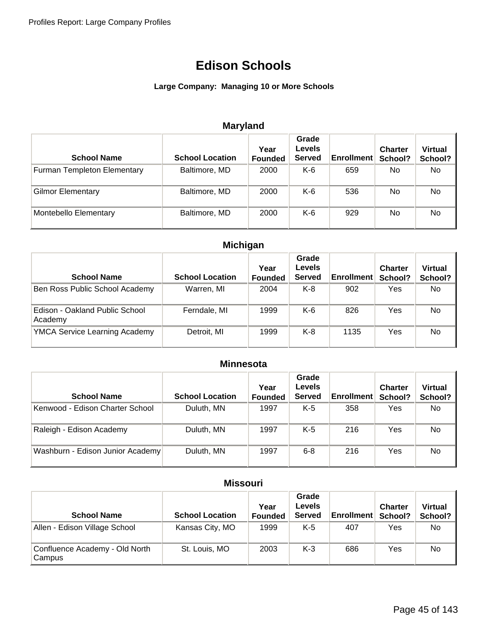### **Large Company: Managing 10 or More Schools**

## **Maryland**

| <b>School Name</b>                 | <b>School Location</b> | Year<br><b>Founded</b> | Grade<br><b>Levels</b><br><b>Served</b> | <b>Enrollment</b> | <b>Charter</b><br>School? | <b>Virtual</b><br>School? |
|------------------------------------|------------------------|------------------------|-----------------------------------------|-------------------|---------------------------|---------------------------|
| <b>Furman Templeton Elementary</b> | Baltimore, MD          | 2000                   | $K-6$                                   | 659               | No.                       | No                        |
| <b>Gilmor Elementary</b>           | Baltimore, MD          | 2000                   | K-6                                     | 536               | No.                       | No                        |
| <b>Montebello Elementary</b>       | Baltimore, MD          | 2000                   | $K-6$                                   | 929               | No.                       | <b>No</b>                 |

## **Michigan**

| <b>School Name</b>                        | <b>School Location</b> | Year<br><b>Founded</b> | Grade<br><b>Levels</b><br><b>Served</b> | <b>Enrollment</b> | <b>Charter</b><br>School? | <b>Virtual</b><br>School? |
|-------------------------------------------|------------------------|------------------------|-----------------------------------------|-------------------|---------------------------|---------------------------|
| Ben Ross Public School Academy            | Warren, MI             | 2004                   | $K-8$                                   | 902               | Yes                       | No.                       |
| Edison - Oakland Public School<br>Academy | Ferndale, MI           | 1999                   | K-6                                     | 826               | Yes                       | No                        |
| <b>YMCA Service Learning Academy</b>      | Detroit, MI            | 1999                   | $K-8$                                   | 1135              | Yes                       | <b>No</b>                 |

### **Minnesota**

| <b>School Name</b>               | <b>School Location</b> | Year<br><b>Founded</b> | Grade<br><b>Levels</b><br><b>Served</b> | <b>Enrollment</b> | <b>Charter</b><br>School? | <b>Virtual</b><br>School? |
|----------------------------------|------------------------|------------------------|-----------------------------------------|-------------------|---------------------------|---------------------------|
| Kenwood - Edison Charter School  | Duluth, MN             | 1997                   | $K-5$                                   | 358               | Yes                       | No.                       |
| Raleigh - Edison Academy         | Duluth, MN             | 1997                   | K-5                                     | 216               | Yes                       | No.                       |
| Washburn - Edison Junior Academy | Duluth, MN             | 1997                   | $6 - 8$                                 | 216               | Yes                       | No                        |

### **Missouri**

| <b>School Name</b>                       | <b>School Location</b> | Year<br><b>Founded</b> | Grade<br>Levels<br><b>Served</b> | <b>Enrollment</b> | <b>Charter</b><br>School? | <b>Virtual</b><br>School? |
|------------------------------------------|------------------------|------------------------|----------------------------------|-------------------|---------------------------|---------------------------|
| Allen - Edison Village School            | Kansas City, MO        | 1999                   | K-5                              | 407               | Yes                       | No.                       |
| Confluence Academy - Old North<br>Campus | St. Louis, MO          | 2003                   | $K-3$                            | 686               | Yes                       | No                        |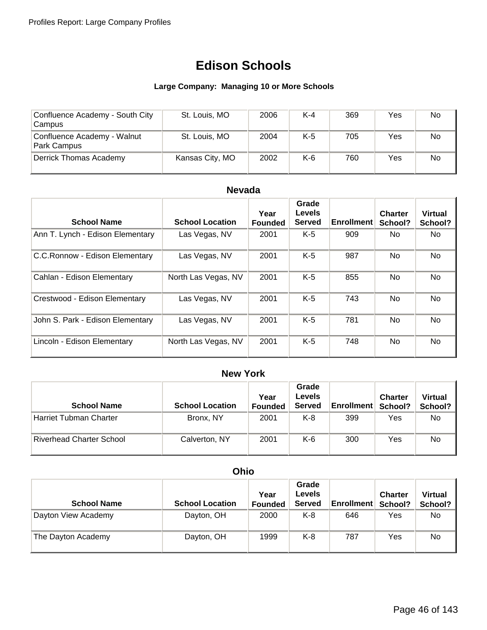### **Large Company: Managing 10 or More Schools**

| Confluence Academy - South City<br>Campus  | St. Louis, MO   | 2006 | $K-4$ | 369 | Yes | No  |
|--------------------------------------------|-----------------|------|-------|-----|-----|-----|
| Confluence Academy - Walnut<br>Park Campus | St. Louis, MO   | 2004 | K-5   | 705 | Yes | No. |
| Derrick Thomas Academy                     | Kansas City, MO | 2002 | K-6   | 760 | Yes | No  |

### **Nevada**

| <b>School Name</b>               | <b>School Location</b> | Year<br><b>Founded</b> | Grade<br>Levels<br><b>Served</b> | <b>Enrollment</b> | <b>Charter</b><br>School? | <b>Virtual</b><br>School? |
|----------------------------------|------------------------|------------------------|----------------------------------|-------------------|---------------------------|---------------------------|
| Ann T. Lynch - Edison Elementary | Las Vegas, NV          | 2001                   | $K-5$                            | 909               | No.                       | No.                       |
| C.C.Ronnow - Edison Elementary   | Las Vegas, NV          | 2001                   | $K-5$                            | 987               | <b>No</b>                 | No                        |
| Cahlan - Edison Elementary       | North Las Vegas, NV    | 2001                   | $K-5$                            | 855               | <b>No</b>                 | No                        |
| Crestwood - Edison Elementary    | Las Vegas, NV          | 2001                   | $K-5$                            | 743               | <b>No</b>                 | No.                       |
| John S. Park - Edison Elementary | Las Vegas, NV          | 2001                   | $K-5$                            | 781               | <b>No</b>                 | No.                       |
| Lincoln - Edison Elementary      | North Las Vegas, NV    | 2001                   | $K-5$                            | 748               | No.                       | No.                       |

## **New York**

| <b>School Name</b>              | <b>School Location</b> | Year<br><b>Founded</b> | Grade<br><b>Levels</b><br><b>Served</b> | <b>Enrollment</b> | <b>Charter</b><br>School? | <b>Virtual</b><br>School? |
|---------------------------------|------------------------|------------------------|-----------------------------------------|-------------------|---------------------------|---------------------------|
| Harriet Tubman Charter          | Bronx, NY              | 2001                   | K-8                                     | 399               | Yes                       | No.                       |
| <b>Riverhead Charter School</b> | Calverton, NY          | 2001                   | K-6                                     | 300               | Yes                       | No                        |

## **Ohio**

| <b>School Name</b>  | <b>School Location</b> | Year<br><b>Founded</b> | Grade<br><b>Levels</b><br><b>Served</b> | <b>Enrollment</b> | <b>Charter</b><br>School? | <b>Virtual</b><br>School? |
|---------------------|------------------------|------------------------|-----------------------------------------|-------------------|---------------------------|---------------------------|
| Dayton View Academy | Dayton, OH             | 2000                   | K-8                                     | 646               | Yes                       | No.                       |
| The Dayton Academy  | Dayton, OH             | 1999                   | K-8                                     | 787               | Yes                       | No                        |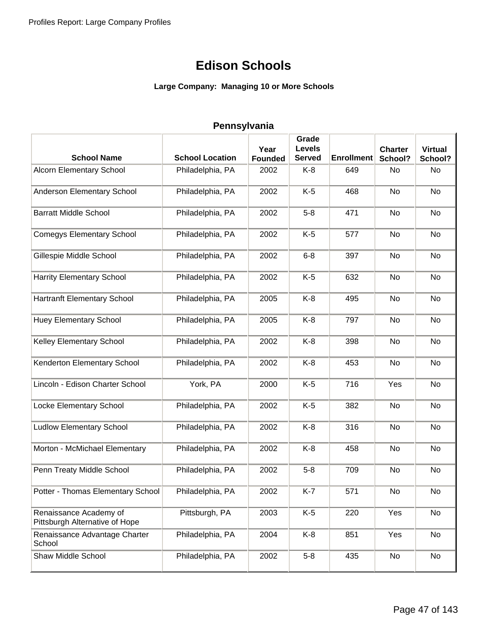### **Large Company: Managing 10 or More Schools**

|                                                          |                        |                | Grade         |                   |                |                |
|----------------------------------------------------------|------------------------|----------------|---------------|-------------------|----------------|----------------|
|                                                          |                        | Year           | <b>Levels</b> |                   | <b>Charter</b> | <b>Virtual</b> |
| <b>School Name</b>                                       | <b>School Location</b> | <b>Founded</b> | <b>Served</b> | <b>Enrollment</b> | School?        | School?        |
| <b>Alcorn Elementary School</b>                          | Philadelphia, PA       | 2002           | K-8           | 649               | No             | No             |
| Anderson Elementary School                               | Philadelphia, PA       | 2002           | $K-5$         | 468               | No             | No             |
| <b>Barratt Middle School</b>                             | Philadelphia, PA       | 2002           | $5-8$         | 471               | No             | No             |
| <b>Comegys Elementary School</b>                         | Philadelphia, PA       | 2002           | $K-5$         | 577               | No             | No             |
| Gillespie Middle School                                  | Philadelphia, PA       | 2002           | $6 - 8$       | 397               | No             | No             |
| <b>Harrity Elementary School</b>                         | Philadelphia, PA       | 2002           | $K-5$         | 632               | No             | No             |
| <b>Hartranft Elementary School</b>                       | Philadelphia, PA       | 2005           | $K-8$         | 495               | No             | No             |
| <b>Huey Elementary School</b>                            | Philadelphia, PA       | 2005           | K-8           | 797               | No             | No             |
| Kelley Elementary School                                 | Philadelphia, PA       | 2002           | K-8           | 398               | No             | No             |
| Kenderton Elementary School                              | Philadelphia, PA       | 2002           | K-8           | 453               | No             | No             |
| Lincoln - Edison Charter School                          | York, PA               | 2000           | $K-5$         | 716               | Yes            | No             |
| Locke Elementary School                                  | Philadelphia, PA       | 2002           | $K-5$         | 382               | No             | No             |
| <b>Ludlow Elementary School</b>                          | Philadelphia, PA       | 2002           | K-8           | 316               | No             | No             |
| Morton - McMichael Elementary                            | Philadelphia, PA       | 2002           | $K-8$         | 458               | No             | No             |
| Penn Treaty Middle School                                | Philadelphia, PA       | 2002           | $5-8$         | 709               | No             | No             |
| Potter - Thomas Elementary School                        | Philadelphia, PA       | 2002           | K-7           | 571               | No             | No             |
| Renaissance Academy of<br>Pittsburgh Alternative of Hope | Pittsburgh, PA         | 2003           | $K-5$         | 220               | Yes            | No             |
| Renaissance Advantage Charter<br>School                  | Philadelphia, PA       | 2004           | K-8           | 851               | Yes            | No             |
| Shaw Middle School                                       | Philadelphia, PA       | 2002           | $5-8$         | 435               | No             | No             |

#### **Pennsylvania**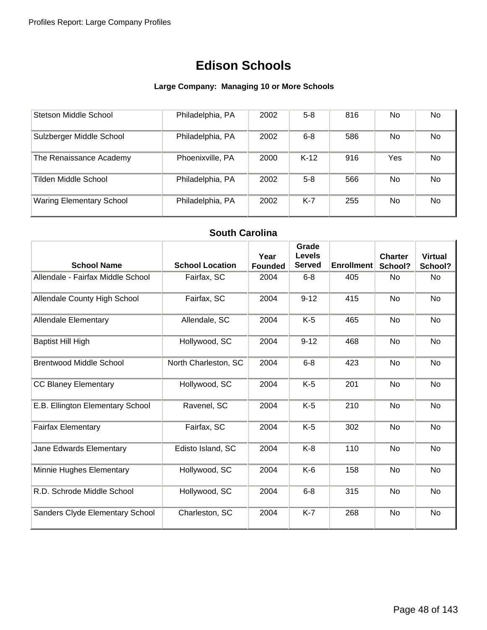### **Large Company: Managing 10 or More Schools**

| Stetson Middle School           | Philadelphia, PA | 2002 | $5 - 8$ | 816 | No.        | No  |
|---------------------------------|------------------|------|---------|-----|------------|-----|
| Sulzberger Middle School        | Philadelphia, PA | 2002 | $6 - 8$ | 586 | No.        | No  |
| The Renaissance Academy         | Phoenixville, PA | 2000 | $K-12$  | 916 | <b>Yes</b> | No  |
| Tilden Middle School            | Philadelphia, PA | 2002 | $5 - 8$ | 566 | <b>No</b>  | No  |
| <b>Waring Elementary School</b> | Philadelphia, PA | 2002 | K-7     | 255 | No.        | No. |

### **South Carolina**

| <b>School Name</b>                     | <b>School Location</b> | Year<br><b>Founded</b> | Grade<br><b>Levels</b><br><b>Served</b> | <b>Enrollment</b> | <b>Charter</b><br>School? | <b>Virtual</b><br>School? |
|----------------------------------------|------------------------|------------------------|-----------------------------------------|-------------------|---------------------------|---------------------------|
| Allendale - Fairfax Middle School      | Fairfax, SC            | 2004                   | $6 - 8$                                 | 405               | <b>No</b>                 | <b>No</b>                 |
| Allendale County High School           | Fairfax, SC            | 2004                   | $9 - 12$                                | 415               | <b>No</b>                 | <b>No</b>                 |
| <b>Allendale Elementary</b>            | Allendale, SC          | 2004                   | $K-5$                                   | 465               | <b>No</b>                 | No                        |
| <b>Baptist Hill High</b>               | Hollywood, SC          | 2004                   | $9 - 12$                                | 468               | <b>No</b>                 | <b>No</b>                 |
| <b>Brentwood Middle School</b>         | North Charleston, SC   | 2004                   | $6 - 8$                                 | 423               | No                        | No                        |
| <b>CC Blaney Elementary</b>            | Hollywood, SC          | 2004                   | $K-5$                                   | 201               | No                        | No                        |
| E.B. Ellington Elementary School       | Ravenel, SC            | 2004                   | $K-5$                                   | 210               | <b>No</b>                 | <b>No</b>                 |
| <b>Fairfax Elementary</b>              | Fairfax, SC            | 2004                   | $K-5$                                   | 302               | <b>No</b>                 | <b>No</b>                 |
| Jane Edwards Elementary                | Edisto Island, SC      | 2004                   | $K-8$                                   | 110               | No                        | No                        |
| Minnie Hughes Elementary               | Hollywood, SC          | 2004                   | K-6                                     | 158               | No                        | No                        |
| R.D. Schrode Middle School             | Hollywood, SC          | 2004                   | $6 - 8$                                 | 315               | No                        | <b>No</b>                 |
| <b>Sanders Clyde Elementary School</b> | Charleston, SC         | 2004                   | $K-7$                                   | 268               | No                        | No                        |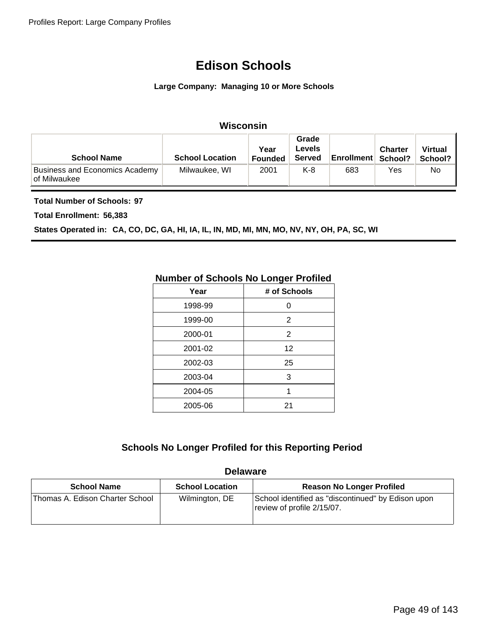#### **Large Company: Managing 10 or More Schools**

### **Wisconsin**

| <b>School Name</b>                                    | <b>School Location</b> | Year<br><b>Founded</b> | Grade<br><b>Levels</b><br><b>Served</b> | <b>Enrollment School?</b> | <b>Charter</b> | <b>Virtual</b><br>School? |
|-------------------------------------------------------|------------------------|------------------------|-----------------------------------------|---------------------------|----------------|---------------------------|
| <b>Business and Economics Academy</b><br>of Milwaukee | Milwaukee, WI          | 2001                   | K-8                                     | 683                       | Yes            | No                        |

**Total Number of Schools: 97**

**Total Enrollment: 56,383**

**States Operated in: CA, CO, DC, GA, HI, IA, IL, IN, MD, MI, MN, MO, NV, NY, OH, PA, SC, WI**

## **Number of Schools No Longer Profiled**

| Year    | # of Schools |
|---------|--------------|
| 1998-99 | O            |
| 1999-00 | 2            |
| 2000-01 | 2            |
| 2001-02 | 12           |
| 2002-03 | 25           |
| 2003-04 | 3            |
| 2004-05 | 1            |
| 2005-06 | 21           |
|         |              |

### **Schools No Longer Profiled for this Reporting Period**

#### **Delaware**

| <b>School Name</b>              | <b>School Location</b> | <b>Reason No Longer Profiled</b>                                                 |
|---------------------------------|------------------------|----------------------------------------------------------------------------------|
| Thomas A. Edison Charter School | Wilmington, DE         | School identified as "discontinued" by Edison upon<br>review of profile 2/15/07. |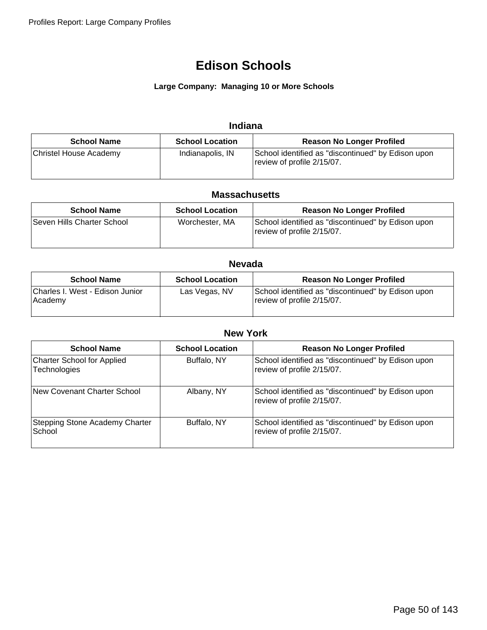#### **Large Company: Managing 10 or More Schools**

### **Indiana**

| <b>School Name</b>     | <b>School Location</b> | <b>Reason No Longer Profiled</b>                                                 |
|------------------------|------------------------|----------------------------------------------------------------------------------|
| Christel House Academy | Indianapolis, IN       | School identified as "discontinued" by Edison upon<br>review of profile 2/15/07. |

#### **Massachusetts**

| <b>School Name</b>         | <b>School Location</b> | <b>Reason No Longer Profiled</b>                                                 |
|----------------------------|------------------------|----------------------------------------------------------------------------------|
| Seven Hills Charter School | Worchester, MA         | School identified as "discontinued" by Edison upon<br>review of profile 2/15/07. |

### **Nevada**

| <b>School Name</b>                         | <b>School Location</b> | <b>Reason No Longer Profiled</b>                                                 |
|--------------------------------------------|------------------------|----------------------------------------------------------------------------------|
| Charles I. West - Edison Junior<br>Academy | Las Vegas, NV          | School identified as "discontinued" by Edison upon<br>review of profile 2/15/07. |

| <b>New York</b>                                          |                        |                                                                                  |  |  |
|----------------------------------------------------------|------------------------|----------------------------------------------------------------------------------|--|--|
| <b>School Name</b>                                       | <b>School Location</b> | <b>Reason No Longer Profiled</b>                                                 |  |  |
| <b>Charter School for Applied</b><br><b>Technologies</b> | Buffalo, NY            | School identified as "discontinued" by Edison upon<br>review of profile 2/15/07. |  |  |
| New Covenant Charter School                              | Albany, NY             | School identified as "discontinued" by Edison upon<br>review of profile 2/15/07. |  |  |
| <b>Stepping Stone Academy Charter</b><br>School          | Buffalo, NY            | School identified as "discontinued" by Edison upon<br>review of profile 2/15/07. |  |  |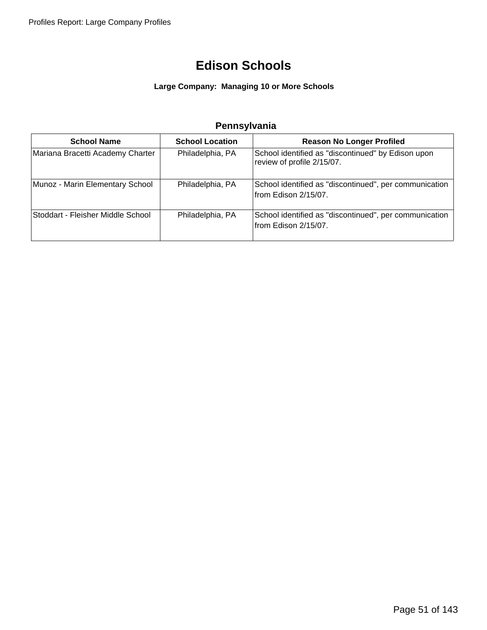### **Large Company: Managing 10 or More Schools**

## **Pennsylvania**

| <b>School Name</b>                | <b>School Location</b> | <b>Reason No Longer Profiled</b>                                                 |
|-----------------------------------|------------------------|----------------------------------------------------------------------------------|
| Mariana Bracetti Academy Charter  | Philadelphia, PA       | School identified as "discontinued" by Edison upon<br>review of profile 2/15/07. |
| Munoz - Marin Elementary School   | Philadelphia, PA       | School identified as "discontinued", per communication<br>from Edison 2/15/07.   |
| Stoddart - Fleisher Middle School | Philadelphia, PA       | School identified as "discontinued", per communication<br>from Edison 2/15/07.   |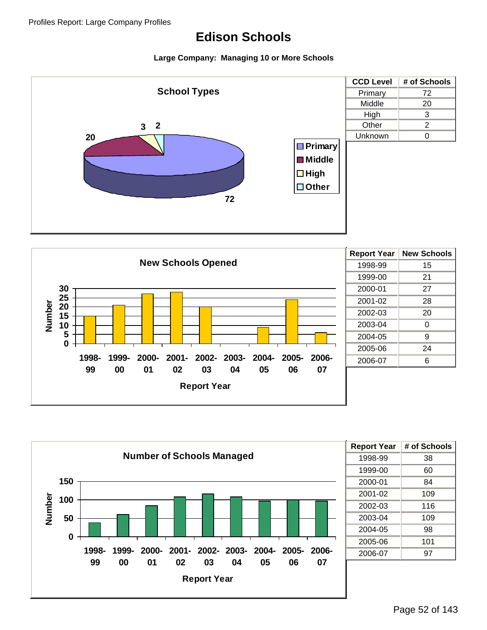





| <b>Report Year</b> | # of Schools |
|--------------------|--------------|
| 1998-99            | 38           |
| 1999-00            | 60           |
| 2000-01            | 84           |
| 2001-02            | 109          |
| 2002-03            | 116          |
| 2003-04            | 109          |
| 2004-05            | 98           |
| 2005-06            | 101          |
| 2006-07            | 97           |
|                    |              |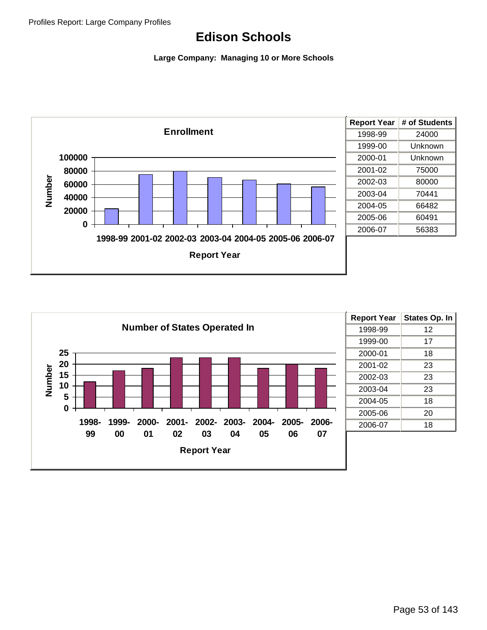

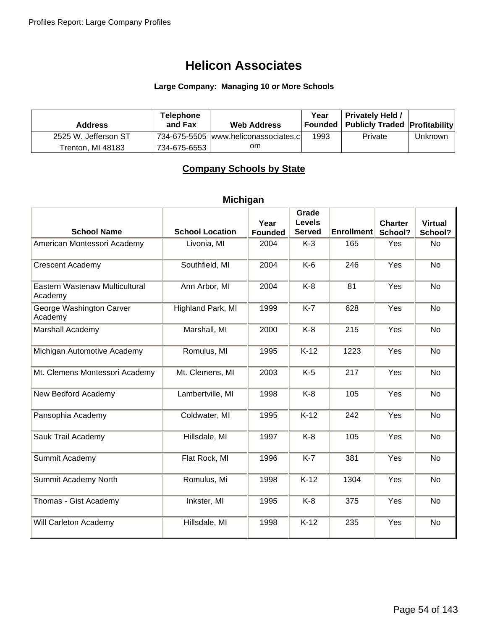#### **Large Company: Managing 10 or More Schools**

| <b>Address</b>       | <b>Telephone</b><br>and Fax | <b>Web Address</b>                     | Year | <b>Privately Held /</b><br>  Founded   Publicly Traded   Profitability |         |
|----------------------|-----------------------------|----------------------------------------|------|------------------------------------------------------------------------|---------|
| 2525 W. Jefferson ST |                             | 734-675-5505  www.heliconassociates.cl | 1993 | Private                                                                | Unknown |
| Trenton. MI 48183    | 734-675-6553                | om.                                    |      |                                                                        |         |

## **Company Schools by State**

## **Michigan**

| <b>School Name</b>                        | <b>School Location</b> | Year<br><b>Founded</b> | Grade<br><b>Levels</b><br><b>Served</b> | <b>Enrollment</b> | <b>Charter</b><br>School? | <b>Virtual</b><br>School? |
|-------------------------------------------|------------------------|------------------------|-----------------------------------------|-------------------|---------------------------|---------------------------|
| American Montessori Academy               | Livonia, MI            | 2004                   | $K-3$                                   | 165               | Yes                       | <b>No</b>                 |
| <b>Crescent Academy</b>                   | Southfield, MI         | 2004                   | $K-6$                                   | 246               | Yes                       | No                        |
| Eastern Wastenaw Multicultural<br>Academy | Ann Arbor, MI          | 2004                   | $K-8$                                   | 81                | Yes                       | <b>No</b>                 |
| George Washington Carver<br>Academy       | Highland Park, MI      | 1999                   | $K-7$                                   | 628               | Yes                       | No                        |
| Marshall Academy                          | Marshall, MI           | 2000                   | $K-8$                                   | 215               | Yes                       | No                        |
| Michigan Automotive Academy               | Romulus, MI            | 1995                   | $K-12$                                  | 1223              | Yes                       | <b>No</b>                 |
| Mt. Clemens Montessori Academy            | Mt. Clemens, MI        | 2003                   | $K-5$                                   | 217               | Yes                       | No                        |
| New Bedford Academy                       | Lambertville, MI       | 1998                   | $K-8$                                   | 105               | Yes                       | <b>No</b>                 |
| Pansophia Academy                         | Coldwater, MI          | 1995                   | $K-12$                                  | 242               | Yes                       | <b>No</b>                 |
| Sauk Trail Academy                        | Hillsdale, MI          | 1997                   | $K-8$                                   | 105               | Yes                       | <b>No</b>                 |
| Summit Academy                            | Flat Rock, MI          | 1996                   | $K-7$                                   | 381               | Yes                       | No                        |
| Summit Academy North                      | Romulus, Mi            | 1998                   | $K-12$                                  | 1304              | Yes                       | <b>No</b>                 |
| Thomas - Gist Academy                     | Inkster, MI            | 1995                   | $K-8$                                   | 375               | Yes                       | No                        |
| Will Carleton Academy                     | Hillsdale, MI          | 1998                   | $K-12$                                  | 235               | Yes                       | No                        |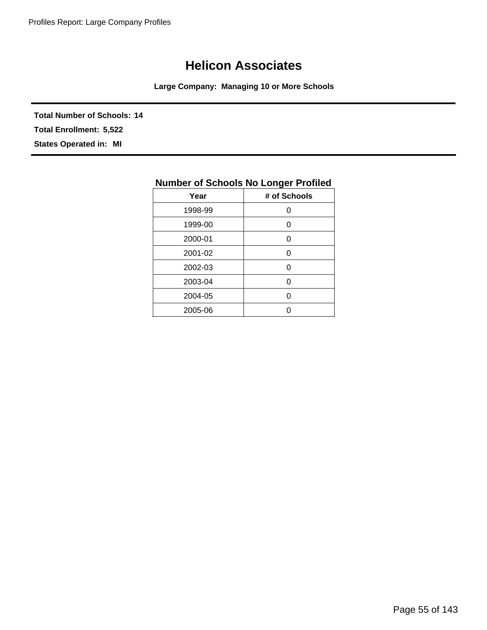**Large Company: Managing 10 or More Schools**

**Total Number of Schools: 14 States Operated in: MI Total Enrollment: 5,522**

| Number of Schools No Longer Profiled |              |  |
|--------------------------------------|--------------|--|
| Year                                 | # of Schools |  |
| 1998-99                              |              |  |
| 1999-00                              | ი            |  |
| 2000-01                              | ი            |  |
| 2001-02                              | ი            |  |
| 2002-03                              | 0            |  |
| 2003-04                              | ი            |  |
| 2004-05                              | ი            |  |
| 2005-06                              |              |  |

## **Number of Schools No Longer Profiled**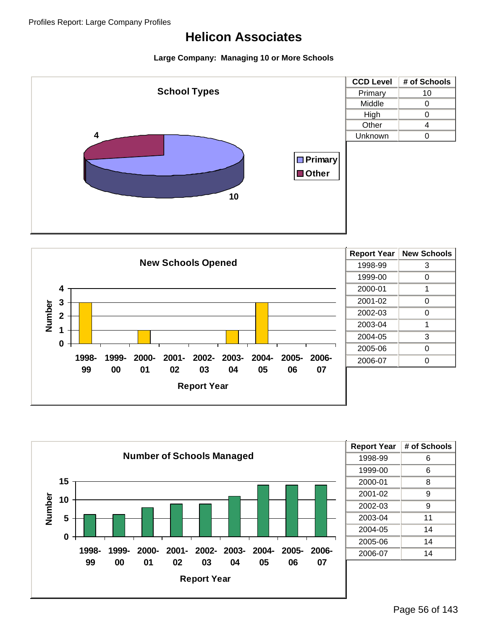





| <b>Report Year</b> | # of Schools |
|--------------------|--------------|
| 1998-99            | 6            |
| 1999-00            | 6            |
| 2000-01            | 8            |
| 2001-02            | 9            |
| 2002-03            | g            |
| 2003-04            | 11           |
| 2004-05            | 14           |
| 2005-06            | 14           |
| 2006-07            | 14           |
|                    |              |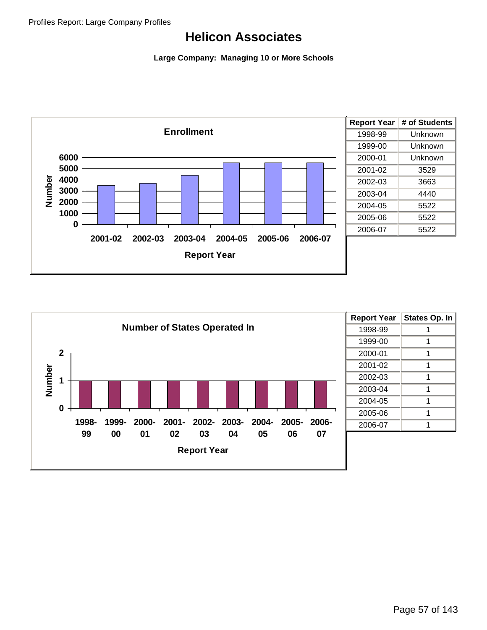



| <b>Report Year</b> | <b>States Op. In</b> |
|--------------------|----------------------|
| 1998-99            |                      |
| 1999-00            |                      |
| 2000-01            | 1                    |
| 2001-02            |                      |
| 2002-03            | 1                    |
| 2003-04            |                      |
| 2004-05            |                      |
| 2005-06            |                      |
| 2006-07            |                      |
|                    |                      |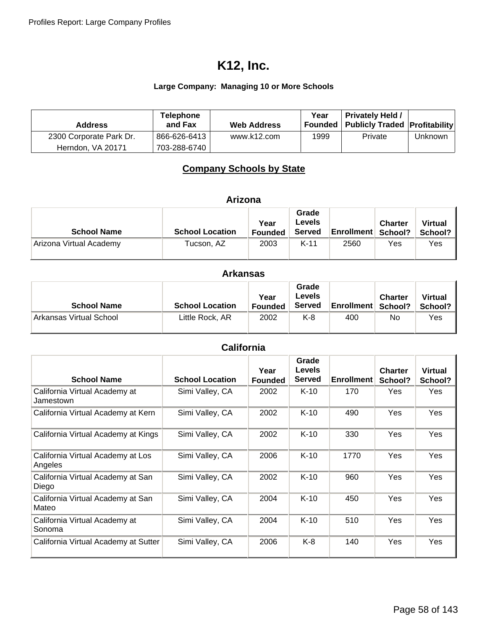### **Large Company: Managing 10 or More Schools**

| <b>Address</b>          | <b>Telephone</b><br>and Fax | <b>Web Address</b> | Year | <b>Privately Held /</b><br>Founded   Publicly Traded   Profitability |         |
|-------------------------|-----------------------------|--------------------|------|----------------------------------------------------------------------|---------|
| 2300 Corporate Park Dr. | 866-626-6413                | www.k12.com        | 1999 | Private                                                              | Unknown |
| Herndon, VA 20171       | 703-288-6740                |                    |      |                                                                      |         |

## **Company Schools by State**

| <b>School Name</b>      | <b>School Location</b> | Year<br><b>Founded</b> | Grade<br>Levels<br><b>Served</b> | <b>Enrollment School?</b> | <b>Charter</b> | <b>Virtual</b><br>School? |
|-------------------------|------------------------|------------------------|----------------------------------|---------------------------|----------------|---------------------------|
| Arizona Virtual Academy | Tucson, AZ             | 2003                   | $K-11$                           | 2560                      | Yes            | Yes                       |

### **Arkansas**

| <b>School Name</b>      | <b>School Location</b> | Year<br><b>Founded</b> | Grade<br>Levels<br><b>Served</b> | <b>Enrollment   School?</b> | <b>Charter</b> | <b>Virtual</b><br>School? |
|-------------------------|------------------------|------------------------|----------------------------------|-----------------------------|----------------|---------------------------|
| Arkansas Virtual School | Little Rock, AR        | 2002                   | K-8                              | 400                         | No             | Yes                       |

## **California**

| <b>School Name</b>                           | <b>School Location</b> | Year<br><b>Founded</b> | Grade<br><b>Levels</b><br><b>Served</b> | <b>Enrollment</b> | <b>Charter</b><br>School? | <b>Virtual</b><br>School? |
|----------------------------------------------|------------------------|------------------------|-----------------------------------------|-------------------|---------------------------|---------------------------|
| California Virtual Academy at<br>Jamestown   | Simi Valley, CA        | 2002                   | $K-10$                                  | 170               | Yes                       | Yes                       |
| California Virtual Academy at Kern           | Simi Valley, CA        | 2002                   | $K-10$                                  | 490               | Yes                       | <b>Yes</b>                |
| California Virtual Academy at Kings          | Simi Valley, CA        | 2002                   | $K-10$                                  | 330               | Yes                       | Yes                       |
| California Virtual Academy at Los<br>Angeles | Simi Valley, CA        | 2006                   | $K-10$                                  | 1770              | Yes                       | Yes                       |
| California Virtual Academy at San<br>Diego   | Simi Valley, CA        | 2002                   | $K-10$                                  | 960               | <b>Yes</b>                | Yes                       |
| California Virtual Academy at San<br>Mateo   | Simi Valley, CA        | 2004                   | $K-10$                                  | 450               | Yes                       | Yes                       |
| California Virtual Academy at<br>Sonoma      | Simi Valley, CA        | 2004                   | $K-10$                                  | 510               | Yes                       | <b>Yes</b>                |
| California Virtual Academy at Sutter         | Simi Valley, CA        | 2006                   | K-8                                     | 140               | Yes                       | <b>Yes</b>                |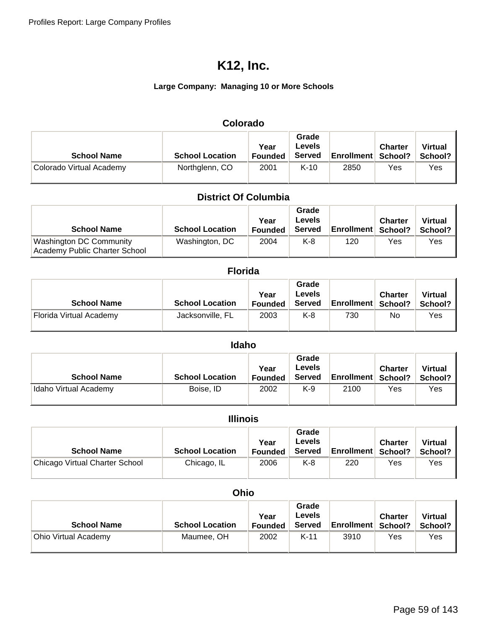### **Large Company: Managing 10 or More Schools**

| Colorado                 |                        |                        |                                         |                             |                |                           |  |  |  |
|--------------------------|------------------------|------------------------|-----------------------------------------|-----------------------------|----------------|---------------------------|--|--|--|
| <b>School Name</b>       | <b>School Location</b> | Year<br><b>Founded</b> | Grade<br><b>Levels</b><br><b>Served</b> | <b>Enrollment   School?</b> | <b>Charter</b> | <b>Virtual</b><br>School? |  |  |  |
| Colorado Virtual Academy | Northglenn, CO         | 2001                   | $K-10$                                  | 2850                        | Yes            | Yes                       |  |  |  |

### **District Of Columbia**

| <b>School Name</b>                                       | <b>School Location</b> | Year<br><b>Founded</b> | Grade<br>Levels<br><b>Served</b> | <b>Enrollment School?</b> | <b>Charter</b> | <b>Virtual</b><br>School? |
|----------------------------------------------------------|------------------------|------------------------|----------------------------------|---------------------------|----------------|---------------------------|
| Washington DC Community<br>Academy Public Charter School | Washington, DC         | 2004                   | K-8                              | 120                       | Yes            | Yes                       |

| <b>Florida</b>          |                        |                        |                                         |            |                           |                           |  |  |  |
|-------------------------|------------------------|------------------------|-----------------------------------------|------------|---------------------------|---------------------------|--|--|--|
| <b>School Name</b>      | <b>School Location</b> | Year<br><b>Founded</b> | Grade<br><b>Levels</b><br><b>Served</b> | Enrollment | <b>Charter</b><br>School? | <b>Virtual</b><br>School? |  |  |  |
| Florida Virtual Academy | Jacksonville, FL       | 2003                   | K-8                                     | 730        | No                        | Yes                       |  |  |  |

| <b>Idaho</b>          |                        |                        |                                         |                           |                |                           |  |  |  |  |
|-----------------------|------------------------|------------------------|-----------------------------------------|---------------------------|----------------|---------------------------|--|--|--|--|
| <b>School Name</b>    | <b>School Location</b> | Year<br><b>Founded</b> | Grade<br><b>Levels</b><br><b>Served</b> | <b>Enrollment School?</b> | <b>Charter</b> | <b>Virtual</b><br>School? |  |  |  |  |
| Idaho Virtual Academy | Boise, ID              | 2002                   | K-9                                     | 2100                      | Yes            | Yes                       |  |  |  |  |

|  | llin | K<br>0 |  |
|--|------|--------|--|
|  |      |        |  |

| <b>School Name</b>             | <b>School Location</b> | Year<br><b>Founded</b> | Grade<br>Levels<br><b>Served</b> | <b>Enrollment School?</b> | <b>Charter</b> | <b>Virtual</b><br>School? I |
|--------------------------------|------------------------|------------------------|----------------------------------|---------------------------|----------------|-----------------------------|
| Chicago Virtual Charter School | Chicago, IL            | 2006                   | K-8                              | 220                       | Yes            | Yes                         |

| <b>Ohio</b>          |                        |                        |                                  |                             |                |                           |  |  |
|----------------------|------------------------|------------------------|----------------------------------|-----------------------------|----------------|---------------------------|--|--|
| <b>School Name</b>   | <b>School Location</b> | Year<br><b>Founded</b> | Grade<br>Levels<br><b>Served</b> | <b>Enrollment   School?</b> | <b>Charter</b> | <b>Virtual</b><br>School? |  |  |
| Ohio Virtual Academy | Maumee, OH             | 2002                   | $K-11$                           | 3910                        | Yes            | Yes                       |  |  |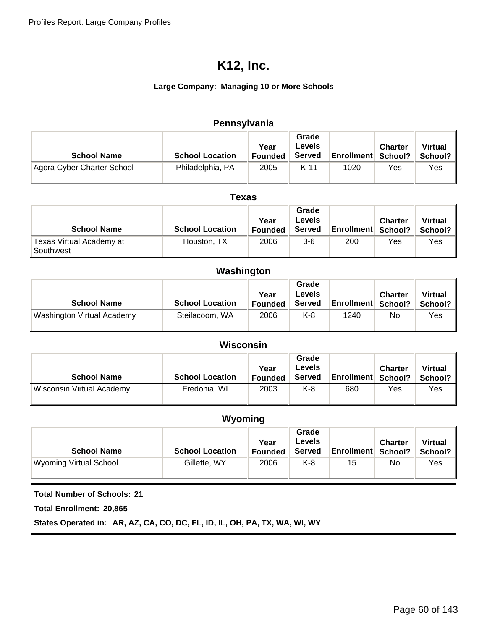### **Large Company: Managing 10 or More Schools**

| Pennsylvania               |                        |                        |                                         |                   |                           |                           |  |  |
|----------------------------|------------------------|------------------------|-----------------------------------------|-------------------|---------------------------|---------------------------|--|--|
| <b>School Name</b>         | <b>School Location</b> | Year<br><b>Founded</b> | Grade<br><b>Levels</b><br><b>Served</b> | <b>Enrollment</b> | <b>Charter</b><br>School? | <b>Virtual</b><br>School? |  |  |
| Agora Cyber Charter School | Philadelphia, PA       | 2005                   | $K-11$                                  | 1020              | Yes                       | Yes                       |  |  |

| Texas                                 |                        |                        |                                  |                           |                |                           |  |  |
|---------------------------------------|------------------------|------------------------|----------------------------------|---------------------------|----------------|---------------------------|--|--|
| <b>School Name</b>                    | <b>School Location</b> | Year<br><b>Founded</b> | Grade<br><b>Levels</b><br>Served | <b>Enrollment School?</b> | <b>Charter</b> | <b>Virtual</b><br>School? |  |  |
| Texas Virtual Academy at<br>Southwest | Houston, TX            | 2006                   | $3-6$                            | 200                       | Yes            | Yes                       |  |  |

### **Washington**

| <b>School Name</b>         | <b>School Location</b> | Year<br><b>Founded</b> | Grade<br><b>Levels</b><br><b>Served</b> | <b>Enrollment   School?</b> | <b>Charter</b> | <b>Virtual</b><br>School? |
|----------------------------|------------------------|------------------------|-----------------------------------------|-----------------------------|----------------|---------------------------|
| Washington Virtual Academy | Steilacoom, WA         | 2006                   | K-8                                     | 1240                        | No             | Yes                       |

| Wisconsin                        |                        |                        |                                         |                           |                |                           |  |  |
|----------------------------------|------------------------|------------------------|-----------------------------------------|---------------------------|----------------|---------------------------|--|--|
| <b>School Name</b>               | <b>School Location</b> | Year<br><b>Founded</b> | Grade<br><b>Levels</b><br><b>Served</b> | <b>Enrollment School?</b> | <b>Charter</b> | <b>Virtual</b><br>School? |  |  |
| <b>Wisconsin Virtual Academy</b> | Fredonia, WI           | 2003                   | K-8                                     | 680                       | Yes            | Yes                       |  |  |

## **Wyoming**

| <b>School Name</b>     | <b>School Location</b> | Year<br><b>Founded</b> | Grade<br><b>Levels</b><br><b>Served</b> | <b>Enrollment   School?</b> | <b>Charter</b> | <b>Virtual</b><br>School? |
|------------------------|------------------------|------------------------|-----------------------------------------|-----------------------------|----------------|---------------------------|
| Wyoming Virtual School | Gillette, WY           | 2006                   | K-8                                     | 15                          | No             | Yes                       |

**Total Number of Schools: 21**

**Total Enrollment: 20,865**

**States Operated in: AR, AZ, CA, CO, DC, FL, ID, IL, OH, PA, TX, WA, WI, WY**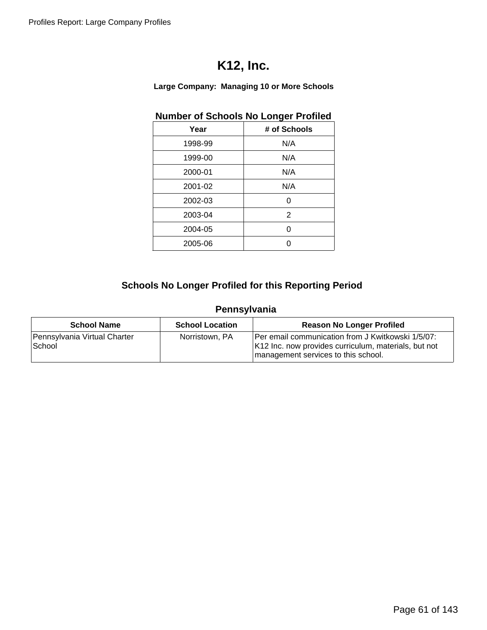**Large Company: Managing 10 or More Schools**

## **Number of Schools No Longer Profiled**

| Year    | # of Schools |
|---------|--------------|
| 1998-99 | N/A          |
| 1999-00 | N/A          |
| 2000-01 | N/A          |
| 2001-02 | N/A          |
| 2002-03 | O            |
| 2003-04 | 2            |
| 2004-05 | ი            |
| 2005-06 | ი            |

## **Schools No Longer Profiled for this Reporting Period**

## **Pennsylvania**

| <b>School Name</b>                     | <b>School Location</b> | <b>Reason No Longer Profiled</b>                                                                                                                 |
|----------------------------------------|------------------------|--------------------------------------------------------------------------------------------------------------------------------------------------|
| Pennsylvania Virtual Charter<br>School | Norristown, PA         | Per email communication from J Kwitkowski 1/5/07:<br>K12 Inc. now provides curriculum, materials, but not<br>management services to this school. |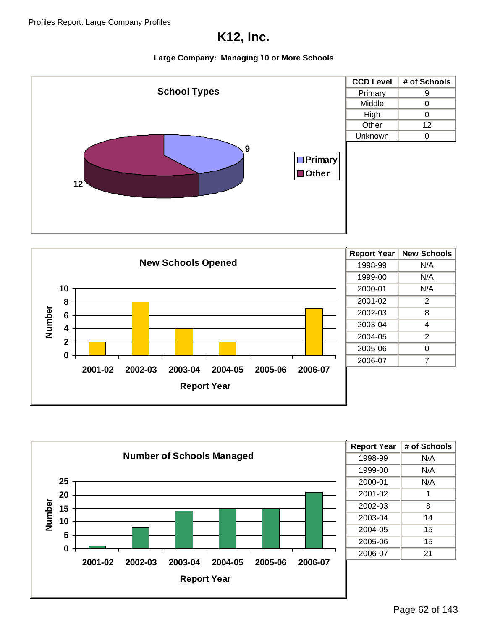





| <b>Report Year</b> | # of Schools |
|--------------------|--------------|
| 1998-99            | N/A          |
| 1999-00            | N/A          |
| 2000-01            | N/A          |
| 2001-02            | 1            |
| 2002-03            | 8            |
| 2003-04            | 14           |
| 2004-05            | 15           |
| 2005-06            | 15           |
| 2006-07            | 21           |
|                    |              |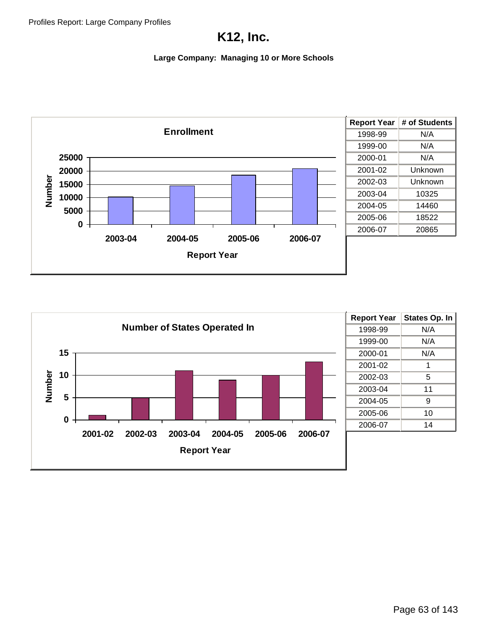

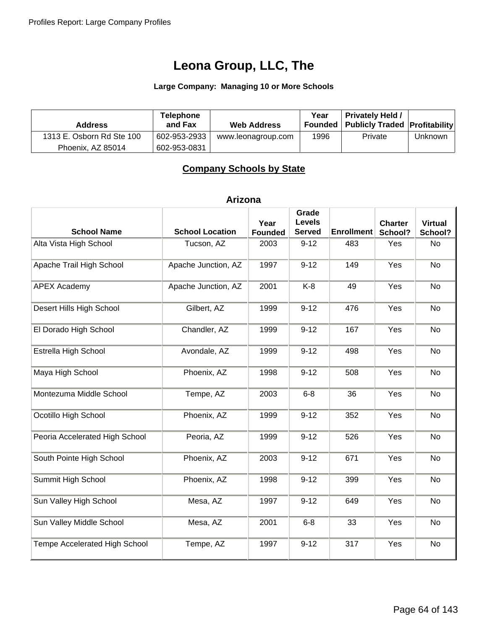#### **Large Company: Managing 10 or More Schools**

| <b>Address</b>            | <b>Telephone</b><br>and Fax | <b>Web Address</b> | Year | <b>Privately Held /</b><br><b>Founded   Publicly Traded   Profitability</b> |         |
|---------------------------|-----------------------------|--------------------|------|-----------------------------------------------------------------------------|---------|
| 1313 E. Osborn Rd Ste 100 | 602-953-2933                | www.leonagroup.com | 1996 | Private                                                                     | Unknown |
| Phoenix, AZ 85014         | 602-953-0831                |                    |      |                                                                             |         |

## **Company Schools by State**

#### **Arizona**

| <b>School Name</b>             | <b>School Location</b> | Year<br><b>Founded</b> | Grade<br><b>Levels</b><br><b>Served</b> | <b>Enrollment</b> | <b>Charter</b><br>School? | <b>Virtual</b><br>School? |
|--------------------------------|------------------------|------------------------|-----------------------------------------|-------------------|---------------------------|---------------------------|
| Alta Vista High School         | Tucson, AZ             | 2003                   | $9 - 12$                                | 483               | Yes                       | No                        |
| Apache Trail High School       | Apache Junction, AZ    | 1997                   | $9 - 12$                                | 149               | Yes                       | <b>No</b>                 |
| <b>APEX Academy</b>            | Apache Junction, AZ    | 2001                   | $K-8$                                   | 49                | Yes                       | <b>No</b>                 |
| Desert Hills High School       | Gilbert, AZ            | 1999                   | $9 - 12$                                | 476               | Yes                       | <b>No</b>                 |
| El Dorado High School          | Chandler, AZ           | 1999                   | $9 - 12$                                | 167               | Yes                       | <b>No</b>                 |
| Estrella High School           | Avondale, AZ           | 1999                   | $9 - 12$                                | 498               | Yes                       | No                        |
| Maya High School               | Phoenix, AZ            | 1998                   | $9 - 12$                                | 508               | Yes                       | No                        |
| Montezuma Middle School        | Tempe, AZ              | 2003                   | $6 - 8$                                 | 36                | Yes                       | <b>No</b>                 |
| Ocotillo High School           | Phoenix, AZ            | 1999                   | $9 - 12$                                | 352               | Yes                       | <b>No</b>                 |
| Peoria Accelerated High School | Peoria, AZ             | 1999                   | $9 - 12$                                | 526               | Yes                       | No                        |
| South Pointe High School       | Phoenix, AZ            | 2003                   | $9 - 12$                                | 671               | Yes                       | No                        |
| Summit High School             | Phoenix, AZ            | 1998                   | $9 - 12$                                | 399               | Yes                       | No                        |
| Sun Valley High School         | Mesa, AZ               | 1997                   | $9 - 12$                                | 649               | Yes                       | No                        |
| Sun Valley Middle School       | Mesa, AZ               | 2001                   | $6 - 8$                                 | 33                | Yes                       | No                        |
| Tempe Accelerated High School  | Tempe, AZ              | 1997                   | $9 - 12$                                | 317               | Yes                       | No                        |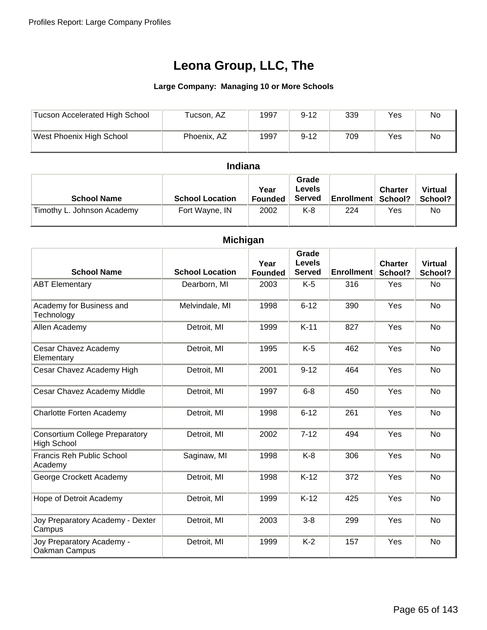#### **Large Company: Managing 10 or More Schools**

| Tucson Accelerated High School | Tucson, AZ  | 1997 | $9 - 12$ | 339 | Yes | No |
|--------------------------------|-------------|------|----------|-----|-----|----|
| West Phoenix High School       | Phoenix, AZ | 1997 | $9 - 12$ | 709 | Yes | No |

### **Indiana**

| <b>School Name</b>         | <b>School Location</b> | Year<br><b>Founded</b> | Grade<br>Levels<br><b>Served</b> | <b>Enrollment School?</b> | <b>Charter</b> | <b>Virtual</b><br>School? |
|----------------------------|------------------------|------------------------|----------------------------------|---------------------------|----------------|---------------------------|
| Timothy L. Johnson Academy | Fort Wayne, IN         | 2002                   | K-8                              | 224                       | Yes            | No                        |

| <b>Michigan</b>                                             |                        |                        |                                         |                   |                           |                           |  |  |  |
|-------------------------------------------------------------|------------------------|------------------------|-----------------------------------------|-------------------|---------------------------|---------------------------|--|--|--|
| <b>School Name</b>                                          | <b>School Location</b> | Year<br><b>Founded</b> | Grade<br><b>Levels</b><br><b>Served</b> | <b>Enrollment</b> | <b>Charter</b><br>School? | <b>Virtual</b><br>School? |  |  |  |
| <b>ABT Elementary</b>                                       | Dearborn, MI           | 2003                   | $K-5$                                   | 316               | Yes                       | <b>No</b>                 |  |  |  |
| Academy for Business and<br>Technology                      | Melvindale, MI         | 1998                   | $6 - 12$                                | 390               | Yes                       | <b>No</b>                 |  |  |  |
| Allen Academy                                               | Detroit, MI            | 1999                   | $K-11$                                  | 827               | Yes                       | <b>No</b>                 |  |  |  |
| Cesar Chavez Academy<br>Elementary                          | Detroit, MI            | 1995                   | $K-5$                                   | 462               | Yes                       | <b>No</b>                 |  |  |  |
| Cesar Chavez Academy High                                   | Detroit, MI            | 2001                   | $9 - 12$                                | 464               | Yes                       | <b>No</b>                 |  |  |  |
| Cesar Chavez Academy Middle                                 | Detroit, MI            | 1997                   | $6 - 8$                                 | 450               | Yes                       | <b>No</b>                 |  |  |  |
| Charlotte Forten Academy                                    | Detroit, MI            | 1998                   | $6 - 12$                                | 261               | Yes                       | <b>No</b>                 |  |  |  |
| <b>Consortium College Preparatory</b><br><b>High School</b> | Detroit, MI            | 2002                   | $7 - 12$                                | 494               | Yes                       | <b>No</b>                 |  |  |  |
| <b>Francis Reh Public School</b><br>Academy                 | Saginaw, MI            | 1998                   | $K-8$                                   | 306               | Yes                       | <b>No</b>                 |  |  |  |
| George Crockett Academy                                     | Detroit, MI            | 1998                   | $K-12$                                  | 372               | Yes                       | No                        |  |  |  |
| Hope of Detroit Academy                                     | Detroit, MI            | 1999                   | $K-12$                                  | 425               | Yes                       | <b>No</b>                 |  |  |  |
| Joy Preparatory Academy - Dexter<br>Campus                  | Detroit, MI            | 2003                   | $3 - 8$                                 | 299               | Yes                       | No                        |  |  |  |
| Joy Preparatory Academy -<br>Oakman Campus                  | Detroit, MI            | 1999                   | $K-2$                                   | 157               | Yes                       | <b>No</b>                 |  |  |  |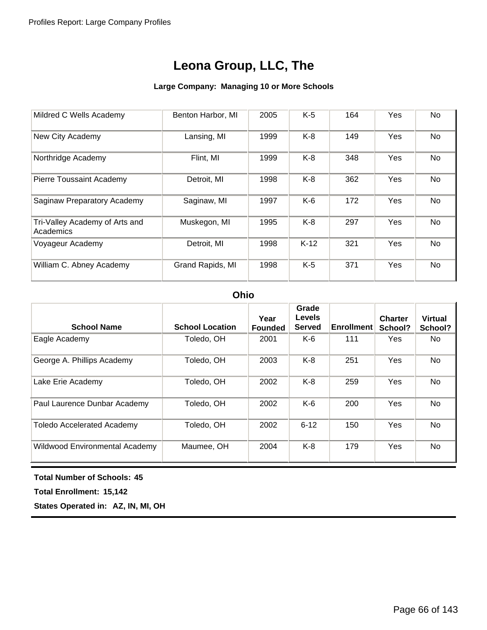#### **Large Company: Managing 10 or More Schools**

| Mildred C Wells Academy                     | Benton Harbor, MI | 2005 | $K-5$  | 164 | Yes        | <b>No</b> |
|---------------------------------------------|-------------------|------|--------|-----|------------|-----------|
| New City Academy                            | Lansing, MI       | 1999 | $K-8$  | 149 | Yes        | No        |
| Northridge Academy                          | Flint, MI         | 1999 | $K-8$  | 348 | Yes        | No        |
| Pierre Toussaint Academy                    | Detroit, MI       | 1998 | $K-8$  | 362 | Yes        | No        |
| Saginaw Preparatory Academy                 | Saginaw, MI       | 1997 | $K-6$  | 172 | Yes        | No        |
| Tri-Valley Academy of Arts and<br>Academics | Muskegon, MI      | 1995 | $K-8$  | 297 | Yes        | No        |
| Voyageur Academy                            | Detroit, MI       | 1998 | $K-12$ | 321 | Yes        | No        |
| William C. Abney Academy                    | Grand Rapids, MI  | 1998 | $K-5$  | 371 | <b>Yes</b> | No        |

#### **Ohio**

| <b>School Name</b>                | <b>School Location</b> | Year<br><b>Founded</b> | Grade<br>Levels<br><b>Served</b> | <b>Enrollment</b> | <b>Charter</b><br>School? | <b>Virtual</b><br>School? |
|-----------------------------------|------------------------|------------------------|----------------------------------|-------------------|---------------------------|---------------------------|
| Eagle Academy                     | Toledo, OH             | 2001                   | $K-6$                            | 111               | <b>Yes</b>                | No.                       |
| George A. Phillips Academy        | Toledo, OH             | 2003                   | $K-8$                            | 251               | Yes                       | No                        |
| Lake Erie Academy                 | Toledo, OH             | 2002                   | $K-8$                            | 259               | Yes                       | No.                       |
| Paul Laurence Dunbar Academy      | Toledo, OH             | 2002                   | K-6                              | 200               | Yes                       | No.                       |
| <b>Toledo Accelerated Academy</b> | Toledo, OH             | 2002                   | $6 - 12$                         | 150               | Yes                       | No.                       |
| Wildwood Environmental Academy    | Maumee, OH             | 2004                   | K-8                              | 179               | Yes                       | No                        |

**Total Number of Schools: 45**

**Total Enrollment: 15,142**

**States Operated in: AZ, IN, MI, OH**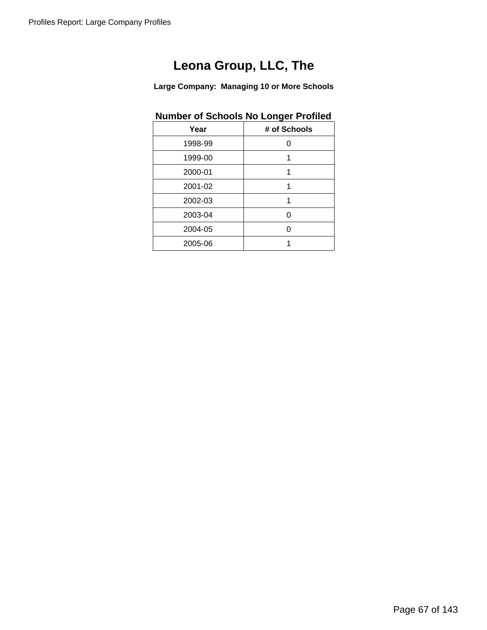**Large Company: Managing 10 or More Schools**

## **Number of Schools No Longer Profiled**

| Year    | # of Schools |
|---------|--------------|
| 1998-99 | U            |
| 1999-00 | 1            |
| 2000-01 | 1            |
| 2001-02 | 1            |
| 2002-03 | 1            |
| 2003-04 |              |
| 2004-05 |              |
| 2005-06 |              |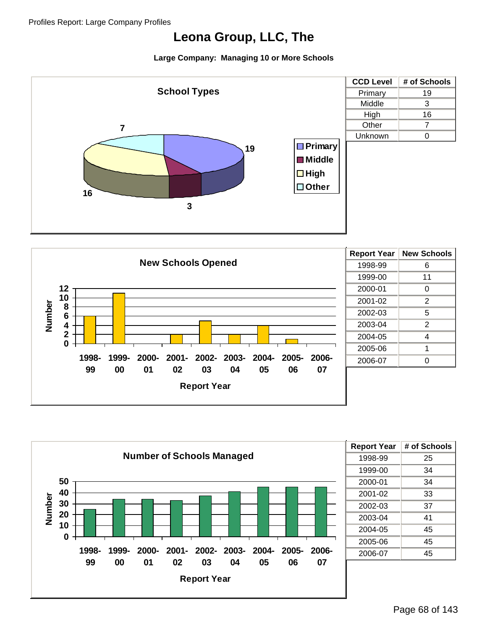





| <b>Report Year</b> | # of Schools |
|--------------------|--------------|
| 1998-99            | 25           |
| 1999-00            | 34           |
| 2000-01            | 34           |
| 2001-02            | 33           |
| 2002-03            | 37           |
| 2003-04            | 41           |
| 2004-05            | 45           |
| 2005-06            | 45           |
| 2006-07            | 45           |
|                    |              |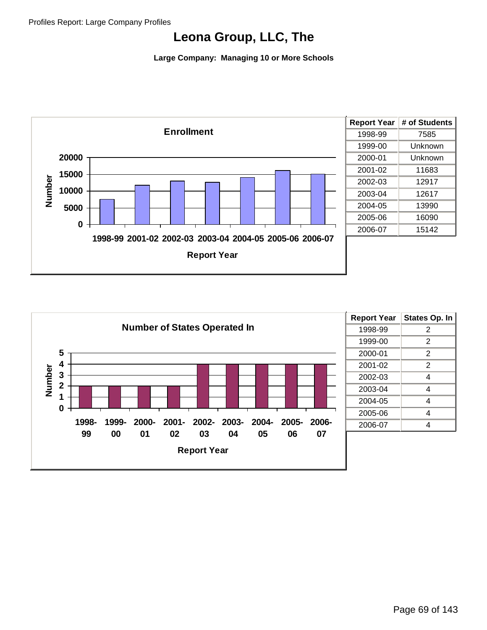

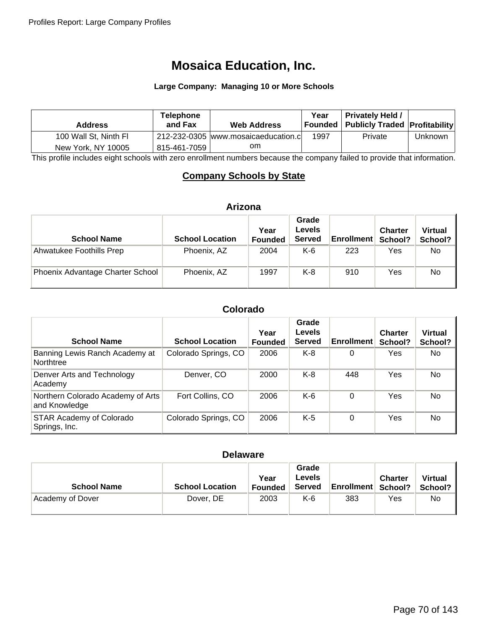# **Mosaica Education, Inc.**

#### **Large Company: Managing 10 or More Schools**

| <b>Address</b>        | <b>Telephone</b><br>and Fax | <b>Web Address</b>                   | Year | <b>Privately Held /</b><br>  Founded   Publicly Traded   Profitability |         |
|-----------------------|-----------------------------|--------------------------------------|------|------------------------------------------------------------------------|---------|
| 100 Wall St, Ninth Fl |                             | 212-232-0305 www.mosaicaeducation.cl | 1997 | Private                                                                | Unknown |
| New York, NY 10005    | 815-461-7059                | om                                   |      |                                                                        |         |

This profile includes eight schools with zero enrollment numbers because the company failed to provide that information.

## **Company Schools by State**

#### **Arizona**

| <b>School Name</b>               | <b>School Location</b> | Year<br><b>Founded</b> | Grade<br><b>Levels</b><br><b>Served</b> | <b>Enrollment</b> | <b>Charter</b><br>School? | <b>Virtual</b><br>School? |
|----------------------------------|------------------------|------------------------|-----------------------------------------|-------------------|---------------------------|---------------------------|
| Ahwatukee Foothills Prep         | Phoenix, AZ            | 2004                   | K-6                                     | 223               | Yes                       | No.                       |
| Phoenix Advantage Charter School | Phoenix, AZ            | 1997                   | K-8                                     | 910               | Yes                       | No                        |

#### **Colorado**

| <b>School Name</b>                                 | <b>School Location</b> | Year<br><b>Founded</b> | Grade<br>Levels<br><b>Served</b> | <b>Enrollment</b> | <b>Charter</b><br>School? | <b>Virtual</b><br>School? |
|----------------------------------------------------|------------------------|------------------------|----------------------------------|-------------------|---------------------------|---------------------------|
| Banning Lewis Ranch Academy at<br>Northtree        | Colorado Springs, CO   | 2006                   | K-8                              | 0                 | Yes                       | No                        |
| Denver Arts and Technology<br>Academy              | Denver, CO             | 2000                   | $K-8$                            | 448               | Yes                       | No.                       |
| Northern Colorado Academy of Arts<br>and Knowledge | Fort Collins, CO       | 2006                   | $K-6$                            | 0                 | Yes                       | No                        |
| <b>STAR Academy of Colorado</b><br>Springs, Inc.   | Colorado Springs, CO   | 2006                   | $K-5$                            | 0                 | Yes                       | No                        |

#### **Delaware**

| <b>School Name</b> | <b>School Location</b> | Year<br>Founded | Grade<br><b>Levels</b><br><b>Served</b> | <b>Enrollment School?</b> | <b>Charter</b> | <b>Virtual</b><br>School? |
|--------------------|------------------------|-----------------|-----------------------------------------|---------------------------|----------------|---------------------------|
| Academy of Dover   | Dover, DE              | 2003            | K-6                                     | 383                       | Yes            | No                        |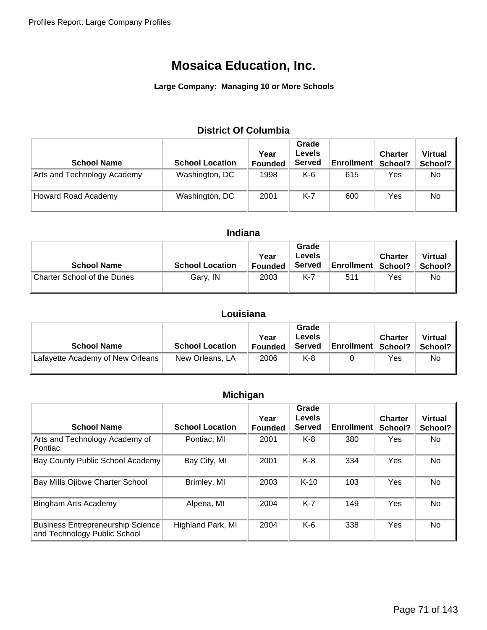#### **Large Company: Managing 10 or More Schools**

### **District Of Columbia**

| <b>School Name</b>          | <b>School Location</b> | Year<br><b>Founded</b> | Grade<br><b>Levels</b><br><b>Served</b> | <b>Enrollment</b> | <b>Charter</b><br>School? | <b>Virtual</b><br>School? |
|-----------------------------|------------------------|------------------------|-----------------------------------------|-------------------|---------------------------|---------------------------|
| Arts and Technology Academy | Washington, DC         | 1998                   | K-6                                     | 615               | Yes                       | No                        |
| Howard Road Academy         | Washington, DC         | 2001                   | $K-7$                                   | 600               | Yes                       | No                        |

### **Indiana**

| <b>School Name</b>                 | <b>School Location</b> | Year<br><b>Founded</b> | Grade<br><b>Levels</b><br><b>Served</b> | <b>Enrollment School?</b> | <b>Charter</b> | <b>Virtual</b><br>School? |
|------------------------------------|------------------------|------------------------|-----------------------------------------|---------------------------|----------------|---------------------------|
| <b>Charter School of the Dunes</b> | Gary, IN               | 2003                   | K-7                                     | 511                       | Yes            | No                        |

### **Louisiana**

| <b>School Name</b>               | <b>School Location</b> | Year<br>Founded | Grade<br>Levels<br><b>Served</b> | <b>Enrollment School?</b> | <b>Charter</b> | <b>Virtual</b><br>School? |
|----------------------------------|------------------------|-----------------|----------------------------------|---------------------------|----------------|---------------------------|
| Lafayette Academy of New Orleans | New Orleans, LA        | 2006            | $K-8$                            |                           | Yes            | No                        |

### **Michigan**

| <b>School Name</b>                                                       | <b>School Location</b> | Year<br><b>Founded</b> | Grade<br><b>Levels</b><br><b>Served</b> | <b>Enrollment</b> | <b>Charter</b><br>School? | <b>Virtual</b><br>School? |
|--------------------------------------------------------------------------|------------------------|------------------------|-----------------------------------------|-------------------|---------------------------|---------------------------|
| Arts and Technology Academy of<br>Pontiac                                | Pontiac, MI            | 2001                   | $K-8$                                   | 380               | Yes                       | No.                       |
| Bay County Public School Academy                                         | Bay City, MI           | 2001                   | K-8                                     | 334               | Yes                       | No                        |
| Bay Mills Ojibwe Charter School                                          | Brimley, MI            | 2003                   | $K-10$                                  | 103               | Yes                       | No                        |
| <b>Bingham Arts Academy</b>                                              | Alpena, MI             | 2004                   | K-7                                     | 149               | Yes                       | <b>No</b>                 |
| <b>Business Entrepreneurship Science</b><br>and Technology Public School | Highland Park, MI      | 2004                   | $K-6$                                   | 338               | Yes                       | <b>No</b>                 |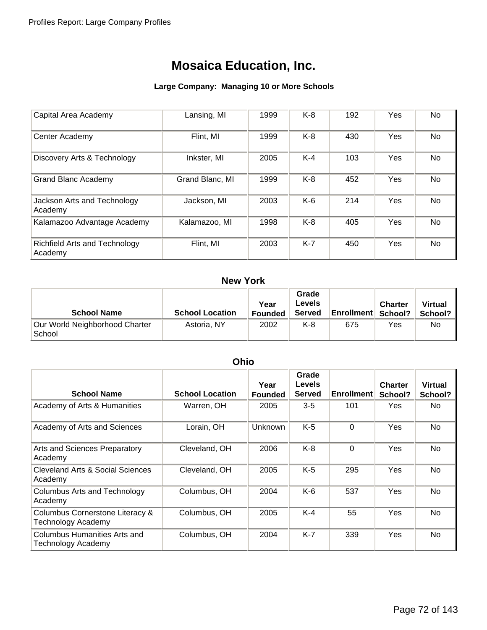#### **Large Company: Managing 10 or More Schools**

| Capital Area Academy                            | Lansing, MI     | 1999 | $K-8$ | 192 | Yes | No        |
|-------------------------------------------------|-----------------|------|-------|-----|-----|-----------|
| Center Academy                                  | Flint, MI       | 1999 | $K-8$ | 430 | Yes | No        |
| Discovery Arts & Technology                     | Inkster, MI     | 2005 | $K-4$ | 103 | Yes | <b>No</b> |
| <b>Grand Blanc Academy</b>                      | Grand Blanc, MI | 1999 | $K-8$ | 452 | Yes | No        |
| Jackson Arts and Technology<br>Academy          | Jackson, MI     | 2003 | $K-6$ | 214 | Yes | No        |
| Kalamazoo Advantage Academy                     | Kalamazoo, MI   | 1998 | $K-8$ | 405 | Yes | <b>No</b> |
| <b>Richfield Arts and Technology</b><br>Academy | Flint, MI       | 2003 | $K-7$ | 450 | Yes | No        |

### **New York**

| <b>School Name</b>                       | <b>School Location</b> | Year<br><b>Founded</b> | Grade<br>Levels<br><b>Served</b> | <b>Enrollment School?</b> | <b>Charter</b> | <b>Virtual</b><br>School? |
|------------------------------------------|------------------------|------------------------|----------------------------------|---------------------------|----------------|---------------------------|
| Our World Neighborhood Charter<br>School | Astoria, NY            | 2002                   | K-8                              | 675                       | Yes            | No.                       |

### **Ohio**

| <b>School Name</b>                                           | <b>School Location</b> | Year<br><b>Founded</b> | Grade<br><b>Levels</b><br><b>Served</b> | <b>Enrollment</b> | <b>Charter</b><br>School? | <b>Virtual</b><br>School? |
|--------------------------------------------------------------|------------------------|------------------------|-----------------------------------------|-------------------|---------------------------|---------------------------|
| Academy of Arts & Humanities                                 | Warren, OH             | 2005                   | $3 - 5$                                 | 101               | Yes                       | No.                       |
| Academy of Arts and Sciences                                 | Lorain, OH             | Unknown                | $K-5$                                   | $\Omega$          | Yes                       | No                        |
| Arts and Sciences Preparatory<br>Academy                     | Cleveland, OH          | 2006                   | $K-8$                                   | $\Omega$          | Yes                       | <b>No</b>                 |
| Cleveland Arts & Social Sciences<br>Academy                  | Cleveland, OH          | 2005                   | $K-5$                                   | 295               | Yes                       | <b>No</b>                 |
| <b>Columbus Arts and Technology</b><br>Academy               | Columbus, OH           | 2004                   | $K-6$                                   | 537               | Yes                       | No.                       |
| Columbus Cornerstone Literacy &<br><b>Technology Academy</b> | Columbus, OH           | 2005                   | $K-4$                                   | 55                | Yes                       | No.                       |
| Columbus Humanities Arts and<br>Technology Academy           | Columbus, OH           | 2004                   | $K-7$                                   | 339               | Yes                       | No                        |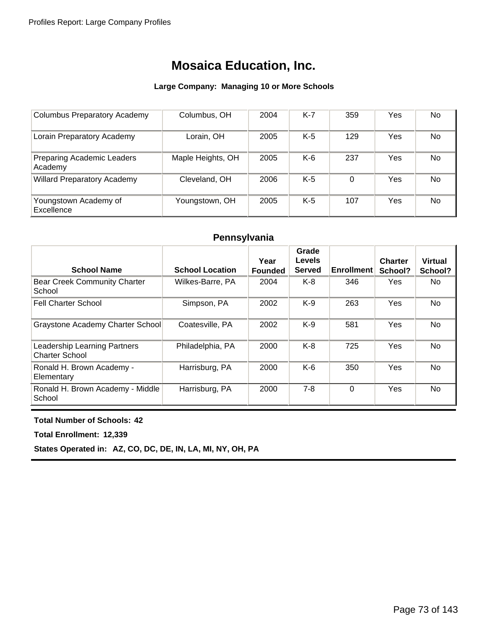#### **Large Company: Managing 10 or More Schools**

| <b>Columbus Preparatory Academy</b>          | Columbus, OH      | 2004 | K-7 | 359 | Yes | No.       |
|----------------------------------------------|-------------------|------|-----|-----|-----|-----------|
| Lorain Preparatory Academy                   | Lorain, OH        | 2005 | K-5 | 129 | Yes | <b>No</b> |
| <b>Preparing Academic Leaders</b><br>Academy | Maple Heights, OH | 2005 | K-6 | 237 | Yes | No.       |
| <b>Willard Preparatory Academy</b>           | Cleveland, OH     | 2006 | K-5 | 0   | Yes | <b>No</b> |
| Youngstown Academy of<br>Excellence          | Youngstown, OH    | 2005 | K-5 | 107 | Yes | <b>No</b> |

### **Pennsylvania**

| <b>School Name</b>                                    | <b>School Location</b> | Year<br><b>Founded</b> | Grade<br>Levels<br><b>Served</b> | <b>Enrollment</b> | <b>Charter</b><br>School? | <b>Virtual</b><br>School? |
|-------------------------------------------------------|------------------------|------------------------|----------------------------------|-------------------|---------------------------|---------------------------|
| <b>Bear Creek Community Charter</b><br>School         | Wilkes-Barre, PA       | 2004                   | $K-8$                            | 346               | Yes                       | No.                       |
| <b>Fell Charter School</b>                            | Simpson, PA            | 2002                   | $K-9$                            | 263               | Yes                       | No.                       |
| Graystone Academy Charter School                      | Coatesville, PA        | 2002                   | $K-9$                            | 581               | Yes                       | No.                       |
| Leadership Learning Partners<br><b>Charter School</b> | Philadelphia, PA       | 2000                   | $K-8$                            | 725               | Yes                       | No.                       |
| Ronald H. Brown Academy -<br>Elementary               | Harrisburg, PA         | 2000                   | $K-6$                            | 350               | Yes                       | <b>No</b>                 |
| Ronald H. Brown Academy - Middle<br>School            | Harrisburg, PA         | 2000                   | $7 - 8$                          | $\Omega$          | Yes                       | <b>No</b>                 |

#### **Total Number of Schools: 42**

**Total Enrollment: 12,339**

**States Operated in: AZ, CO, DC, DE, IN, LA, MI, NY, OH, PA**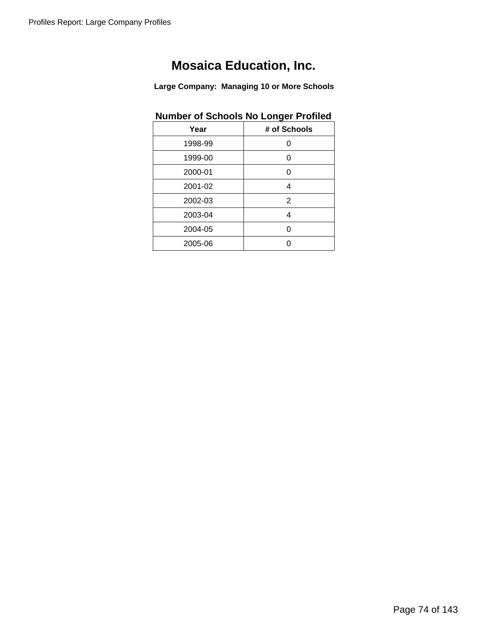**Large Company: Managing 10 or More Schools**

### **Number of Schools No Longer Profiled**

| Year    | # of Schools |
|---------|--------------|
| 1998-99 | ი            |
| 1999-00 | ი            |
| 2000-01 | 0            |
| 2001-02 | 4            |
| 2002-03 | 2            |
| 2003-04 | 4            |
| 2004-05 | U            |
| 2005-06 |              |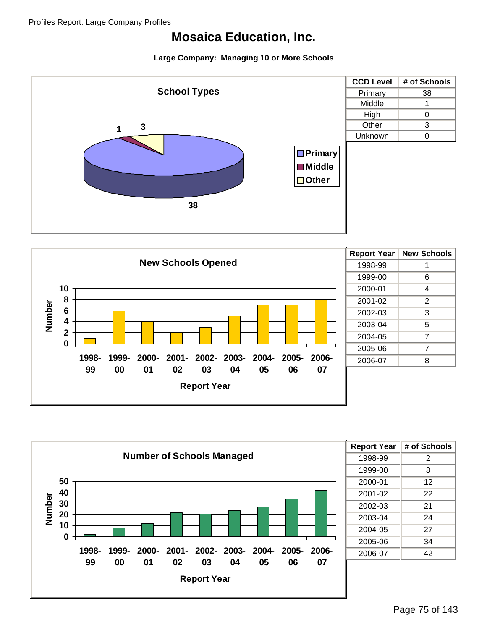





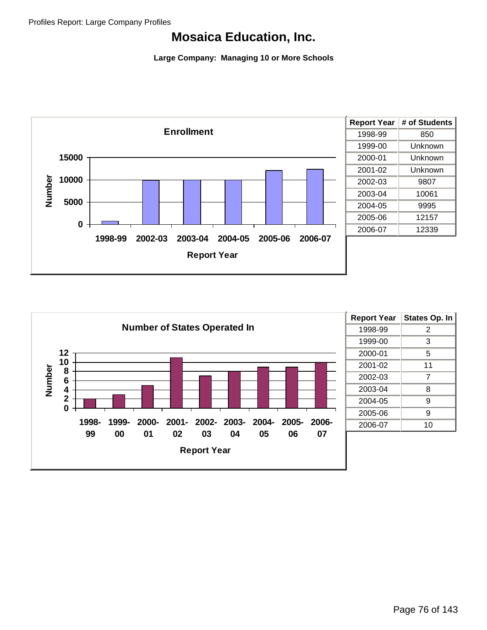

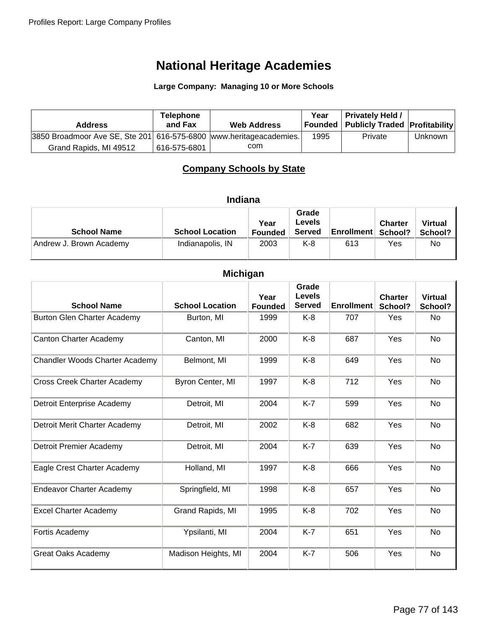**Large Company: Managing 10 or More Schools**

| <b>Address</b>                                                     | <b>Telephone</b><br>and Fax | <b>Web Address</b> | Year | <b>Privately Held /</b><br>Founded   Publicly Traded   Profitability |                |
|--------------------------------------------------------------------|-----------------------------|--------------------|------|----------------------------------------------------------------------|----------------|
| 3850 Broadmoor Ave SE, Ste 201 616-575-6800 www.heritageacademies. |                             |                    | 1995 | Private                                                              | <b>Unknown</b> |
| Grand Rapids, MI 49512                                             | 616-575-6801                | com                |      |                                                                      |                |

### **Company Schools by State**

|  | <b>Indiana</b> |
|--|----------------|

| <b>School Name</b>      | <b>School Location</b> | Year<br><b>Founded</b> | Grade<br>Levels<br><b>Served</b> | <b>Enrollment School?</b> | <b>Charter</b> | <b>Virtual</b><br>School? |
|-------------------------|------------------------|------------------------|----------------------------------|---------------------------|----------------|---------------------------|
| Andrew J. Brown Academy | Indianapolis, IN       | 2003                   | K-8                              | 613                       | Yes            | No                        |

### **Michigan**

|                                       |                        | Grade<br>Levels        |               |                   |                           |                           |
|---------------------------------------|------------------------|------------------------|---------------|-------------------|---------------------------|---------------------------|
| <b>School Name</b>                    | <b>School Location</b> | Year<br><b>Founded</b> | <b>Served</b> | <b>Enrollment</b> | <b>Charter</b><br>School? | <b>Virtual</b><br>School? |
| Burton Glen Charter Academy           | Burton, MI             | 1999                   | K-8           | 707               | Yes                       | No                        |
| <b>Canton Charter Academy</b>         | Canton, MI             | 2000                   | $K-8$         | 687               | Yes                       | No                        |
| <b>Chandler Woods Charter Academy</b> | Belmont, MI            | 1999                   | $K-8$         | 649               | Yes                       | No                        |
| <b>Cross Creek Charter Academy</b>    | Byron Center, MI       | 1997                   | $K-8$         | 712               | Yes                       | No                        |
| Detroit Enterprise Academy            | Detroit, MI            | 2004                   | $K-7$         | 599               | Yes                       | No                        |
| Detroit Merit Charter Academy         | Detroit, MI            | 2002                   | $K-8$         | 682               | Yes                       | <b>No</b>                 |
| Detroit Premier Academy               | Detroit, MI            | 2004                   | $K-7$         | 639               | Yes                       | No                        |
| Eagle Crest Charter Academy           | Holland, MI            | 1997                   | $K-8$         | 666               | Yes                       | No                        |
| <b>Endeavor Charter Academy</b>       | Springfield, MI        | 1998                   | $K-8$         | 657               | Yes                       | No                        |
| <b>Excel Charter Academy</b>          | Grand Rapids, MI       | 1995                   | $K-8$         | 702               | Yes                       | No                        |
| Fortis Academy                        | Ypsilanti, MI          | 2004                   | $K-7$         | 651               | Yes                       | <b>No</b>                 |
| <b>Great Oaks Academy</b>             | Madison Heights, MI    | 2004                   | $K-7$         | 506               | Yes                       | <b>No</b>                 |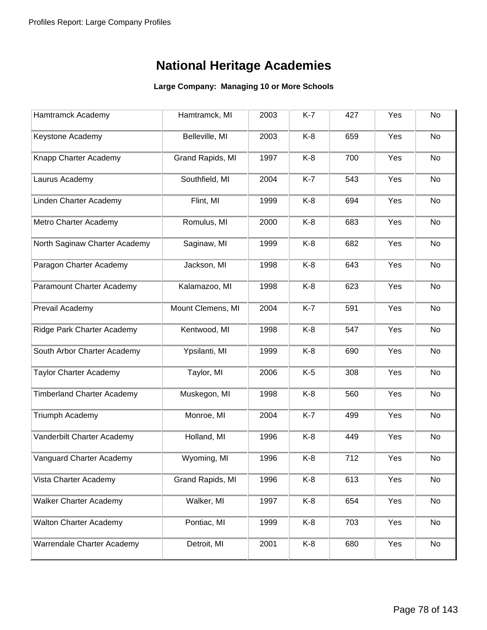| Hamtramck Academy                 | Hamtramck, MI     | 2003        | $K-7$ | 427 | Yes | No |
|-----------------------------------|-------------------|-------------|-------|-----|-----|----|
| Keystone Academy                  | Belleville, MI    | 2003        | K-8   | 659 | Yes | No |
| Knapp Charter Academy             | Grand Rapids, MI  | 1997        | $K-8$ | 700 | Yes | No |
| Laurus Academy                    | Southfield, MI    | 2004        | $K-7$ | 543 | Yes | No |
| Linden Charter Academy            | Flint, MI         | 1999        | $K-8$ | 694 | Yes | No |
| Metro Charter Academy             | Romulus, MI       | 2000        | $K-8$ | 683 | Yes | No |
| North Saginaw Charter Academy     | Saginaw, MI       | 1999        | $K-8$ | 682 | Yes | No |
| Paragon Charter Academy           | Jackson, MI       | 1998        | $K-8$ | 643 | Yes | No |
| Paramount Charter Academy         | Kalamazoo, MI     | 1998        | K-8   | 623 | Yes | No |
| Prevail Academy                   | Mount Clemens, MI | 2004        | $K-7$ | 591 | Yes | No |
| Ridge Park Charter Academy        | Kentwood, MI      | 1998        | K-8   | 547 | Yes | No |
| South Arbor Charter Academy       | Ypsilanti, MI     | 1999        | K-8   | 690 | Yes | No |
| <b>Taylor Charter Academy</b>     | Taylor, MI        | 2006        | $K-5$ | 308 | Yes | No |
| <b>Timberland Charter Academy</b> | Muskegon, MI      | 1998        | K-8   | 560 | Yes | No |
| Triumph Academy                   | Monroe, MI        | 2004        | $K-7$ | 499 | Yes | No |
| Vanderbilt Charter Academy        | Holland, MI       | 1996        | $K-8$ | 449 | Yes | No |
| Vanguard Charter Academy          | Wyoming, MI       | 1996        | K-8   | 712 | Yes | No |
| Vista Charter Academy             | Grand Rapids, MI  | 1996        | K-8   | 613 | Yes | No |
| <b>Walker Charter Academy</b>     | Walker, MI        | 1997        | $K-8$ | 654 | Yes | No |
| <b>Walton Charter Academy</b>     | Pontiac, MI       | K-8<br>1999 |       | 703 | Yes | No |
| Warrendale Charter Academy        | Detroit, MI       | 2001        | K-8   | 680 | Yes | No |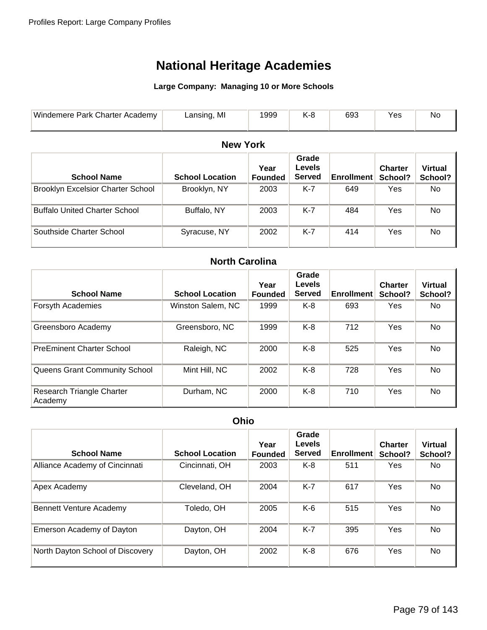#### **Large Company: Managing 10 or More Schools**

| Windemere,<br>Charter $\lambda$<br><b>Park</b><br>Academy | MI<br>.20000<br>`SING | 999 | 693 | 1 G <sub>2</sub> | 'NC |
|-----------------------------------------------------------|-----------------------|-----|-----|------------------|-----|
|                                                           |                       |     |     |                  |     |

### **New York**

| <b>School Name</b>                       | <b>School Location</b> | Year<br><b>Founded</b> | Grade<br><b>Levels</b><br><b>Served</b> | <b>Enrollment</b> | <b>Charter</b><br>School? | <b>Virtual</b><br>School? |
|------------------------------------------|------------------------|------------------------|-----------------------------------------|-------------------|---------------------------|---------------------------|
| <b>Brooklyn Excelsior Charter School</b> | Brooklyn, NY           | 2003                   | K-7                                     | 649               | Yes                       | No.                       |
| <b>Buffalo United Charter School</b>     | Buffalo, NY            | 2003                   | $K-7$                                   | 484               | Yes                       | No                        |
| Southside Charter School                 | Syracuse, NY           | 2002                   | K-7                                     | 414               | Yes                       | No                        |

### **North Carolina**

| <b>School Name</b>                   | <b>School Location</b> | Grade<br><b>Levels</b><br>Year<br><b>Enrollment</b><br><b>Served</b><br><b>Founded</b> |       | <b>Charter</b><br>School? | <b>Virtual</b><br>School? |           |
|--------------------------------------|------------------------|----------------------------------------------------------------------------------------|-------|---------------------------|---------------------------|-----------|
| Forsyth Academies                    | Winston Salem, NC      | 1999                                                                                   | K-8   | 693                       | <b>Yes</b>                | No.       |
| Greensboro Academy                   | Greensboro, NC         | 1999                                                                                   | K-8   | 712                       | <b>Yes</b>                | No        |
| <b>PreEminent Charter School</b>     | Raleigh, NC            | 2000                                                                                   | K-8   | 525                       | Yes                       | No        |
| Queens Grant Community School        | Mint Hill, NC          | 2002                                                                                   | K-8   | 728                       | Yes                       | <b>No</b> |
| Research Triangle Charter<br>Academy | Durham, NC             | 2000                                                                                   | $K-8$ | 710                       | <b>Yes</b>                | No        |

#### **Ohio**

| <b>School Name</b>               | <b>School Location</b> | Grade<br><b>Levels</b><br>Year<br><b>Enrollment</b><br><b>Served</b><br><b>Founded</b> |       | <b>Charter</b><br>School? | <b>Virtual</b><br>School? |           |
|----------------------------------|------------------------|----------------------------------------------------------------------------------------|-------|---------------------------|---------------------------|-----------|
| Alliance Academy of Cincinnati   | Cincinnati, OH<br>2003 |                                                                                        | K-8   | 511                       | Yes                       | No.       |
| Apex Academy                     | Cleveland, OH          | $K-7$<br>2004<br>617                                                                   |       | Yes                       | No                        |           |
| <b>Bennett Venture Academy</b>   | Toledo, OH             | 2005                                                                                   | K-6   | 515                       | Yes                       | No.       |
| Emerson Academy of Dayton        | Dayton, OH             | 2004                                                                                   | $K-7$ | 395                       | Yes                       | No        |
| North Dayton School of Discovery | Dayton, OH             | 2002                                                                                   | $K-8$ | 676                       | Yes                       | <b>No</b> |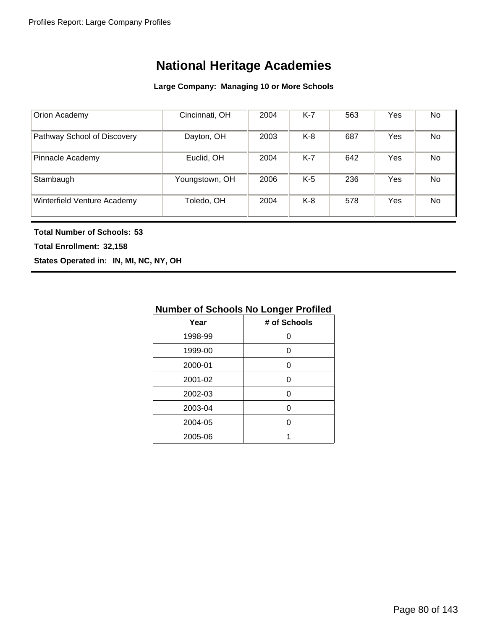#### **Large Company: Managing 10 or More Schools**

| Orion Academy               | Cincinnati, OH              | 2004 | $K-7$ | 563 | Yes | No |
|-----------------------------|-----------------------------|------|-------|-----|-----|----|
| Pathway School of Discovery | Dayton, OH                  | 2003 | K-8   | 687 | Yes | No |
| Pinnacle Academy            | $K-7$<br>Euclid, OH<br>2004 |      |       | 642 | Yes | No |
| Stambaugh                   | Youngstown, OH              | 2006 | $K-5$ | 236 | Yes | No |
| Winterfield Venture Academy | Toledo, OH                  | 2004 | $K-8$ | 578 | Yes | No |

**Total Number of Schools: 53**

**Total Enrollment: 32,158**

**States Operated in: IN, MI, NC, NY, OH**

### **Number of Schools No Longer Profiled**

| Year    | # of Schools |
|---------|--------------|
| 1998-99 | Ω            |
| 1999-00 | O            |
| 2000-01 | O            |
| 2001-02 | O            |
| 2002-03 | n            |
| 2003-04 | n            |
| 2004-05 | U            |
| 2005-06 | 1            |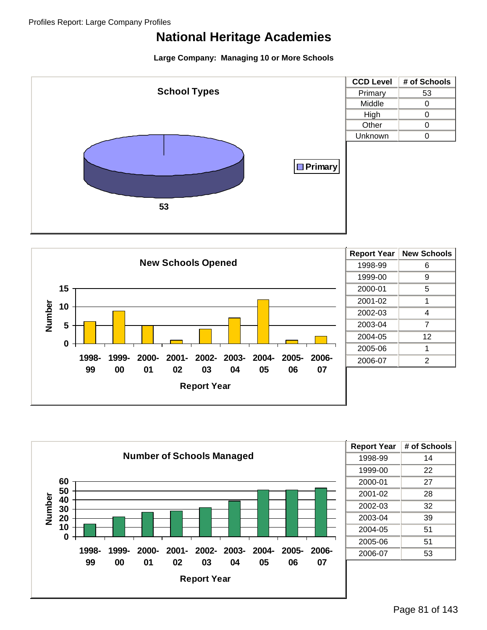





| <b>Report Year</b> | # of Schools |
|--------------------|--------------|
| 1998-99            | 14           |
| 1999-00            | 22           |
| 2000-01            | 27           |
| 2001-02            | 28           |
| 2002-03            | 32           |
| 2003-04            | 39           |
| 2004-05            | 51           |
| 2005-06            | 51           |
| 2006-07            | 53           |
|                    |              |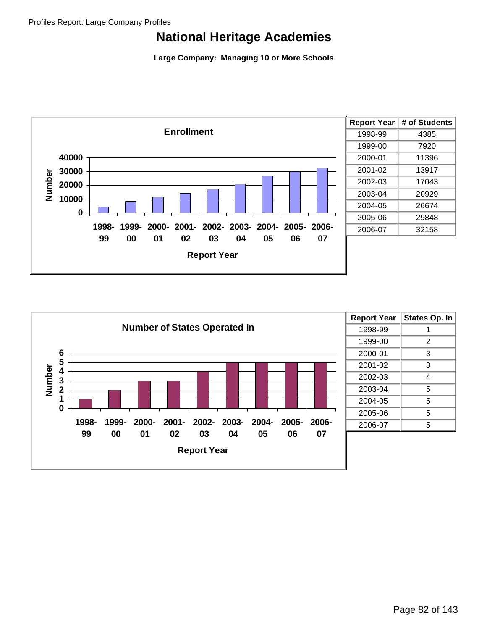



| <b>Report Year</b> | <b>States Op. In</b> |
|--------------------|----------------------|
| 1998-99            |                      |
| 1999-00            | 2                    |
| 2000-01            | 3                    |
| 2001-02            | 3                    |
| 2002-03            | 4                    |
| 2003-04            | 5                    |
| 2004-05            | 5                    |
| 2005-06            | 5                    |
| 2006-07            | 5                    |
|                    |                      |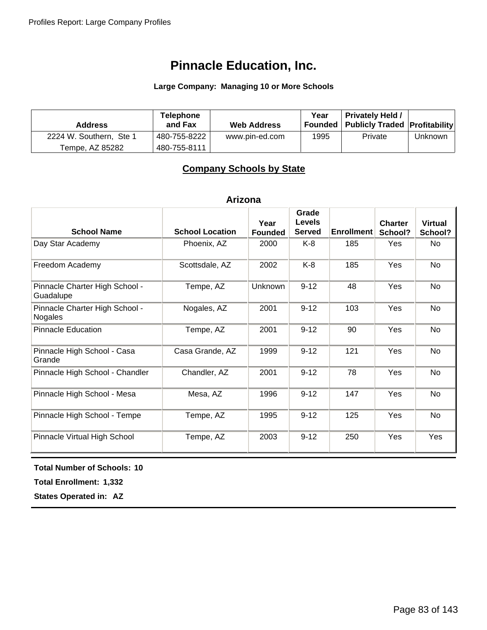#### **Large Company: Managing 10 or More Schools**

| <b>Address</b>          | <b>Telephone</b><br>and Fax | <b>Web Address</b> | Year | <b>Privately Held /</b><br>Founded   Publicly Traded   Profitability |         |
|-------------------------|-----------------------------|--------------------|------|----------------------------------------------------------------------|---------|
| 2224 W. Southern, Ste 1 | 480-755-8222                | www.pin-ed.com     | 1995 | Private                                                              | Unknown |
| Tempe, AZ 85282         | 480-755-8111                |                    |      |                                                                      |         |

### **Company Schools by State**

#### **Arizona**

| <b>School Name</b>                          | <b>School Location</b> | Year<br><b>Founded</b> | Grade<br><b>Levels</b><br><b>Served</b> | <b>Enrollment</b> | <b>Charter</b><br>School? | <b>Virtual</b><br>School? |
|---------------------------------------------|------------------------|------------------------|-----------------------------------------|-------------------|---------------------------|---------------------------|
| Day Star Academy                            | Phoenix, AZ            | 2000                   | K-8                                     | 185               | Yes                       | No                        |
| Freedom Academy                             | Scottsdale, AZ         | 2002                   | $K-8$                                   | 185               | Yes                       | No                        |
| Pinnacle Charter High School -<br>Guadalupe | Tempe, AZ              | <b>Unknown</b>         | $9 - 12$                                | 48                | Yes                       | <b>No</b>                 |
| Pinnacle Charter High School -<br>Nogales   | Nogales, AZ            | 2001                   | $9 - 12$                                | 103               | Yes                       | No                        |
| <b>Pinnacle Education</b>                   | Tempe, AZ              | 2001                   | $9 - 12$                                | 90                | Yes                       | No                        |
| Pinnacle High School - Casa<br>Grande       | Casa Grande, AZ        | 1999                   | $9 - 12$                                | 121               | Yes                       | No                        |
| Pinnacle High School - Chandler             | Chandler, AZ           | 2001                   | $9 - 12$                                | 78                | Yes                       | No                        |
| Pinnacle High School - Mesa                 | Mesa, AZ               | 1996                   | $9 - 12$                                | 147               | Yes                       | No.                       |
| Pinnacle High School - Tempe                | Tempe, AZ              | 1995                   | $9 - 12$                                | 125               | Yes                       | No                        |
| Pinnacle Virtual High School                | Tempe, AZ              | 2003                   | $9 - 12$                                | 250               | Yes                       | Yes                       |

**Total Number of Schools: 10**

**Total Enrollment: 1,332**

**States Operated in: AZ**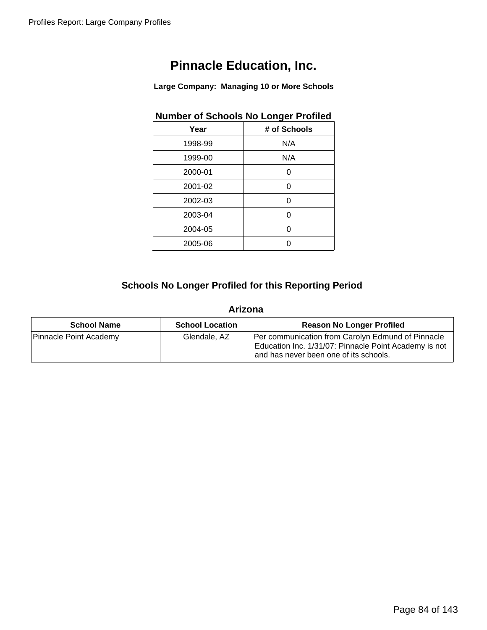**Large Company: Managing 10 or More Schools**

|         | Number of Schools No Longer Profiled |
|---------|--------------------------------------|
| Year    | # of Schools                         |
| 1998-99 | N/A                                  |
| 1999-00 | N/A                                  |
| 2000-01 | 0                                    |
| 2001-02 | 0                                    |
| 2002-03 | 0                                    |
| 2003-04 | 0                                    |
| 2004-05 | 0                                    |
| 2005-06 |                                      |
|         |                                      |

### **Number of Schools No Longer Profiled**

### **Schools No Longer Profiled for this Reporting Period**

#### **Arizona**

| <b>School Name</b>     | <b>School Location</b> | <b>Reason No Longer Profiled</b>                                                                                                                     |
|------------------------|------------------------|------------------------------------------------------------------------------------------------------------------------------------------------------|
| Pinnacle Point Academy | Glendale, AZ           | Per communication from Carolyn Edmund of Pinnacle<br>Education Inc. 1/31/07: Pinnacle Point Academy is not<br>and has never been one of its schools. |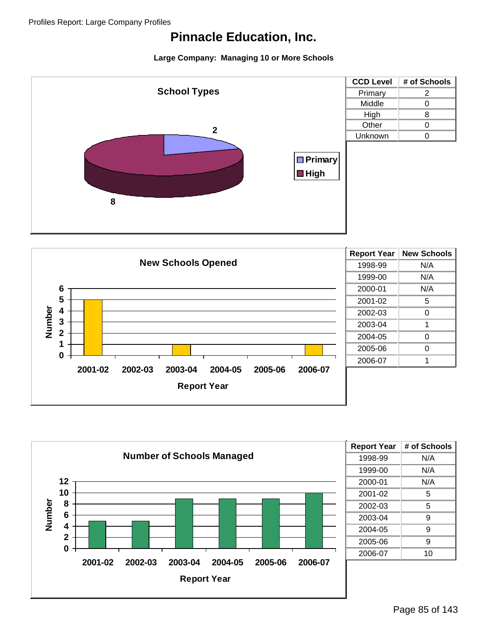



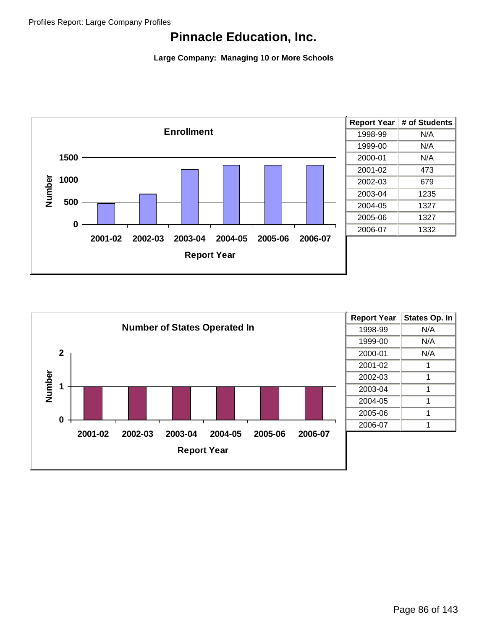

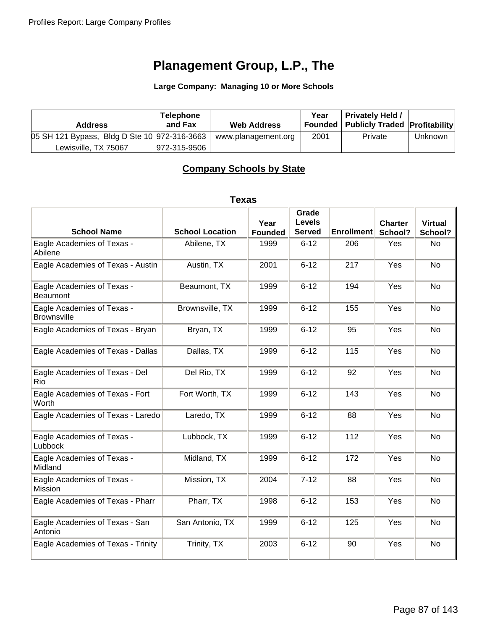**Large Company: Managing 10 or More Schools**

| <b>Address</b>                               | <b>Telephone</b><br>and Fax | <b>Web Address</b>  | Year | <b>Privately Held /</b><br>Founded   Publicly Traded   Profitability |                |
|----------------------------------------------|-----------------------------|---------------------|------|----------------------------------------------------------------------|----------------|
| 05 SH 121 Bypass, Bldg D Ste 10 972-316-3663 |                             | www.planagement.org | 2001 | Private                                                              | <b>Unknown</b> |
| Lewisville, TX 75067                         | 972-315-9506                |                     |      |                                                                      |                |

### **Company Schools by State**

#### **Texas**

| <b>School Name</b>                               | <b>School Location</b> | Year<br><b>Founded</b> | Grade<br><b>Levels</b><br><b>Served</b> | <b>Enrollment</b> | <b>Charter</b><br>School? | <b>Virtual</b><br>School? |
|--------------------------------------------------|------------------------|------------------------|-----------------------------------------|-------------------|---------------------------|---------------------------|
| Eagle Academies of Texas -<br>Abilene            | Abilene, TX            | 1999                   | $6 - 12$                                | 206               | Yes                       | <b>No</b>                 |
| Eagle Academies of Texas - Austin                | Austin, TX             | 2001                   | $6 - 12$                                | 217               | Yes                       | <b>No</b>                 |
| Eagle Academies of Texas -<br><b>Beaumont</b>    | Beaumont, TX           | 1999                   | $6 - 12$                                | 194               | Yes                       | <b>No</b>                 |
| Eagle Academies of Texas -<br><b>Brownsville</b> | Brownsville, TX        | 1999                   | $6 - 12$                                | 155               | Yes                       | <b>No</b>                 |
| Eagle Academies of Texas - Bryan                 | Bryan, TX              | 1999                   | $6 - 12$                                | 95                | Yes                       | <b>No</b>                 |
| Eagle Academies of Texas - Dallas                | Dallas, TX             | 1999                   | $6 - 12$                                | 115               | Yes                       | <b>No</b>                 |
| Eagle Academies of Texas - Del<br>Rio            | Del Rio, TX            | 1999                   | $6 - 12$                                | 92                | Yes                       | <b>No</b>                 |
| Eagle Academies of Texas - Fort<br>Worth         | Fort Worth, TX         | 1999                   | $6 - 12$                                | 143               | Yes                       | <b>No</b>                 |
| Eagle Academies of Texas - Laredo                | Laredo, TX             | 1999                   | $6 - 12$                                | 88                | Yes                       | <b>No</b>                 |
| Eagle Academies of Texas -<br>Lubbock            | Lubbock, TX            | 1999                   | $6 - 12$                                | 112               | Yes                       | <b>No</b>                 |
| Eagle Academies of Texas -<br>Midland            | Midland, TX            | 1999                   | $6 - 12$                                | 172               | Yes                       | <b>No</b>                 |
| Eagle Academies of Texas -<br>Mission            | Mission, TX            | 2004                   | $7 - 12$                                | 88                | Yes                       | <b>No</b>                 |
| Eagle Academies of Texas - Pharr                 | Pharr, TX              | 1998                   | $6 - 12$                                | 153               | Yes                       | <b>No</b>                 |
| Eagle Academies of Texas - San<br>Antonio        | San Antonio, TX        | 1999                   | $6 - 12$                                | 125               | Yes                       | <b>No</b>                 |
| Eagle Academies of Texas - Trinity               | Trinity, TX            | 2003                   | $6 - 12$                                | 90                | Yes                       | <b>No</b>                 |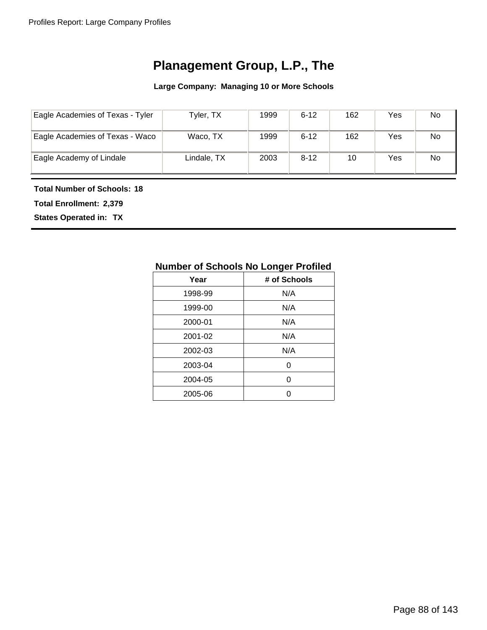**Large Company: Managing 10 or More Schools**

| Eagle Academies of Texas - Tyler | Tyler, TX   | 1999 | $6 - 12$ | 162 | Yes | No |
|----------------------------------|-------------|------|----------|-----|-----|----|
| Eagle Academies of Texas - Waco  | Waco, TX    | 1999 | $6 - 12$ | 162 | Yes | No |
| Eagle Academy of Lindale         | Lindale, TX | 2003 | $8 - 12$ | 10  | Yes | No |

#### **Total Number of Schools: 18**

**Total Enrollment: 2,379**

**States Operated in: TX**

| Number of Schools No Longer Profiled |              |  |  |  |  |
|--------------------------------------|--------------|--|--|--|--|
| Year                                 | # of Schools |  |  |  |  |
| 1998-99                              | N/A          |  |  |  |  |
| 1999-00                              | N/A          |  |  |  |  |
| 2000-01                              | N/A          |  |  |  |  |
| 2001-02                              | N/A          |  |  |  |  |
| 2002-03                              | N/A          |  |  |  |  |
| 2003-04                              | U            |  |  |  |  |
| 2004-05                              | U            |  |  |  |  |
| 2005-06                              |              |  |  |  |  |
|                                      |              |  |  |  |  |

### **Number of Schools No Longer Profiled**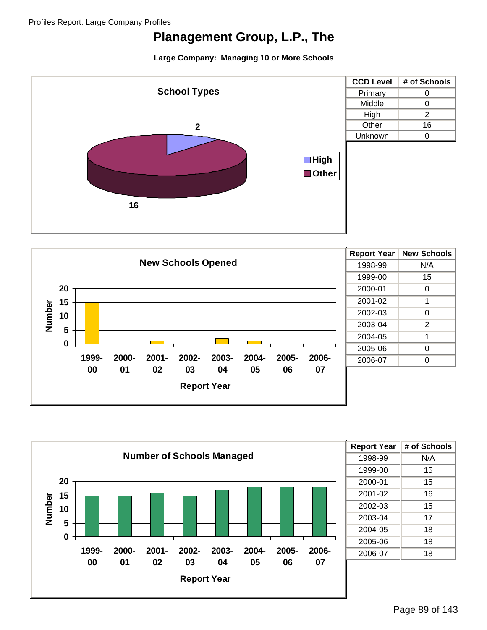





| <b>Report Year</b> | # of Schools |
|--------------------|--------------|
| 1998-99            | N/A          |
| 1999-00            | 15           |
| 2000-01            | 15           |
| 2001-02            | 16           |
| 2002-03            | 15           |
| 2003-04            | 17           |
| 2004-05            | 18           |
| 2005-06            | 18           |
| 2006-07            | 18           |
|                    |              |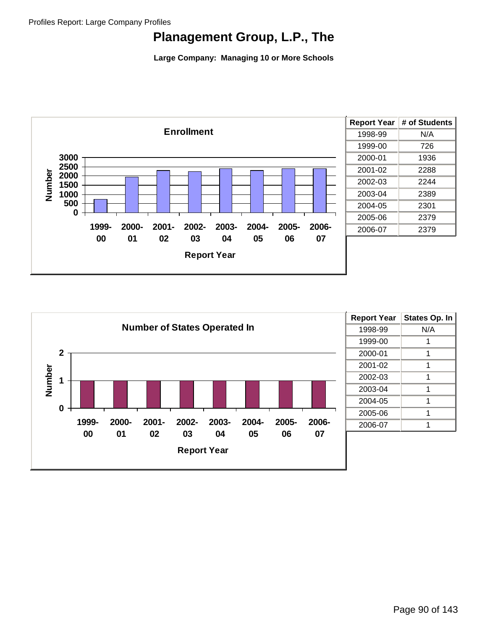

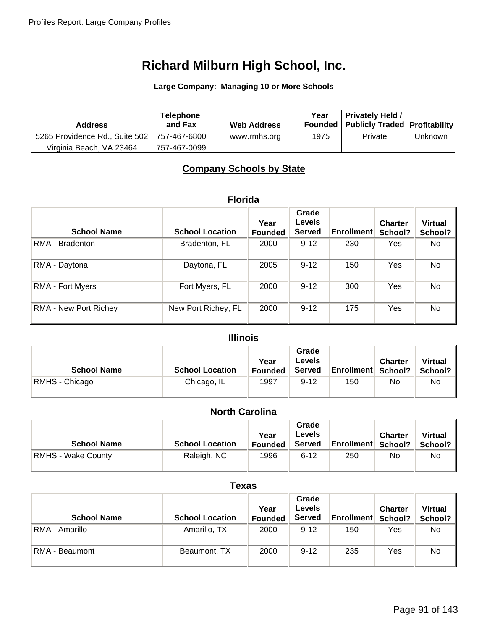**Large Company: Managing 10 or More Schools**

| <b>Address</b>                 | <b>Telephone</b><br>and Fax | <b>Web Address</b> | Year | <b>Privately Held /</b><br>Founded   Publicly Traded   Profitability |         |
|--------------------------------|-----------------------------|--------------------|------|----------------------------------------------------------------------|---------|
| 5265 Providence Rd., Suite 502 | ⊢757-467-6800 ∃             | www.rmhs.org       | 1975 | Private                                                              | Unknown |
| Virginia Beach, VA 23464       | 757-467-0099                |                    |      |                                                                      |         |

### **Company Schools by State**

#### **Florida**

|                         |                        | Year           | Grade<br><b>Levels</b> |                   | <b>Charter</b> | <b>Virtual</b> |
|-------------------------|------------------------|----------------|------------------------|-------------------|----------------|----------------|
| <b>School Name</b>      | <b>School Location</b> | <b>Founded</b> | <b>Served</b>          | <b>Enrollment</b> | School?        | School?        |
| RMA - Bradenton         | Bradenton, FL          | 2000           | $9 - 12$               | 230               | Yes            | No.            |
| RMA - Daytona           | Daytona, FL            | 2005           | $9 - 12$               | 150               | Yes            | No             |
| <b>RMA - Fort Myers</b> | Fort Myers, FL         | 2000           | $9 - 12$               | 300               | Yes            | No             |
| RMA - New Port Richey   | New Port Richey, FL    | 2000           | $9 - 12$               | 175               | Yes            | No             |

### **Illinois**

| <b>School Name</b> | <b>School Location</b> | Year<br><b>Founded</b> | Grade<br>Levels<br><b>Served</b> | <b>Enrollment School?</b> | <b>Charter</b> | <b>Virtual</b><br>School? |
|--------------------|------------------------|------------------------|----------------------------------|---------------------------|----------------|---------------------------|
| RMHS - Chicago     | Chicago, IL            | 1997                   | $9 - 12$                         | 150                       | No             | No                        |

### **North Carolina**

| <b>School Name</b>        | <b>School Location</b> | Year<br><b>Founded</b> | Grade<br><b>Levels</b><br><b>Served</b> | <b>Enrollment School?</b> | <b>Charter</b> | <b>Virtual</b><br>School? I |
|---------------------------|------------------------|------------------------|-----------------------------------------|---------------------------|----------------|-----------------------------|
| <b>RMHS - Wake County</b> | Raleigh, NC            | 1996                   | $6 - 12$                                | 250                       | No             | No.                         |

#### **Texas**

| <b>School Name</b> | <b>School Location</b> | Year<br><b>Founded</b> | Grade<br><b>Levels</b><br><b>Served</b> | Enrollment | <b>Charter</b><br>School? | <b>Virtual</b><br>School? |
|--------------------|------------------------|------------------------|-----------------------------------------|------------|---------------------------|---------------------------|
| RMA - Amarillo     | Amarillo, TX           | 2000                   | $9 - 12$                                | 150        | Yes                       | No.                       |
| RMA - Beaumont     | Beaumont, TX           | 2000                   | $9 - 12$                                | 235        | Yes                       | No                        |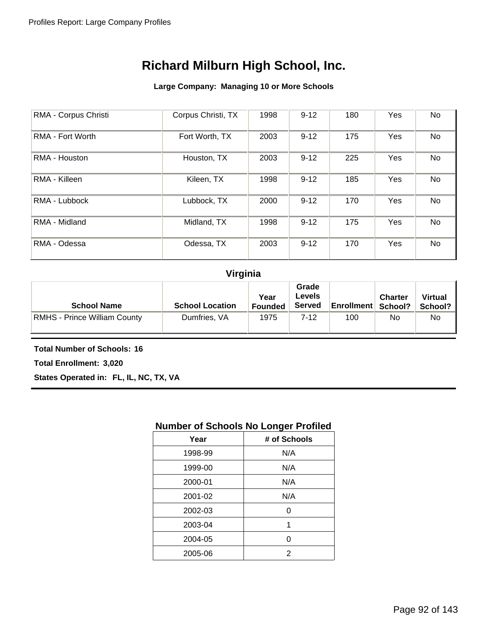#### **Large Company: Managing 10 or More Schools**

| RMA - Corpus Christi    | Corpus Christi, TX | 1998 | $9 - 12$ | 180 | Yes | No |
|-------------------------|--------------------|------|----------|-----|-----|----|
| <b>RMA - Fort Worth</b> | Fort Worth, TX     | 2003 | $9 - 12$ | 175 | Yes | No |
| RMA - Houston           | Houston, TX        | 2003 | $9 - 12$ | 225 | Yes | No |
| RMA - Killeen           | Kileen, TX         | 1998 | $9 - 12$ | 185 | Yes | No |
| RMA - Lubbock           | Lubbock, TX        | 2000 | $9 - 12$ | 170 | Yes | No |
| RMA - Midland           | Midland, TX        | 1998 | $9 - 12$ | 175 | Yes | No |
| RMA - Odessa            | Odessa, TX         | 2003 | $9 - 12$ | 170 | Yes | No |

### **Virginia**

| <b>School Name</b>           | <b>School Location</b> | Year<br><b>Founded</b> | Grade<br>Levels<br><b>Served</b> | <b>Enrollment   School?</b> | <b>Charter</b> | <b>Virtual</b><br>School? |
|------------------------------|------------------------|------------------------|----------------------------------|-----------------------------|----------------|---------------------------|
| RMHS - Prince William County | Dumfries, VA           | 1975                   | $7-12$                           | 100                         | No             | No                        |

**Total Number of Schools: 16**

**Total Enrollment: 3,020**

**States Operated in: FL, IL, NC, TX, VA**

### **Number of Schools No Longer Profiled**

| Year    | # of Schools |
|---------|--------------|
| 1998-99 | N/A          |
| 1999-00 | N/A          |
| 2000-01 | N/A          |
| 2001-02 | N/A          |
| 2002-03 | 0            |
| 2003-04 | 1            |
| 2004-05 | 0            |
| 2005-06 | 2            |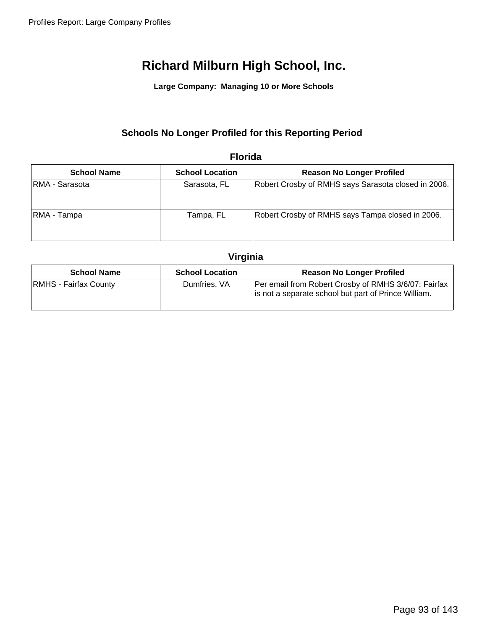**Large Company: Managing 10 or More Schools**

### **Schools No Longer Profiled for this Reporting Period**

| <b>School Name</b> | <b>School Location</b> | <b>Reason No Longer Profiled</b>                    |
|--------------------|------------------------|-----------------------------------------------------|
| RMA - Sarasota     | Sarasota, FL           | Robert Crosby of RMHS says Sarasota closed in 2006. |
| RMA - Tampa        | Tampa, FL              | Robert Crosby of RMHS says Tampa closed in 2006.    |

#### **Florida**

### **Virginia**

| <b>School Name</b>           | <b>School Location</b> | <b>Reason No Longer Profiled</b>                                                                             |
|------------------------------|------------------------|--------------------------------------------------------------------------------------------------------------|
| <b>RMHS - Fairfax County</b> | Dumfries, VA           | Per email from Robert Crosby of RMHS 3/6/07: Fairfax<br>is not a separate school but part of Prince William. |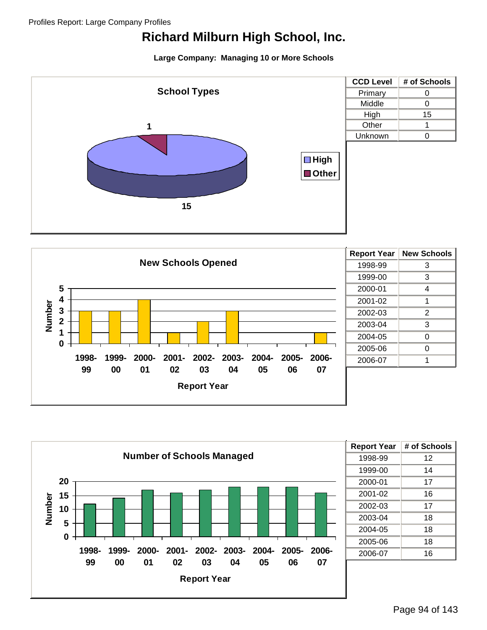





| <b>Report Year</b> | # of Schools |
|--------------------|--------------|
| 1998-99            | 12           |
| 1999-00            | 14           |
| 2000-01            | 17           |
| 2001-02            | 16           |
| 2002-03            | 17           |
| 2003-04            | 18           |
| 2004-05            | 18           |
| 2005-06            | 18           |
| 2006-07            | 16           |
|                    |              |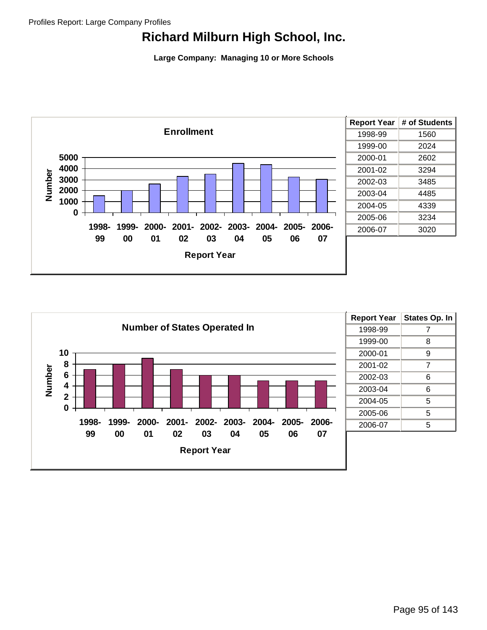

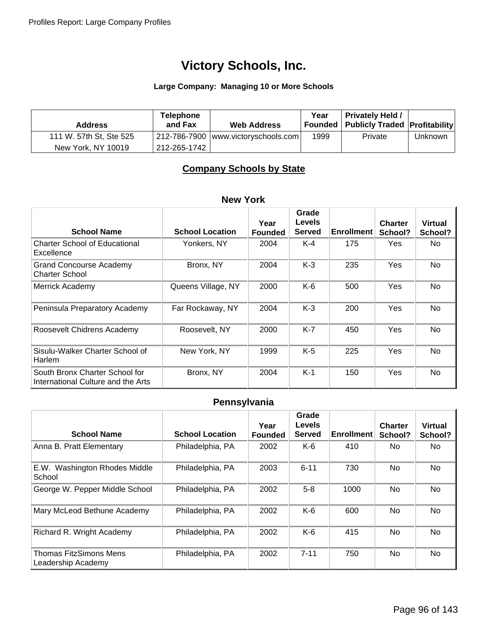#### **Large Company: Managing 10 or More Schools**

| <b>Address</b>          | <b>Telephone</b><br>and Fax | <b>Web Address</b>                    | Year | <b>Privately Held /</b><br>Founded   Publicly Traded   Profitability |                |
|-------------------------|-----------------------------|---------------------------------------|------|----------------------------------------------------------------------|----------------|
| 111 W. 57th St, Ste 525 |                             | 212-786-7900   www.victoryschools.com | 1999 | Private                                                              | <b>Unknown</b> |
| New York, NY 10019      | 212-265-1742                |                                       |      |                                                                      |                |

### **Company Schools by State**

### **New York**

| <b>School Name</b>                                                   | <b>School Location</b> | Year<br><b>Founded</b> | Grade<br><b>Levels</b><br><b>Served</b> | <b>Enrollment</b> | <b>Charter</b><br>School? | <b>Virtual</b><br>School? |
|----------------------------------------------------------------------|------------------------|------------------------|-----------------------------------------|-------------------|---------------------------|---------------------------|
| <b>Charter School of Educational</b><br>Excellence                   | Yonkers, NY            | 2004                   | $K-4$                                   | 175               | Yes                       | No.                       |
| <b>Grand Concourse Academy</b><br><b>Charter School</b>              | Bronx, NY              | 2004                   | $K-3$                                   | 235               | Yes                       | No.                       |
| Merrick Academy                                                      | Queens Village, NY     | 2000                   | $K-6$                                   | 500               | Yes                       | No                        |
| Peninsula Preparatory Academy                                        | Far Rockaway, NY       | 2004                   | $K-3$                                   | 200               | Yes                       | No                        |
| Roosevelt Chidrens Academy                                           | Roosevelt, NY          | 2000                   | $K-7$                                   | 450               | Yes                       | <b>No</b>                 |
| Sisulu-Walker Charter School of<br><b>Harlem</b>                     | New York, NY           | 1999                   | $K-5$                                   | 225               | Yes                       | No                        |
| South Bronx Charter School for<br>International Culture and the Arts | Bronx, NY              | 2004                   | $K-1$                                   | 150               | Yes                       | No                        |

### **Pennsylvania**

| <b>School Name</b>                                  | <b>School Location</b> | Year<br><b>Founded</b> | Grade<br>Levels<br><b>Served</b> | <b>Enrollment</b> | <b>Charter</b><br>School? | <b>Virtual</b><br>School? |
|-----------------------------------------------------|------------------------|------------------------|----------------------------------|-------------------|---------------------------|---------------------------|
| Anna B. Pratt Elementary                            | Philadelphia, PA       | 2002                   | K-6                              | 410               | No.                       | No.                       |
| E.W. Washington Rhodes Middle<br>School             | Philadelphia, PA       | 2003                   | $6 - 11$                         | 730               | No.                       | <b>No</b>                 |
| George W. Pepper Middle School                      | Philadelphia, PA       | 2002                   | $5-8$                            | 1000              | No.                       | <b>No</b>                 |
| Mary McLeod Bethune Academy                         | Philadelphia, PA       | 2002                   | $K-6$                            | 600               | N <sub>o</sub>            | <b>No</b>                 |
| Richard R. Wright Academy                           | Philadelphia, PA       | 2002                   | $K-6$                            | 415               | No                        | <b>No</b>                 |
| <b>Thomas FitzSimons Mens</b><br>Leadership Academy | Philadelphia, PA       | 2002                   | $7 - 11$                         | 750               | No                        | <b>No</b>                 |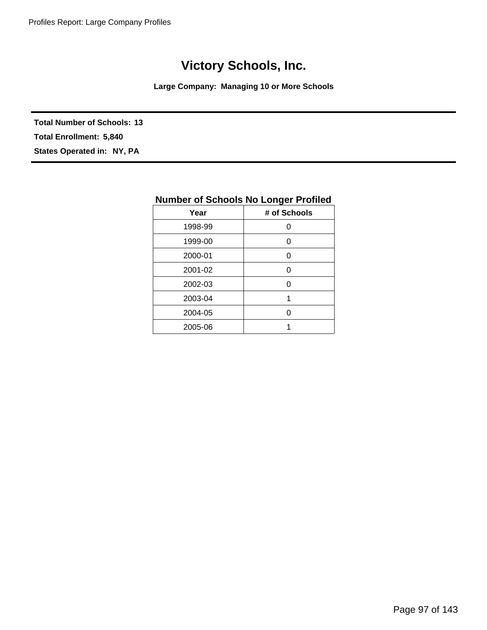**Large Company: Managing 10 or More Schools**

**Total Number of Schools: 13 States Operated in: NY, PA Total Enrollment: 5,840**

| <b>Number of Schools No Longer Profiled</b> |              |  |  |  |
|---------------------------------------------|--------------|--|--|--|
| Year                                        | # of Schools |  |  |  |
| 1998-99                                     | Ω            |  |  |  |
| 1999-00                                     | ი            |  |  |  |
| 2000-01                                     | ი            |  |  |  |
| 2001-02                                     | ი            |  |  |  |
| 2002-03                                     | ი            |  |  |  |
| 2003-04                                     | 1            |  |  |  |
| 2004-05                                     | Ω            |  |  |  |
| 2005-06                                     |              |  |  |  |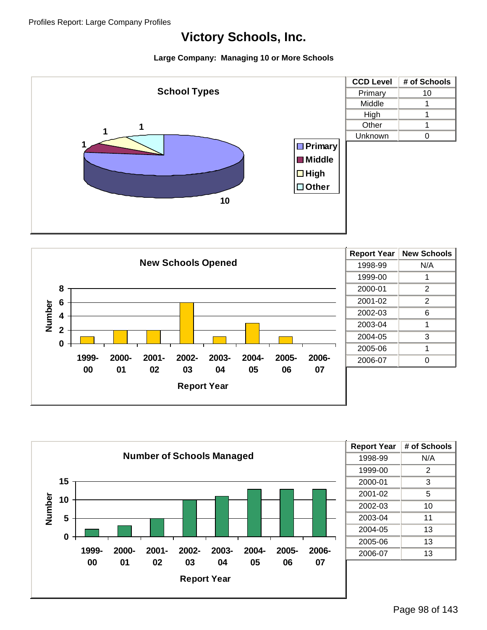





| <b>Report Year</b> | # of Schools |
|--------------------|--------------|
| 1998-99            | N/A          |
| 1999-00            | 2            |
| 2000-01            | 3            |
| 2001-02            | 5            |
| 2002-03            | 10           |
| 2003-04            | 11           |
| 2004-05            | 13           |
| 2005-06            | 13           |
| 2006-07            | 13           |
|                    |              |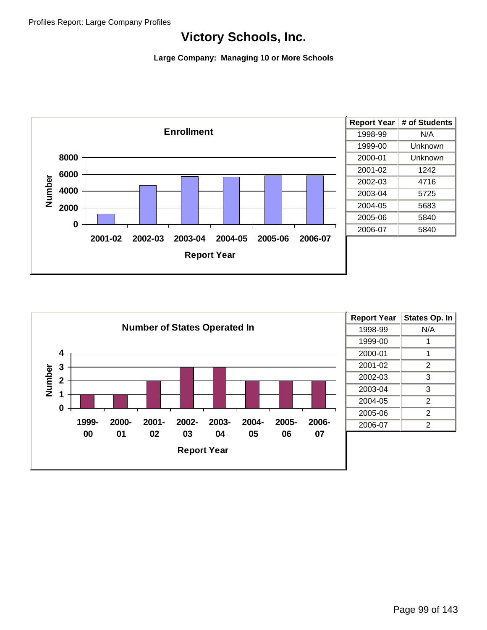

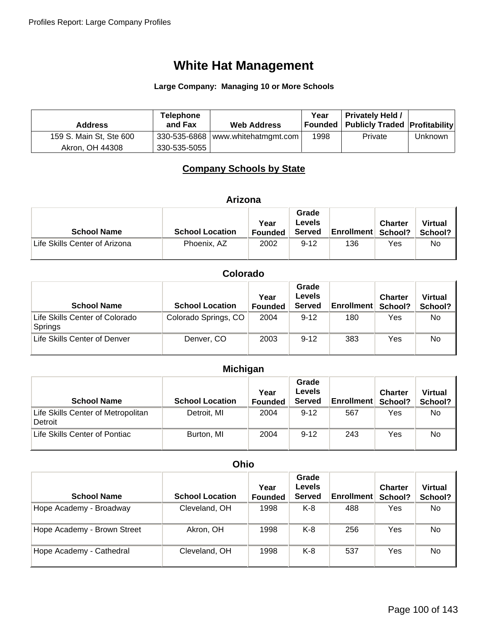#### **Large Company: Managing 10 or More Schools**

| <b>Address</b>          | <b>Telephone</b><br>and Fax | <b>Web Address</b>                  | Year | <b>Privately Held /</b><br>Founded   Publicly Traded   Profitability |         |
|-------------------------|-----------------------------|-------------------------------------|------|----------------------------------------------------------------------|---------|
| 159 S. Main St, Ste 600 |                             | $330-535-6868$ www.whitehatmgmt.com | 1998 | Private                                                              | Unknown |
| Akron, OH 44308         | 330-535-5055                |                                     |      |                                                                      |         |

### **Company Schools by State**

|  | Arizona |
|--|---------|
|  |         |

| <b>School Name</b>            | <b>School Location</b> | Year<br><b>Founded</b> | Grade<br>Levels<br><b>Served</b> | <b>Enrollment School?</b> | <b>Charter</b> | <b>Virtual</b><br>School? |
|-------------------------------|------------------------|------------------------|----------------------------------|---------------------------|----------------|---------------------------|
| Life Skills Center of Arizona | Phoenix, AZ            | 2002                   | $9 - 12$                         | 136                       | Yes            | No.                       |

### **Colorado**

| <b>School Name</b>                        | <b>School Location</b> | Year<br><b>Founded</b> | Grade<br>Levels<br><b>Served</b> | <b>Enrollment</b> | <b>Charter</b><br>School? | <b>Virtual</b><br>School? |
|-------------------------------------------|------------------------|------------------------|----------------------------------|-------------------|---------------------------|---------------------------|
| Life Skills Center of Colorado<br>Springs | Colorado Springs, CO   | 2004                   | $9 - 12$                         | 180               | Yes                       | No.                       |
| Life Skills Center of Denver              | Denver, CO             | 2003                   | $9 - 12$                         | 383               | Yes                       | No                        |

### **Michigan**

| <b>School Name</b>                            | <b>School Location</b> | Year<br><b>Founded</b> | Grade<br><b>Levels</b><br><b>Served</b> | <b>Enrollment</b> | <b>Charter</b><br>School? | <b>Virtual</b><br>School? |
|-----------------------------------------------|------------------------|------------------------|-----------------------------------------|-------------------|---------------------------|---------------------------|
| Life Skills Center of Metropolitan<br>Detroit | Detroit, MI            | 2004                   | $9 - 12$                                | 567               | Yes                       | No                        |
| Life Skills Center of Pontiac                 | Burton, MI             | 2004                   | $9 - 12$                                | 243               | Yes                       | No                        |

#### **Ohio**

| <b>School Name</b>          | <b>School Location</b> | Year<br><b>Founded</b> | Grade<br>Levels<br><b>Served</b> | <b>Enrollment</b> | <b>Charter</b><br>School? | <b>Virtual</b><br>School? |
|-----------------------------|------------------------|------------------------|----------------------------------|-------------------|---------------------------|---------------------------|
| Hope Academy - Broadway     | Cleveland, OH          | 1998                   | K-8                              | 488               | Yes                       | No.                       |
| Hope Academy - Brown Street | Akron, OH              | 1998                   | K-8                              | 256               | Yes                       | No                        |
| Hope Academy - Cathedral    | Cleveland, OH          | 1998                   | K-8                              | 537               | Yes                       | No                        |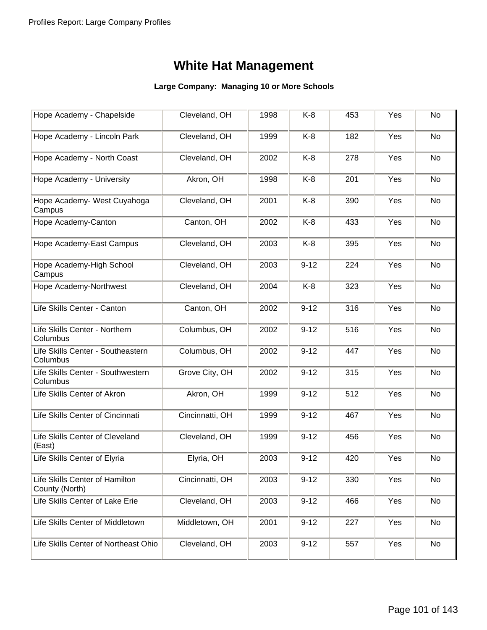| Hope Academy - Chapelside                        | Cleveland, OH   | 1998 | $K-8$    | 453 | Yes | No |
|--------------------------------------------------|-----------------|------|----------|-----|-----|----|
| Hope Academy - Lincoln Park                      | Cleveland, OH   | 1999 | K-8      | 182 | Yes | No |
| Hope Academy - North Coast                       | Cleveland, OH   | 2002 | $K-8$    | 278 | Yes | No |
| Hope Academy - University                        | Akron, OH       | 1998 | $K-8$    | 201 | Yes | No |
| Hope Academy- West Cuyahoga<br>Campus            | Cleveland, OH   | 2001 | $K-8$    | 390 | Yes | No |
| Hope Academy-Canton                              | Canton, OH      | 2002 | $K-8$    | 433 | Yes | No |
| Hope Academy-East Campus                         | Cleveland, OH   | 2003 | $K-8$    | 395 | Yes | No |
| Hope Academy-High School<br>Campus               | Cleveland, OH   | 2003 | $9 - 12$ | 224 | Yes | No |
| Hope Academy-Northwest                           | Cleveland, OH   | 2004 | $K-8$    | 323 | Yes | No |
| Life Skills Center - Canton                      | Canton, OH      | 2002 | $9 - 12$ | 316 | Yes | No |
| Life Skills Center - Northern<br>Columbus        | Columbus, OH    | 2002 | $9 - 12$ | 516 | Yes | No |
| Life Skills Center - Southeastern<br>Columbus    | Columbus, OH    | 2002 | $9 - 12$ | 447 | Yes | No |
| Life Skills Center - Southwestern<br>Columbus    | Grove City, OH  | 2002 | $9 - 12$ | 315 | Yes | No |
| Life Skills Center of Akron                      | Akron, OH       | 1999 | $9 - 12$ | 512 | Yes | No |
| Life Skills Center of Cincinnati                 | Cincinnatti, OH | 1999 | $9 - 12$ | 467 | Yes | No |
| Life Skills Center of Cleveland<br>(East)        | Cleveland, OH   | 1999 | $9 - 12$ | 456 | Yes | No |
| Life Skills Center of Elyria                     | Elyria, OH      | 2003 | $9 - 12$ | 420 | Yes | No |
| Life Skills Center of Hamilton<br>County (North) | Cincinnatti, OH | 2003 | $9 - 12$ | 330 | Yes | No |
| Life Skills Center of Lake Erie                  | Cleveland, OH   | 2003 | $9 - 12$ | 466 | Yes | No |
| Life Skills Center of Middletown                 | Middletown, OH  | 2001 | $9 - 12$ | 227 | Yes | No |
| Life Skills Center of Northeast Ohio             | Cleveland, OH   | 2003 | $9 - 12$ | 557 | Yes | No |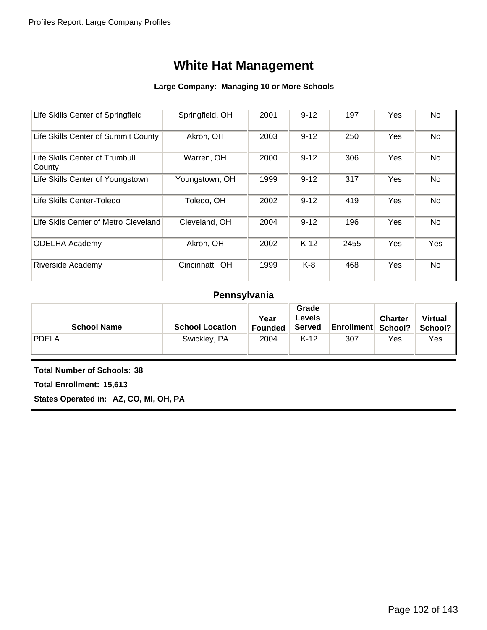#### **Large Company: Managing 10 or More Schools**

| Life Skills Center of Springfield        | Springfield, OH | 2001 | $9 - 12$ | 197  | Yes | No         |
|------------------------------------------|-----------------|------|----------|------|-----|------------|
| Life Skills Center of Summit County      | Akron, OH       | 2003 | $9 - 12$ | 250  | Yes | No         |
| Life Skills Center of Trumbull<br>County | Warren, OH      | 2000 | $9 - 12$ | 306  | Yes | No         |
| Life Skills Center of Youngstown         | Youngstown, OH  | 1999 | $9 - 12$ | 317  | Yes | No         |
| Life Skills Center-Toledo                | Toledo, OH      | 2002 | $9 - 12$ | 419  | Yes | No         |
| Life Skils Center of Metro Cleveland     | Cleveland, OH   | 2004 | $9 - 12$ | 196  | Yes | No         |
| <b>ODELHA Academy</b>                    | Akron, OH       | 2002 | $K-12$   | 2455 | Yes | <b>Yes</b> |
| Riverside Academy                        | Cincinnatti, OH | 1999 | $K-8$    | 468  | Yes | No         |

### **Pennsylvania**

| <b>School Name</b> | <b>School Location</b> | Year<br>Founded | Grade<br>Levels<br><b>Served</b> | <b>Enrollment School?</b> | <b>Charter</b> | <b>Virtual</b><br>School? |
|--------------------|------------------------|-----------------|----------------------------------|---------------------------|----------------|---------------------------|
| <b>PDELA</b>       | Swickley, PA           | 2004            | $K-12$                           | 307                       | Yes            | Yes                       |

**Total Number of Schools: 38**

**Total Enrollment: 15,613**

**States Operated in: AZ, CO, MI, OH, PA**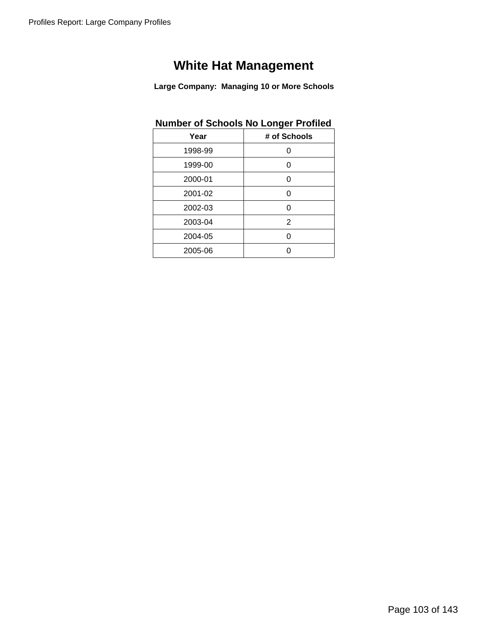**Large Company: Managing 10 or More Schools**

### **Number of Schools No Longer Profiled**

| Year    | # of Schools |
|---------|--------------|
| 1998-99 | Ω            |
| 1999-00 | O            |
| 2000-01 | ი            |
| 2001-02 | O            |
| 2002-03 | ∩            |
| 2003-04 | 2            |
| 2004-05 | ∩            |
| 2005-06 |              |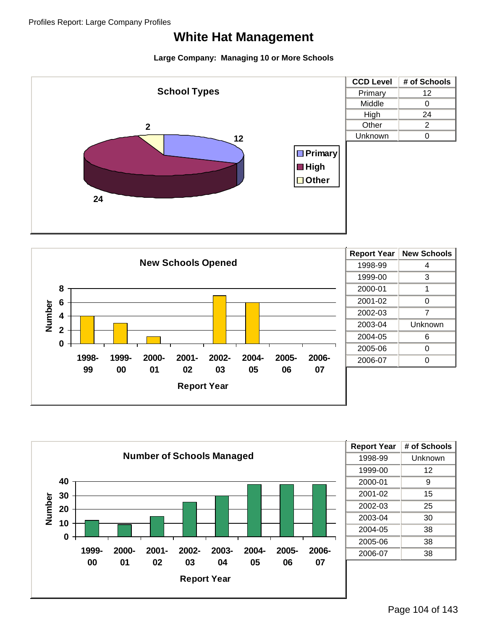





| <b>Report Year</b> | # of Schools |
|--------------------|--------------|
| 1998-99            | Unknown      |
| 1999-00            | 12           |
| 2000-01            | 9            |
| 2001-02            | 15           |
| 2002-03            | 25           |
| 2003-04            | 30           |
| 2004-05            | 38           |
| 2005-06            | 38           |
| 2006-07            | 38           |
|                    |              |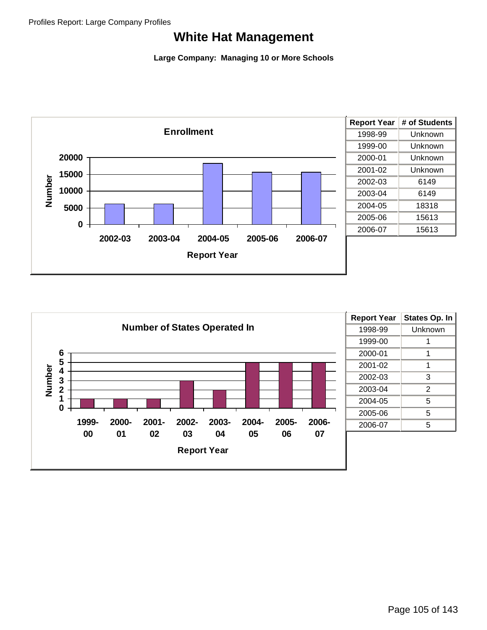

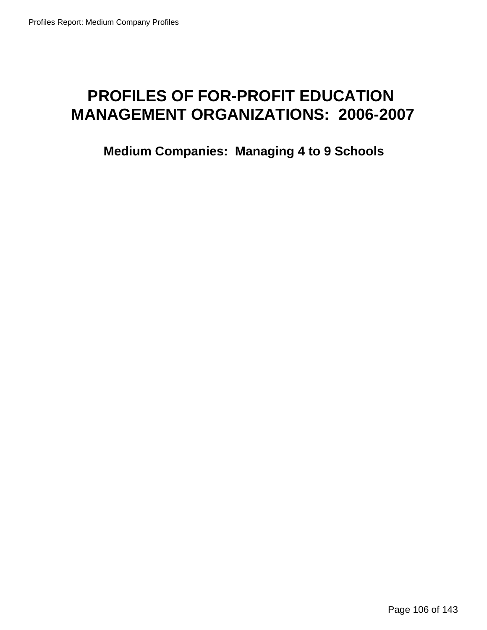# **PROFILES OF FOR-PROFIT EDUCATION MANAGEMENT ORGANIZATIONS: 2006-2007**

**Medium Companies: Managing 4 to 9 Schools**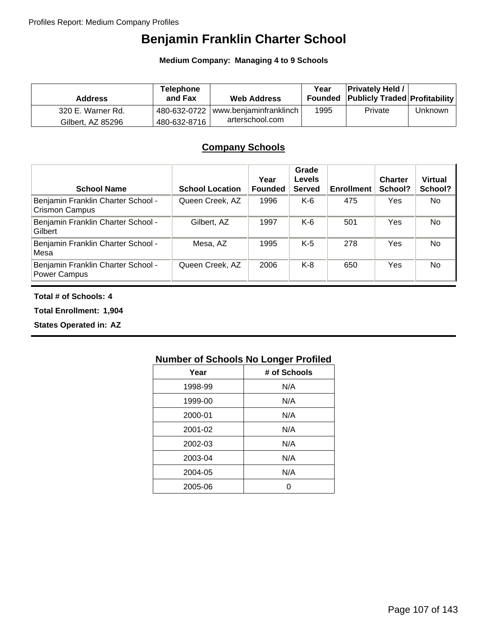# **Benjamin Franklin Charter School**

**Medium Company: Managing 4 to 9 Schools**

| <b>Address</b>    | <b>Telephone</b><br>and Fax | <b>Web Address</b>                    | Year | <b>Privately Held /</b><br><b>Founded Publicly Traded Profitability</b> |         |
|-------------------|-----------------------------|---------------------------------------|------|-------------------------------------------------------------------------|---------|
| 320 E. Warner Rd. |                             | 480-632-0722   www.benjaminfranklinch | 1995 | Private                                                                 | Unknown |
| Gilbert, AZ 85296 | 480-632-8716                | arterschool.com                       |      |                                                                         |         |

### **Company Schools**

| <b>School Name</b>                                          | <b>School Location</b> | Year<br><b>Founded</b> | Grade<br><b>Levels</b><br><b>Served</b> | <b>Enrollment</b> | <b>Charter</b><br>School? | <b>Virtual</b><br>School? |
|-------------------------------------------------------------|------------------------|------------------------|-----------------------------------------|-------------------|---------------------------|---------------------------|
| Benjamin Franklin Charter School -<br><b>Crismon Campus</b> | Queen Creek, AZ        | 1996                   | $K-6$                                   | 475               | Yes                       | No                        |
| Benjamin Franklin Charter School -<br>Gilbert               | Gilbert, AZ            | 1997                   | $K-6$                                   | 501               | Yes                       | <b>No</b>                 |
| Benjamin Franklin Charter School -<br>Mesa                  | Mesa, AZ               | 1995                   | $K-5$                                   | 278               | Yes                       | No.                       |
| Benjamin Franklin Charter School -<br>Power Campus          | Queen Creek, AZ        | 2006                   | $K-8$                                   | 650               | Yes                       | No                        |

#### **Total # of Schools: 4**

**Total Enrollment: 1,904**

**States Operated in: AZ**

| Year    | # of Schools |
|---------|--------------|
| 1998-99 | N/A          |
| 1999-00 | N/A          |
| 2000-01 | N/A          |
| 2001-02 | N/A          |
| 2002-03 | N/A          |
| 2003-04 | N/A          |
| 2004-05 | N/A          |
| 2005-06 |              |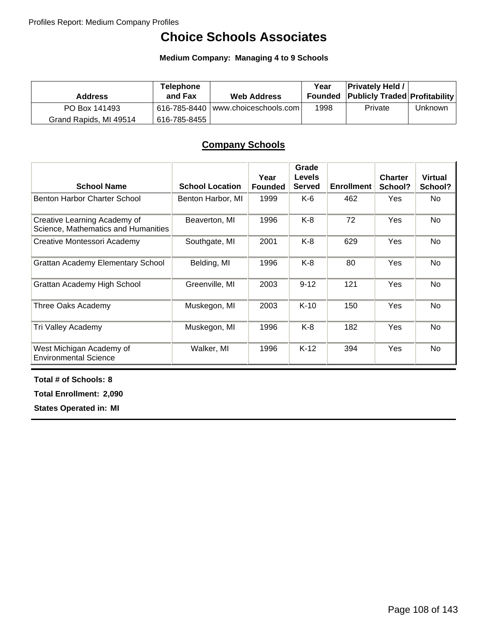# **Choice Schools Associates**

**Medium Company: Managing 4 to 9 Schools**

| <b>Address</b>         | <b>Telephone</b><br>and Fax | <b>Web Address</b>                   | Year | <b>Privately Held /</b><br><b>Founded Publicly Traded Profitability</b> |         |
|------------------------|-----------------------------|--------------------------------------|------|-------------------------------------------------------------------------|---------|
| PO Box 141493          |                             | $616-785-8440$ www.choiceschools.com | 1998 | Private                                                                 | Unknown |
| Grand Rapids, MI 49514 | 616-785-8455丨               |                                      |      |                                                                         |         |

## **Company Schools**

| <b>School Name</b>                                                  | <b>School Location</b> | Year<br><b>Founded</b> | Grade<br><b>Levels</b><br><b>Served</b> | <b>Enrollment</b> | <b>Charter</b><br>School? | <b>Virtual</b><br>School? |
|---------------------------------------------------------------------|------------------------|------------------------|-----------------------------------------|-------------------|---------------------------|---------------------------|
| Benton Harbor Charter School                                        | Benton Harbor, MI      | 1999                   | K-6                                     | 462               | <b>Yes</b>                | No.                       |
| Creative Learning Academy of<br>Science, Mathematics and Humanities | Beaverton, MI          | 1996                   | K-8                                     | 72                | Yes                       | No                        |
| Creative Montessori Academy                                         | Southgate, MI          | 2001                   | K-8                                     | 629               | Yes                       | No                        |
| <b>Grattan Academy Elementary School</b>                            | Belding, MI            | 1996                   | $K-8$                                   | 80                | Yes                       | No                        |
| Grattan Academy High School                                         | Greenville, MI         | 2003                   | $9 - 12$                                | 121               | Yes                       | No.                       |
| Three Oaks Academy                                                  | Muskegon, MI           | 2003                   | $K-10$                                  | 150               | Yes                       | No.                       |
| Tri Valley Academy                                                  | Muskegon, MI           | 1996                   | K-8                                     | 182               | Yes                       | No                        |
| West Michigan Academy of<br><b>Environmental Science</b>            | Walker, MI             | 1996                   | $K-12$                                  | 394               | Yes                       | No                        |

**Total # of Schools: 8**

**Total Enrollment: 2,090**

**States Operated in: MI**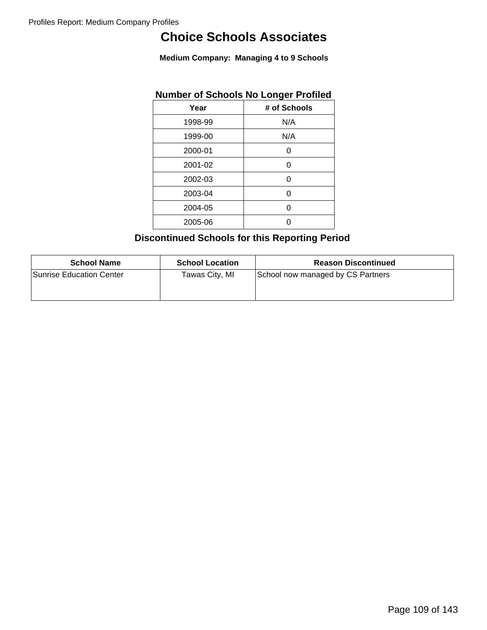# **Choice Schools Associates**

**Medium Company: Managing 4 to 9 Schools**

|         | Number of Schools No Longer Profiled |
|---------|--------------------------------------|
| Year    | # of Schools                         |
| 1998-99 | N/A                                  |
| 1999-00 | N/A                                  |
| 2000-01 | U                                    |
| 2001-02 | ი                                    |
| 2002-03 | 0                                    |
| 2003-04 | ი                                    |
| 2004-05 | ი                                    |
| 2005-06 |                                      |

## **Number of Schools No Longer Profiled**

## **Discontinued Schools for this Reporting Period**

| <b>School Name</b>       | <b>School Location</b> | <b>Reason Discontinued</b>        |
|--------------------------|------------------------|-----------------------------------|
| Sunrise Education Center | Tawas City, MI         | School now managed by CS Partners |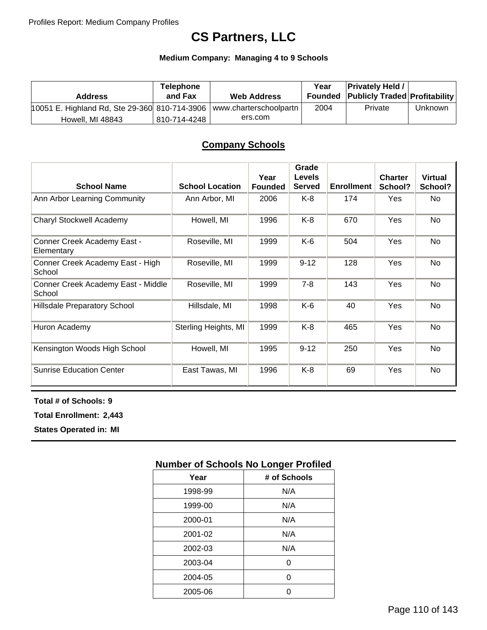# **CS Partners, LLC**

### **Medium Company: Managing 4 to 9 Schools**

| <b>Address</b>                                | Telephone<br>and Fax | <b>Web Address</b>     | Year | <b>Privately Held /</b><br><b>Founded Publicly Traded Profitability</b> |         |
|-----------------------------------------------|----------------------|------------------------|------|-------------------------------------------------------------------------|---------|
| 10051 E. Highland Rd, Ste 29-360 810-714-3906 |                      | www.charterschoolpartn | 2004 | Private                                                                 | Unknown |
| Howell, MI 48843                              | 810-714-4248         | ers.com                |      |                                                                         |         |

### **Company Schools**

| <b>School Name</b>                           | <b>School Location</b> | Year<br><b>Founded</b> | Grade<br><b>Levels</b><br><b>Served</b> | <b>Enrollment</b> | <b>Charter</b><br>School? | <b>Virtual</b><br>School? |
|----------------------------------------------|------------------------|------------------------|-----------------------------------------|-------------------|---------------------------|---------------------------|
| Ann Arbor Learning Community                 | Ann Arbor, MI          | 2006                   | $K-8$                                   | 174               | Yes                       | No.                       |
| Charyl Stockwell Academy                     | Howell, MI             | 1996                   | $K-8$                                   | 670               | Yes                       | No                        |
| Conner Creek Academy East -<br>Elementary    | Roseville, MI          | 1999                   | K-6                                     | 504               | Yes                       | No.                       |
| Conner Creek Academy East - High<br>School   | Roseville, MI          | 1999                   | $9 - 12$                                | 128               | Yes                       | No                        |
| Conner Creek Academy East - Middle<br>School | Roseville, MI          | 1999                   | $7 - 8$                                 | 143               | Yes                       | No                        |
| <b>Hillsdale Preparatory School</b>          | Hillsdale, MI          | 1998                   | K-6                                     | 40                | Yes                       | No                        |
| Huron Academy                                | Sterling Heights, MI   | 1999                   | K-8                                     | 465               | Yes                       | No.                       |
| Kensington Woods High School                 | Howell, MI             | 1995                   | $9 - 12$                                | 250               | Yes                       | No                        |
| <b>Sunrise Education Center</b>              | East Tawas, MI         | 1996                   | $K-8$                                   | 69                | Yes                       | No                        |

#### **Total # of Schools: 9**

**Total Enrollment: 2,443**

**States Operated in: MI**

| Year    | # of Schools |
|---------|--------------|
| 1998-99 | N/A          |
| 1999-00 | N/A          |
| 2000-01 | N/A          |
| 2001-02 | N/A          |
| 2002-03 | N/A          |
| 2003-04 | Ω            |
| 2004-05 | ∩            |
| 2005-06 |              |
|         |              |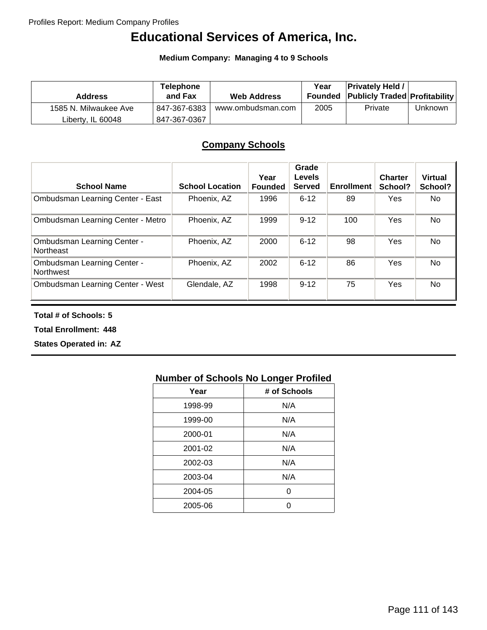# **Educational Services of America, Inc.**

**Medium Company: Managing 4 to 9 Schools**

| <b>Address</b>        | Telephone<br>and Fax | <b>Web Address</b> | Year | <b>Privately Held /</b><br><b>Founded Publicly Traded Profitability</b> |         |
|-----------------------|----------------------|--------------------|------|-------------------------------------------------------------------------|---------|
| 1585 N. Milwaukee Ave | 847-367-6383         | www.ombudsman.com  | 2005 | Private                                                                 | Unknown |
| Liberty, IL 60048     | 847-367-0367         |                    |      |                                                                         |         |

## **Company Schools**

| <b>School Name</b>                              | <b>School Location</b> | Year<br><b>Founded</b> | Grade<br><b>Levels</b><br><b>Served</b> | <b>Enrollment</b> | <b>Charter</b><br>School? | <b>Virtual</b><br>School? |
|-------------------------------------------------|------------------------|------------------------|-----------------------------------------|-------------------|---------------------------|---------------------------|
| <b>Ombudsman Learning Center - East</b>         | Phoenix, AZ            | 1996                   | $6 - 12$                                | 89                | Yes                       | No                        |
| Ombudsman Learning Center - Metro               | Phoenix, AZ            | 1999                   | $9 - 12$                                | 100               | Yes                       | No                        |
| <b>Ombudsman Learning Center -</b><br>Northeast | Phoenix, AZ            | 2000                   | $6 - 12$                                | 98                | Yes                       | <b>No</b>                 |
| <b>Ombudsman Learning Center -</b><br>Northwest | Phoenix, AZ            | 2002                   | $6 - 12$                                | 86                | Yes                       | No                        |
| Ombudsman Learning Center - West                | Glendale, AZ           | 1998                   | $9 - 12$                                | 75                | Yes                       | <b>No</b>                 |

**Total # of Schools: 5**

**Total Enrollment: 448**

**States Operated in: AZ**

| Year    | # of Schools |
|---------|--------------|
| 1998-99 | N/A          |
| 1999-00 | N/A          |
| 2000-01 | N/A          |
| 2001-02 | N/A          |
| 2002-03 | N/A          |
| 2003-04 | N/A          |
| 2004-05 | ი            |
| 2005-06 | n            |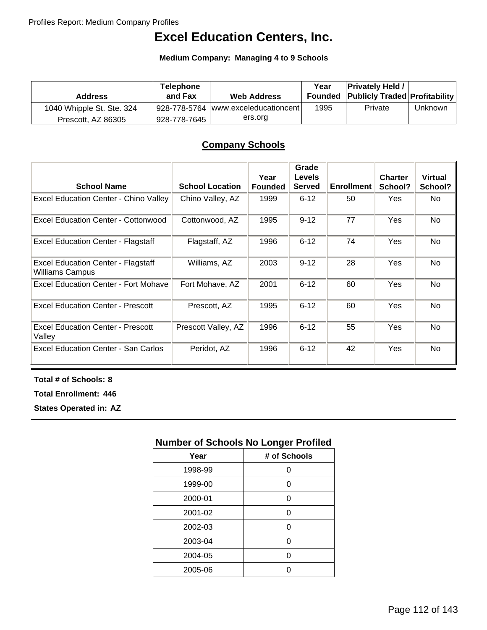# **Excel Education Centers, Inc.**

#### **Medium Company: Managing 4 to 9 Schools**

| <b>Address</b>            | <b>Telephone</b><br>and Fax | <b>Web Address</b>                   | Year | <b>Privately Held /</b><br><b>Founded Publicly Traded Profitability</b> |         |
|---------------------------|-----------------------------|--------------------------------------|------|-------------------------------------------------------------------------|---------|
| 1040 Whipple St. Ste. 324 |                             | 928-778-5764  www.exceleducationcent | 1995 | Private                                                                 | Unknown |
| Prescott, AZ 86305        | 928-778-7645                | ers.org                              |      |                                                                         |         |

## **Company Schools**

| <b>School Name</b>                                                  | <b>School Location</b> | Year<br><b>Founded</b> | Grade<br><b>Levels</b><br><b>Served</b> | <b>Enrollment</b> | <b>Charter</b><br>School? | <b>Virtual</b><br>School? |
|---------------------------------------------------------------------|------------------------|------------------------|-----------------------------------------|-------------------|---------------------------|---------------------------|
| <b>Excel Education Center - Chino Valley</b>                        | Chino Valley, AZ       | 1999                   | $6 - 12$                                | 50                | Yes.                      | No.                       |
| Excel Education Center - Cottonwood                                 | Cottonwood, AZ         | 1995                   | $9 - 12$                                | 77                | Yes                       | <b>No</b>                 |
| <b>Excel Education Center - Flagstaff</b>                           | Flagstaff, AZ          | 1996                   | $6 - 12$                                | 74                | Yes                       | <b>No</b>                 |
| <b>Excel Education Center - Flagstaff</b><br><b>Williams Campus</b> | Williams, AZ           | 2003                   | $9 - 12$                                | 28                | Yes                       | <b>No</b>                 |
| Excel Education Center - Fort Mohave                                | Fort Mohave, AZ        | 2001                   | $6 - 12$                                | 60                | Yes                       | No.                       |
| <b>Excel Education Center - Prescott</b>                            | Prescott, AZ           | 1995                   | $6 - 12$                                | 60                | Yes                       | <b>No</b>                 |
| <b>Excel Education Center - Prescott</b><br>Valley                  | Prescott Valley, AZ    | 1996                   | $6 - 12$                                | 55                | Yes                       | <b>No</b>                 |
| Excel Education Center - San Carlos                                 | Peridot, AZ            | 1996                   | $6 - 12$                                | 42                | Yes                       | <b>No</b>                 |

**Total # of Schools: 8**

**Total Enrollment: 446**

**States Operated in: AZ**

| Year    | # of Schools |
|---------|--------------|
| 1998-99 | ი            |
| 1999-00 | 0            |
| 2000-01 | 0            |
| 2001-02 | O            |
| 2002-03 | ი            |
| 2003-04 | O            |
| 2004-05 | O            |
| 2005-06 |              |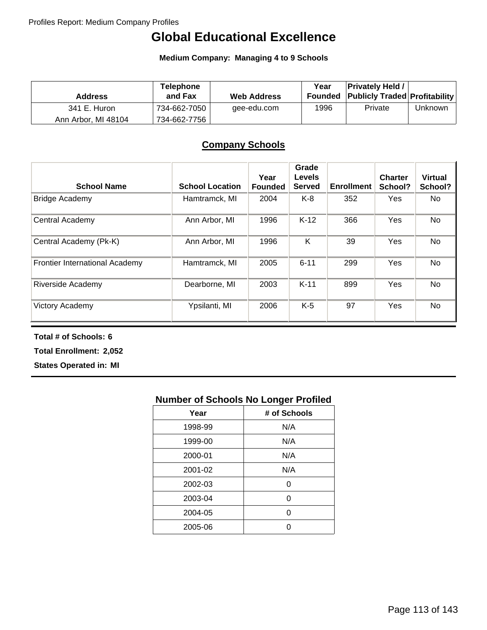# **Global Educational Excellence**

**Medium Company: Managing 4 to 9 Schools**

| <b>Address</b>      | <b>Telephone</b><br>and Fax | <b>Web Address</b> | Year | <b>Privately Held /</b><br><b>Founded Publicly Traded Profitability</b> |         |
|---------------------|-----------------------------|--------------------|------|-------------------------------------------------------------------------|---------|
| 341 E. Huron        | 734-662-7050                | gee-edu.com        | 1996 | Private                                                                 | Unknown |
| Ann Arbor, MI 48104 | 734-662-7756                |                    |      |                                                                         |         |

## **Company Schools**

| <b>School Name</b>                    | <b>School Location</b> | Year<br><b>Founded</b> | Grade<br><b>Levels</b><br><b>Served</b> | <b>Enrollment</b> | <b>Charter</b><br>School? | <b>Virtual</b><br>School? |
|---------------------------------------|------------------------|------------------------|-----------------------------------------|-------------------|---------------------------|---------------------------|
| <b>Bridge Academy</b>                 | Hamtramck, MI          | 2004                   | K-8                                     | 352               | Yes                       | No.                       |
| Central Academy                       | Ann Arbor, MI          | 1996                   | $K-12$                                  | 366               | Yes                       | <b>No</b>                 |
| Central Academy (Pk-K)                | Ann Arbor, MI          | 1996                   | Κ                                       | 39                | Yes                       | <b>No</b>                 |
| <b>Frontier International Academy</b> | Hamtramck, MI          | 2005                   | $6 - 11$                                | 299               | Yes                       | <b>No</b>                 |
| <b>Riverside Academy</b>              | Dearborne, MI          | 2003                   | $K-11$                                  | 899               | Yes                       | <b>No</b>                 |
| Victory Academy                       | Ypsilanti, MI          | 2006                   | $K-5$                                   | 97                | Yes                       | <b>No</b>                 |

**Total # of Schools: 6**

**Total Enrollment: 2,052**

**States Operated in: MI**

| Year    | # of Schools |
|---------|--------------|
| 1998-99 | N/A          |
| 1999-00 | N/A          |
| 2000-01 | N/A          |
| 2001-02 | N/A          |
| 2002-03 | ი            |
| 2003-04 | Ω            |
| 2004-05 | ∩            |
| 2005-06 |              |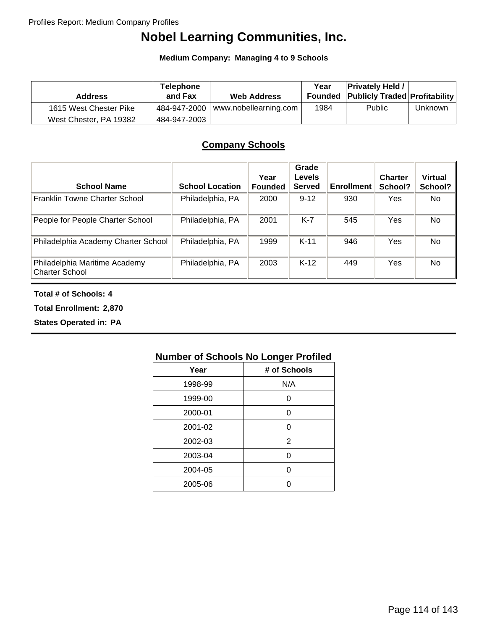# **Nobel Learning Communities, Inc.**

**Medium Company: Managing 4 to 9 Schools**

| <b>Address</b>         | <b>Telephone</b><br>and Fax | <b>Web Address</b>                         | Year | <b>Privately Held /</b><br><b>Founded Publicly Traded Profitability</b> |                |
|------------------------|-----------------------------|--------------------------------------------|------|-------------------------------------------------------------------------|----------------|
| 1615 West Chester Pike |                             | $\pm$ 484-947-2000   www.nobellearning.com | 1984 | <b>Public</b>                                                           | <b>Unknown</b> |
| West Chester, PA 19382 | 484-947-2003                |                                            |      |                                                                         |                |

## **Company Schools**

| <b>School Name</b>                                     | <b>School Location</b> | Year<br><b>Founded</b> | Grade<br><b>Levels</b><br><b>Served</b> | <b>Enrollment</b> | <b>Charter</b><br>School? | <b>Virtual</b><br>School? |
|--------------------------------------------------------|------------------------|------------------------|-----------------------------------------|-------------------|---------------------------|---------------------------|
| Franklin Towne Charter School                          | Philadelphia, PA       | 2000                   | $9 - 12$                                | 930               | Yes                       | No.                       |
| People for People Charter School                       | Philadelphia, PA       | 2001                   | $K-7$                                   | 545               | Yes                       | No.                       |
| Philadelphia Academy Charter School                    | Philadelphia, PA       | 1999                   | $K-11$                                  | 946               | Yes                       | No.                       |
| Philadelphia Maritime Academy<br><b>Charter School</b> | Philadelphia, PA       | 2003                   | $K-12$                                  | 449               | Yes                       | No                        |

#### **Total # of Schools: 4**

**Total Enrollment: 2,870**

**States Operated in: PA**

| Year    | # of Schools |
|---------|--------------|
| 1998-99 | N/A          |
| 1999-00 | O            |
| 2000-01 | O            |
| 2001-02 | ი            |
| 2002-03 | 2            |
| 2003-04 | ი            |
| 2004-05 | O            |
| 2005-06 |              |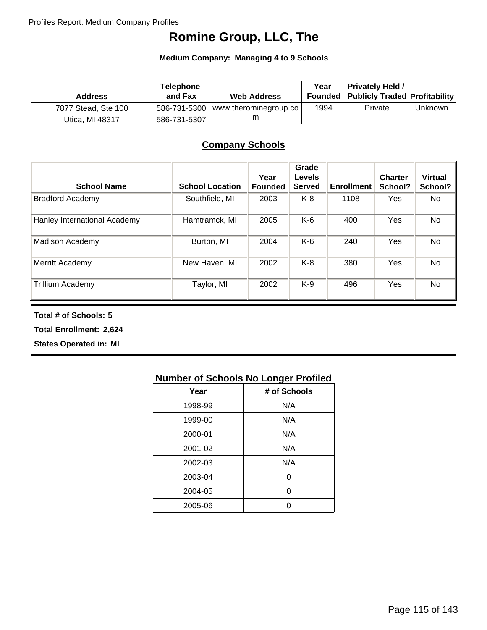# **Romine Group, LLC, The**

**Medium Company: Managing 4 to 9 Schools**

| <b>Address</b>      | <b>Telephone</b><br>and Fax | <b>Web Address</b>                                 | Year | <b>Privately Held /</b><br><b>Founded Publicly Traded Profitability</b> |         |
|---------------------|-----------------------------|----------------------------------------------------|------|-------------------------------------------------------------------------|---------|
| 7877 Stead, Ste 100 |                             | $\frac{1}{2}$ 586-731-5300   www.therominegroup.co | 1994 | Private                                                                 | Unknown |
| Utica. MI 48317     | 586-731-5307                |                                                    |      |                                                                         |         |

### **Company Schools**

| <b>School Name</b>           | <b>School Location</b> | Year<br><b>Founded</b> | Grade<br><b>Levels</b><br><b>Served</b> | <b>Enrollment</b> | <b>Charter</b><br>School? | <b>Virtual</b><br>School? |
|------------------------------|------------------------|------------------------|-----------------------------------------|-------------------|---------------------------|---------------------------|
| <b>Bradford Academy</b>      | Southfield, MI         | 2003                   | K-8                                     | 1108              | Yes                       | No.                       |
| Hanley International Academy | Hamtramck, MI          | 2005                   | K-6                                     | 400               | Yes                       | No.                       |
| Madison Academy              | Burton, MI             | 2004                   | K-6                                     | 240               | Yes                       | No                        |
| Merritt Academy              | New Haven, MI          | 2002                   | K-8                                     | 380               | Yes                       | No.                       |
| Trillium Academy             | Taylor, MI             | 2002                   | K-9                                     | 496               | Yes                       | No                        |

**Total # of Schools: 5**

**Total Enrollment: 2,624**

**States Operated in: MI**

| Year    | # of Schools |
|---------|--------------|
| 1998-99 | N/A          |
| 1999-00 | N/A          |
| 2000-01 | N/A          |
| 2001-02 | N/A          |
| 2002-03 | N/A          |
| 2003-04 | ი            |
| 2004-05 | ი            |
| 2005-06 |              |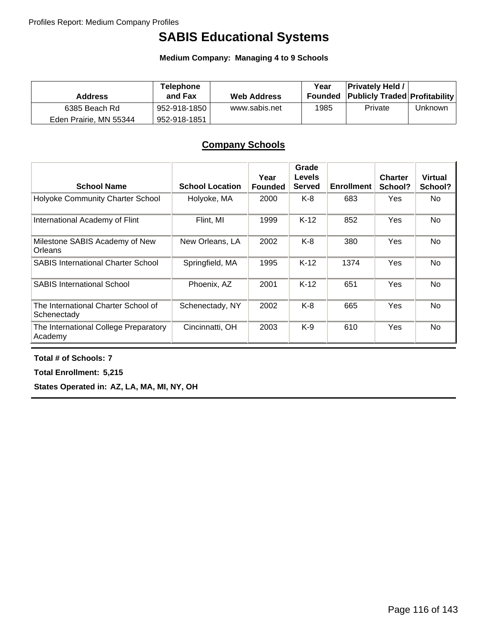# **SABIS Educational Systems**

**Medium Company: Managing 4 to 9 Schools**

| <b>Address</b>         | <b>Telephone</b><br>and Fax | <b>Web Address</b> | Year<br>Founded | <b>Privately Held /</b><br><b>Publicly Traded Profitability</b> |                |
|------------------------|-----------------------------|--------------------|-----------------|-----------------------------------------------------------------|----------------|
| 6385 Beach Rd          | 952-918-1850                | www.sabis.net      | 1985            | Private                                                         | <b>Unknown</b> |
| Eden Prairie, MN 55344 | 952-918-1851                |                    |                 |                                                                 |                |

## **Company Schools**

| <b>School Name</b>                                 | <b>School Location</b> | Year<br><b>Founded</b> | Grade<br><b>Levels</b><br><b>Served</b> | <b>Enrollment</b> | <b>Charter</b><br>School? | <b>Virtual</b><br>School? |
|----------------------------------------------------|------------------------|------------------------|-----------------------------------------|-------------------|---------------------------|---------------------------|
| Holyoke Community Charter School                   | Holyoke, MA            | 2000                   | K-8                                     | 683               | <b>Yes</b>                | No                        |
| International Academy of Flint                     | Flint, MI              | 1999                   | $K-12$                                  | 852               | Yes                       | No.                       |
| Milestone SABIS Academy of New<br>Orleans          | New Orleans, LA        | 2002                   | $K-8$                                   | 380               | Yes                       | No                        |
| <b>SABIS International Charter School</b>          | Springfield, MA        | 1995                   | $K-12$                                  | 1374              | Yes                       | No                        |
| <b>SABIS International School</b>                  | Phoenix, AZ            | 2001                   | $K-12$                                  | 651               | Yes                       | No                        |
| The International Charter School of<br>Schenectady | Schenectady, NY        | 2002                   | K-8                                     | 665               | Yes                       | No.                       |
| The International College Preparatory<br>Academy   | Cincinnatti, OH        | 2003                   | $K-9$                                   | 610               | Yes                       | No.                       |

**Total # of Schools: 7**

**Total Enrollment: 5,215**

**States Operated in: AZ, LA, MA, MI, NY, OH**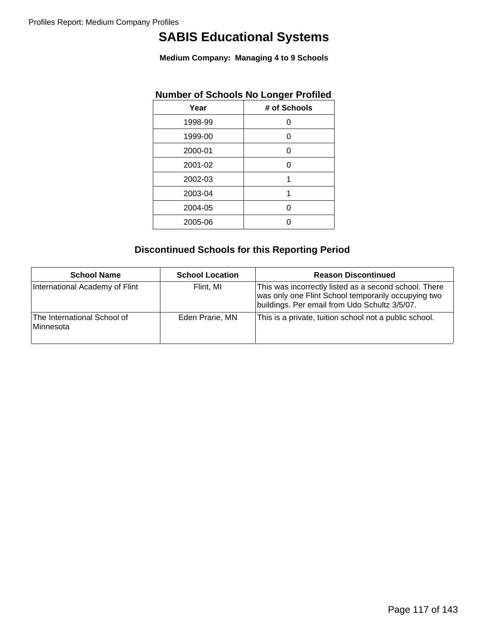# **SABIS Educational Systems**

**Medium Company: Managing 4 to 9 Schools**

| Number of Schools No Longer Promed |
|------------------------------------|
| # of Schools                       |
| 0                                  |
| 0                                  |
| 0                                  |
| 0                                  |
| 1                                  |
| 1                                  |
| 0                                  |
|                                    |
|                                    |

## **Number of Schools No Longer Profiled**

## **Discontinued Schools for this Reporting Period**

| <b>School Name</b>                       | <b>School Location</b> | <b>Reason Discontinued</b>                                                                                                                                    |
|------------------------------------------|------------------------|---------------------------------------------------------------------------------------------------------------------------------------------------------------|
| International Academy of Flint           | Flint. MI              | This was incorrectly listed as a second school. There<br>was only one Flint School temporarily occupying two<br>buildings. Per email from Udo Schultz 3/5/07. |
| The International School of<br>Minnesota | Eden Prarie, MN        | This is a private, tuition school not a public school.                                                                                                        |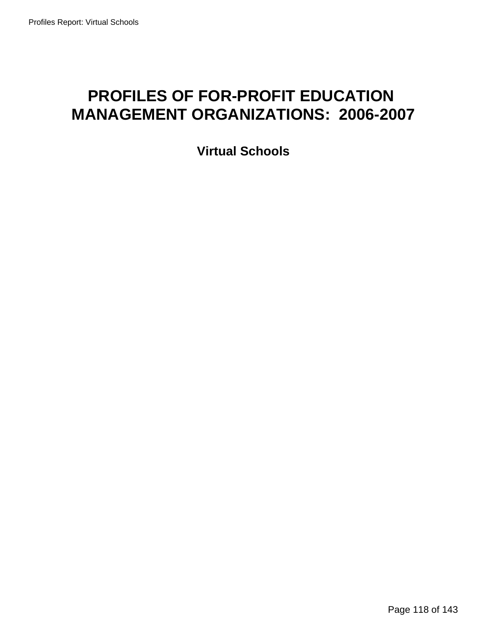# **PROFILES OF FOR-PROFIT EDUCATION MANAGEMENT ORGANIZATIONS: 2006-2007**

**Virtual Schools**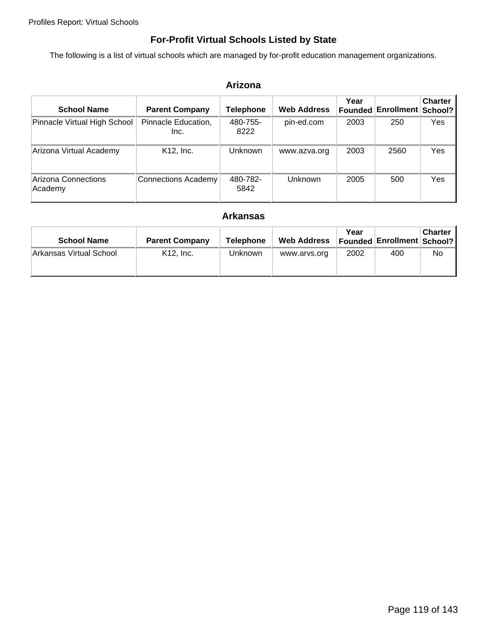## **For-Profit Virtual Schools Listed by State**

The following is a list of virtual schools which are managed by for-profit education management organizations.

### **Arizona**

| <b>School Name</b>             | <b>Parent Company</b>       | Telephone        | <b>Web Address</b> | Year<br>Founded | <b>Enrollment</b> | <b>Charter</b><br>School? |
|--------------------------------|-----------------------------|------------------|--------------------|-----------------|-------------------|---------------------------|
| Pinnacle Virtual High School   | Pinnacle Education,<br>Inc. | 480-755-<br>8222 | pin-ed.com         | 2003            | 250               | Yes                       |
| Arizona Virtual Academy        | K <sub>12</sub> , Inc.      | Unknown          | www.azva.org       | 2003            | 2560              | Yes                       |
| Arizona Connections<br>Academy | <b>Connections Academy</b>  | 480-782-<br>5842 | Unknown            | 2005            | 500               | Yes                       |

### **Arkansas**

| <b>School Name</b>      | <b>Parent Company</b> | <b>Telephone</b> | <b>Web Address</b> | Year | <b>Founded Enrollment School?</b> | <b>Charter</b> |
|-------------------------|-----------------------|------------------|--------------------|------|-----------------------------------|----------------|
| Arkansas Virtual School | $K12.$ Inc.           | <b>Unknown</b>   | www.arvs.org       | 2002 | 400                               | No.            |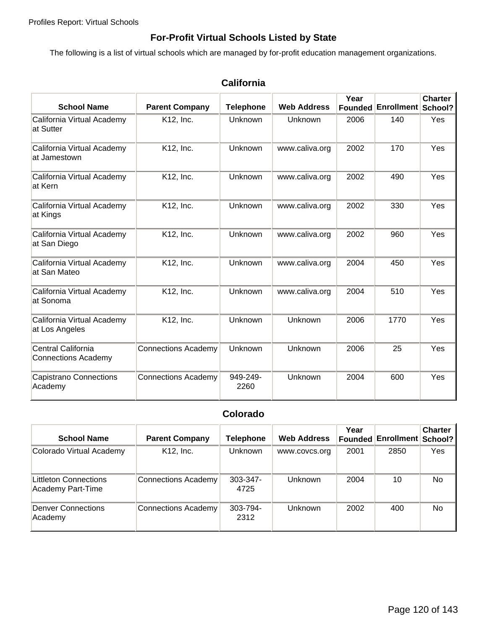## **For-Profit Virtual Schools Listed by State**

The following is a list of virtual schools which are managed by for-profit education management organizations.

| <b>School Name</b>                               | <b>Parent Company</b>      | <b>Telephone</b> | <b>Web Address</b> | Year | Founded Enrollment School? | <b>Charter</b> |
|--------------------------------------------------|----------------------------|------------------|--------------------|------|----------------------------|----------------|
| California Virtual Academy<br>at Sutter          | K12, Inc.                  | <b>Unknown</b>   | Unknown            | 2006 | 140                        | Yes            |
| California Virtual Academy<br>at Jamestown       | K12, Inc.                  | Unknown          | www.caliva.org     | 2002 | 170                        | Yes            |
| California Virtual Academy<br>at Kern            | K12, Inc.                  | Unknown          | www.caliva.org     | 2002 | 490                        | Yes            |
| California Virtual Academy<br>at Kings           | K12, Inc.                  | Unknown          | www.caliva.org     | 2002 | 330                        | Yes            |
| California Virtual Academy<br>at San Diego       | K12, Inc.                  | Unknown          | www.caliva.org     | 2002 | 960                        | Yes            |
| California Virtual Academy<br>at San Mateo       | K12, Inc.                  | Unknown          | www.caliva.org     | 2004 | 450                        | Yes            |
| California Virtual Academy<br>at Sonoma          | K12, Inc.                  | Unknown          | www.caliva.org     | 2004 | 510                        | Yes            |
| California Virtual Academy<br>at Los Angeles     | K12, Inc.                  | Unknown          | Unknown            | 2006 | 1770                       | Yes            |
| Central California<br><b>Connections Academy</b> | <b>Connections Academy</b> | Unknown          | Unknown            | 2006 | 25                         | Yes            |
| <b>Capistrano Connections</b><br>Academy         | <b>Connections Academy</b> | 949-249-<br>2260 | Unknown            | 2004 | 600                        | Yes            |

## **California**

## **Colorado**

| <b>School Name</b>                         | <b>Parent Company</b>      | Telephone             | <b>Web Address</b> | Year | Founded Enrollment School? | <b>Charter</b> |
|--------------------------------------------|----------------------------|-----------------------|--------------------|------|----------------------------|----------------|
| Colorado Virtual Academy                   | K <sub>12</sub> , Inc.     | Unknown               | www.covcs.org      | 2001 | 2850                       | Yes            |
| Littleton Connections<br>Academy Part-Time | <b>Connections Academy</b> | $303 - 347 -$<br>4725 | <b>Unknown</b>     | 2004 | 10                         | No.            |
| <b>Denver Connections</b><br>Academy       | <b>Connections Academy</b> | 303-794-<br>2312      | <b>Unknown</b>     | 2002 | 400                        | No.            |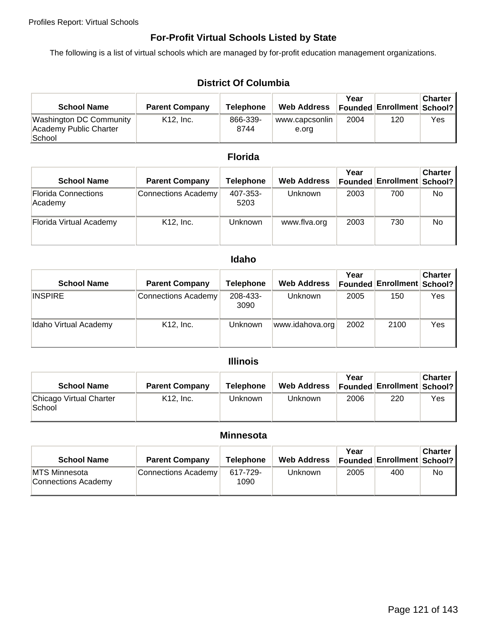## **For-Profit Virtual Schools Listed by State**

The following is a list of virtual schools which are managed by for-profit education management organizations.

## **District Of Columbia**

| <b>School Name</b>                                          | <b>Parent Company</b> | Telephone        | <b>Web Address</b>      | Year | Founded   Enrollment   School? | <b>Charter</b> |
|-------------------------------------------------------------|-----------------------|------------------|-------------------------|------|--------------------------------|----------------|
| Washington DC Community<br>Academy Public Charter<br>School | $K12.$ Inc.           | 866-339-<br>8744 | www.capcsonlin<br>e.org | 2004 | 120                            | Yes            |

## **Florida**

| <b>School Name</b>                    | <b>Parent Company</b>      | <b>Telephone</b> | <b>Web Address</b> | Year<br><b>Founded</b> | <b>Enrollment School?</b> | <b>Charter</b> |
|---------------------------------------|----------------------------|------------------|--------------------|------------------------|---------------------------|----------------|
| <b>Florida Connections</b><br>Academy | <b>Connections Academy</b> | 407-353-<br>5203 | Unknown            | 2003                   | 700                       | No.            |
| Florida Virtual Academy               | K <sub>12</sub> , Inc.     | <b>Unknown</b>   | www.flva.org       | 2003                   | 730                       | No.            |

## **Idaho**

| <b>School Name</b>    | <b>Parent Company</b>      | Telephone        | <b>Web Address</b> | Year<br><b>Founded</b> | <b>Enrollment School?</b> | <b>Charter</b> |
|-----------------------|----------------------------|------------------|--------------------|------------------------|---------------------------|----------------|
| <b>INSPIRE</b>        | <b>Connections Academy</b> | 208-433-<br>3090 | <b>Unknown</b>     | 2005                   | 150                       | Yes            |
| Idaho Virtual Academy | K12, Inc.                  | Unknown          | www.idahova.org    | 2002                   | 2100                      | Yes            |

## **Illinois**

| <b>School Name</b>                | <b>Parent Company</b> | <b>Telephone</b> | <b>Web Address</b> | Year | <b>Founded Enrollment School?</b> | Charter I |
|-----------------------------------|-----------------------|------------------|--------------------|------|-----------------------------------|-----------|
| Chicago Virtual Charter<br>School | $K12.$ Inc.           | Unknown          | Unknown            | 2006 | 220                               | Yes       |

#### **Minnesota**

| <b>School Name</b>                           | <b>Parent Company</b>      | <b>Telephone</b> | <b>Web Address</b> | Year | Founded   Enrollment   School? | Charter |
|----------------------------------------------|----------------------------|------------------|--------------------|------|--------------------------------|---------|
| <b>IMTS Minnesota</b><br>Connections Academy | <b>Connections Academy</b> | 617-729-<br>1090 | Unknown            | 2005 | 400                            | No.     |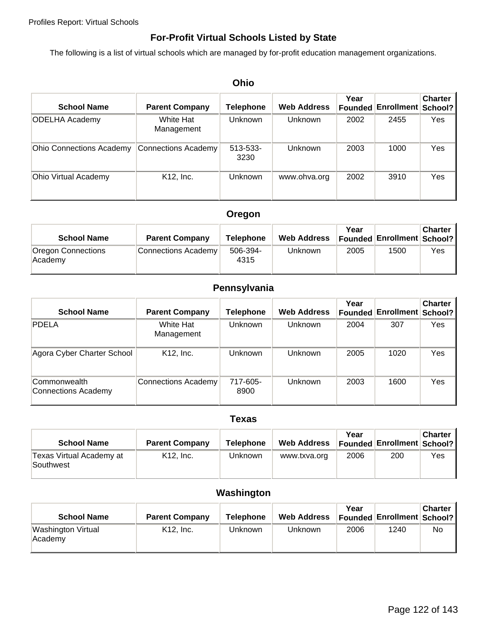## **For-Profit Virtual Schools Listed by State**

The following is a list of virtual schools which are managed by for-profit education management organizations.

|                                 | Ohio                       |                       |                    |                 |                   |                           |  |  |  |
|---------------------------------|----------------------------|-----------------------|--------------------|-----------------|-------------------|---------------------------|--|--|--|
| <b>School Name</b>              | <b>Parent Company</b>      | Telephone             | <b>Web Address</b> | Year<br>Founded | <b>Enrollment</b> | <b>Charter</b><br>School? |  |  |  |
| <b>ODELHA Academy</b>           | White Hat<br>Management    | <b>Unknown</b>        | Unknown            | 2002            | 2455              | Yes                       |  |  |  |
| <b>Ohio Connections Academy</b> | <b>Connections Academy</b> | $513 - 533 -$<br>3230 | <b>Unknown</b>     | 2003            | 1000              | Yes                       |  |  |  |
| Ohio Virtual Academy            | K12, Inc.                  | Unknown               | www.ohva.org       | 2002            | 3910              | Yes                       |  |  |  |

### **Oregon**

| <b>School Name</b>            | <b>Parent Company</b>      | <b>Telephone</b> | <b>Web Address</b> | Year | Founded Enrollment   School? | <b>Charter</b> |
|-------------------------------|----------------------------|------------------|--------------------|------|------------------------------|----------------|
| Oregon Connections<br>Academy | <b>Connections Academy</b> | 506-394-<br>4315 | <b>Unknown</b>     | 2005 | 1500                         | Yes            |

### **Pennsylvania**

| <b>School Name</b>                  | <b>Parent Company</b>      | Telephone        | <b>Web Address</b> | Year | <b>Founded Enrollment School?</b> | <b>Charter</b> |
|-------------------------------------|----------------------------|------------------|--------------------|------|-----------------------------------|----------------|
| <b>PDELA</b>                        | White Hat<br>Management    | Unknown          | <b>Unknown</b>     | 2004 | 307                               | Yes            |
| Agora Cyber Charter School          | K <sub>12</sub> , Inc.     | <b>Unknown</b>   | <b>Unknown</b>     | 2005 | 1020                              | Yes            |
| Commonwealth<br>Connections Academy | <b>Connections Academy</b> | 717-605-<br>8900 | <b>Unknown</b>     | 2003 | 1600                              | Yes            |

#### **Texas**

| <b>School Name</b>                    | <b>Parent Company</b> | Telephone | <b>Web Address</b> | Year | <b>Founded Enrollment School?</b> | <b>Charter</b> |
|---------------------------------------|-----------------------|-----------|--------------------|------|-----------------------------------|----------------|
| Texas Virtual Academy at<br>Southwest | $K12.$ Inc.           | Unknown   | www.txva.org       | 2006 | 200                               | Yes            |

## **Washington**

| <b>School Name</b>                   | <b>Parent Company</b> | Telephone | <b>Web Address</b> | Year | <b>Founded Enrollment School?</b> | <b>Charter</b> |
|--------------------------------------|-----------------------|-----------|--------------------|------|-----------------------------------|----------------|
| <b>Washington Virtual</b><br>Academy | $K12.$ Inc.           | Unknown   | <b>Unknown</b>     | 2006 | 1240                              | No             |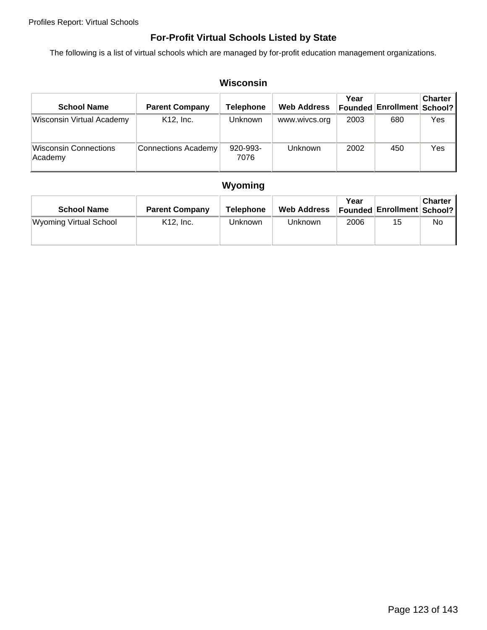## **For-Profit Virtual Schools Listed by State**

The following is a list of virtual schools which are managed by for-profit education management organizations.

| Wisconsin                               |                        |                  |                    |                        |                   |                           |  |
|-----------------------------------------|------------------------|------------------|--------------------|------------------------|-------------------|---------------------------|--|
| <b>School Name</b>                      | <b>Parent Company</b>  | Telephone        | <b>Web Address</b> | Year<br><b>Founded</b> | <b>Enrollment</b> | <b>Charter</b><br>School? |  |
| <b>Wisconsin Virtual Academy</b>        | K <sub>12</sub> , Inc. | Unknown          | www.wivcs.org      | 2003                   | 680               | Yes                       |  |
| <b>Wisconsin Connections</b><br>Academy | Connections Academy    | 920-993-<br>7076 | Unknown            | 2002                   | 450               | Yes                       |  |

# **Wyoming**

| <b>School Name</b>            | <b>Parent Company</b> | Telephone      | <b>Web Address</b> | Year | Founded Enrollment   School? | <b>Charter</b> |
|-------------------------------|-----------------------|----------------|--------------------|------|------------------------------|----------------|
| <b>Wyoming Virtual School</b> | $K12.$ Inc.           | <b>Unknown</b> | Unknown            | 2006 | 15                           | No             |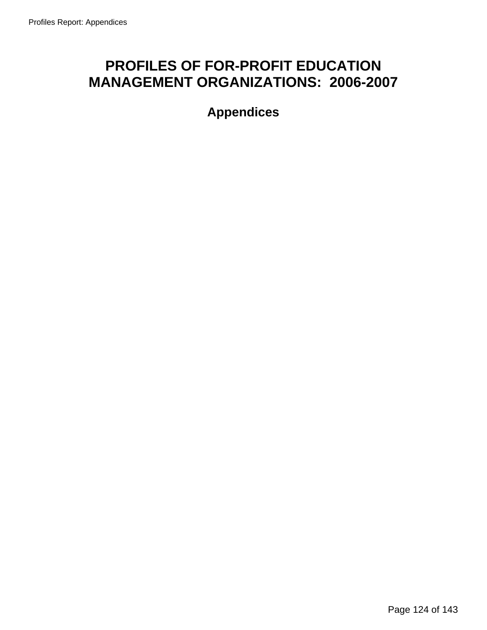# **PROFILES OF FOR-PROFIT EDUCATION MANAGEMENT ORGANIZATIONS: 2006-2007**

**Appendices**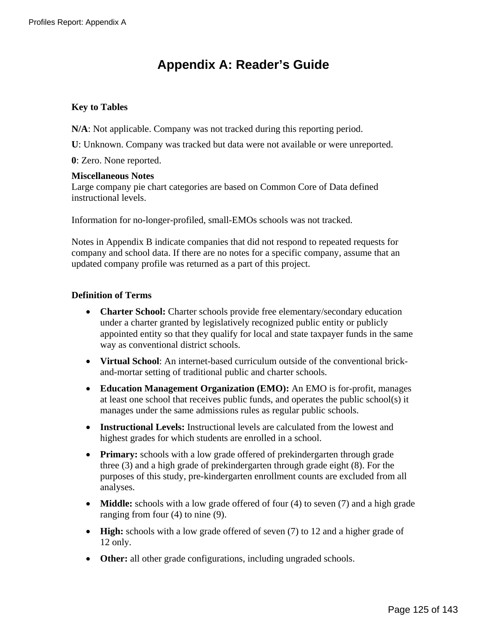# **Appendix A: Reader's Guide**

### **Key to Tables**

**N/A**: Not applicable. Company was not tracked during this reporting period.

**U**: Unknown. Company was tracked but data were not available or were unreported.

**0**: Zero. None reported.

#### **Miscellaneous Notes**

Large company pie chart categories are based on Common Core of Data defined instructional levels.

Information for no-longer-profiled, small-EMOs schools was not tracked.

Notes in Appendix B indicate companies that did not respond to repeated requests for company and school data. If there are no notes for a specific company, assume that an updated company profile was returned as a part of this project.

### **Definition of Terms**

- **Charter School:** Charter schools provide free elementary/secondary education under a charter granted by legislatively recognized public entity or publicly appointed entity so that they qualify for local and state taxpayer funds in the same way as conventional district schools.
- **Virtual School**: An internet-based curriculum outside of the conventional brickand-mortar setting of traditional public and charter schools.
- **Education Management Organization (EMO):** An EMO is for-profit, manages at least one school that receives public funds, and operates the public school(s) it manages under the same admissions rules as regular public schools.
- **Instructional Levels:** Instructional levels are calculated from the lowest and highest grades for which students are enrolled in a school.
- **Primary:** schools with a low grade offered of prekindergarten through grade three (3) and a high grade of prekindergarten through grade eight (8). For the purposes of this study, pre-kindergarten enrollment counts are excluded from all analyses.
- **Middle:** schools with a low grade offered of four (4) to seven (7) and a high grade ranging from four (4) to nine (9).
- **High:** schools with a low grade offered of seven (7) to 12 and a higher grade of 12 only.
- **Other:** all other grade configurations, including ungraded schools.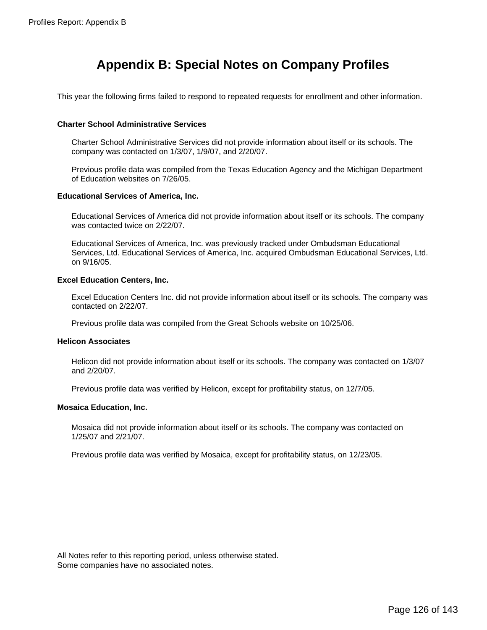# **Appendix B: Special Notes on Company Profiles**

This year the following firms failed to respond to repeated requests for enrollment and other information.

#### **Charter School Administrative Services**

Charter School Administrative Services did not provide information about itself or its schools. The company was contacted on 1/3/07, 1/9/07, and 2/20/07.

Previous profile data was compiled from the Texas Education Agency and the Michigan Department of Education websites on 7/26/05.

#### **Educational Services of America, Inc.**

 Educational Services of America did not provide information about itself or its schools. The company was contacted twice on 2/22/07.

Educational Services of America, Inc. was previously tracked under Ombudsman Educational Services, Ltd. Educational Services of America, Inc. acquired Ombudsman Educational Services, Ltd. on 9/16/05.

#### **Excel Education Centers, Inc.**

Excel Education Centers Inc. did not provide information about itself or its schools. The company was contacted on 2/22/07.

Previous profile data was compiled from the Great Schools website on 10/25/06.

#### **Helicon Associates**

 Helicon did not provide information about itself or its schools. The company was contacted on 1/3/07 and 2/20/07.

Previous profile data was verified by Helicon, except for profitability status, on 12/7/05.

#### **Mosaica Education, Inc.**

 Mosaica did not provide information about itself or its schools. The company was contacted on 1/25/07 and 2/21/07.

Previous profile data was verified by Mosaica, except for profitability status, on 12/23/05.

All Notes refer to this reporting period, unless otherwise stated. Some companies have no associated notes.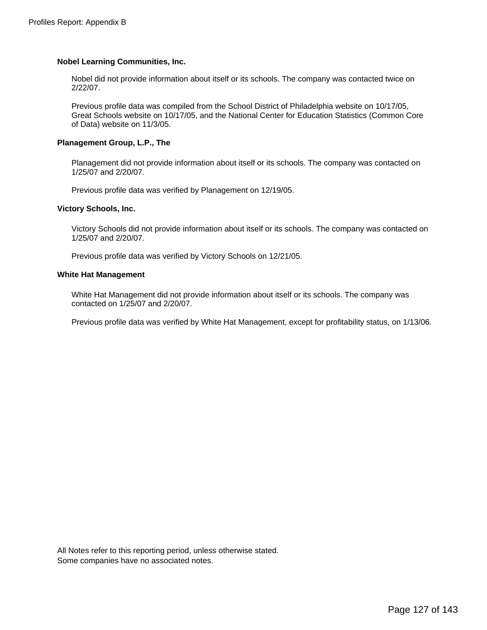#### **Nobel Learning Communities, Inc.**

Nobel did not provide information about itself or its schools. The company was contacted twice on 2/22/07.

Previous profile data was compiled from the School District of Philadelphia website on 10/17/05, Great Schools website on 10/17/05, and the National Center for Education Statistics (Common Core of Data) website on 11/3/05.

#### **Planagement Group, L.P., The**

 Planagement did not provide information about itself or its schools. The company was contacted on 1/25/07 and 2/20/07.

Previous profile data was verified by Planagement on 12/19/05.

#### **Victory Schools, Inc.**

 Victory Schools did not provide information about itself or its schools. The company was contacted on 1/25/07 and 2/20/07.

Previous profile data was verified by Victory Schools on 12/21/05.

#### **White Hat Management**

White Hat Management did not provide information about itself or its schools. The company was contacted on 1/25/07 and 2/20/07.

Previous profile data was verified by White Hat Management, except for profitability status, on 1/13/06.

All Notes refer to this reporting period, unless otherwise stated. Some companies have no associated notes.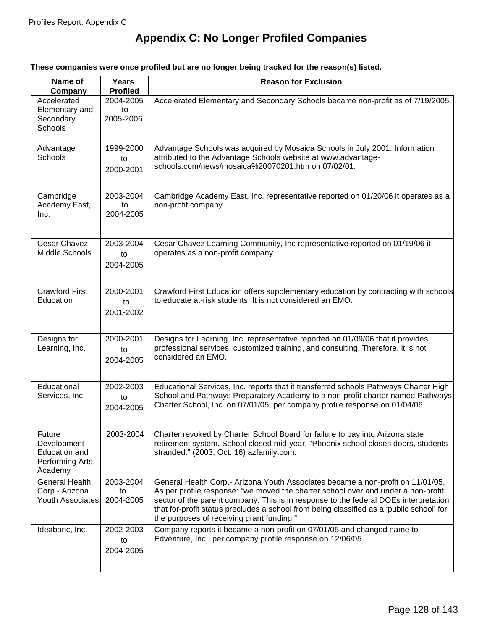# **Appendix C: No Longer Profiled Companies**

### **These companies were once profiled but are no longer being tracked for the reason(s) listed.**

| Name of<br>Company                                                   | Years<br><b>Profiled</b>     | <b>Reason for Exclusion</b>                                                                                                                                                                                                                                                                                                                                                                           |
|----------------------------------------------------------------------|------------------------------|-------------------------------------------------------------------------------------------------------------------------------------------------------------------------------------------------------------------------------------------------------------------------------------------------------------------------------------------------------------------------------------------------------|
| Accelerated<br>Elementary and<br>Secondary<br>Schools                | 2004-2005<br>to<br>2005-2006 | Accelerated Elementary and Secondary Schools became non-profit as of 7/19/2005.                                                                                                                                                                                                                                                                                                                       |
| Advantage<br><b>Schools</b>                                          | 1999-2000<br>to<br>2000-2001 | Advantage Schools was acquired by Mosaica Schools in July 2001. Information<br>attributed to the Advantage Schools website at www.advantage-<br>schools.com/news/mosaica%20070201.htm on 07/02/01.                                                                                                                                                                                                    |
| Cambridge<br>Academy East,<br>Inc.                                   | 2003-2004<br>to<br>2004-2005 | Cambridge Academy East, Inc. representative reported on 01/20/06 it operates as a<br>non-profit company.                                                                                                                                                                                                                                                                                              |
| Cesar Chavez<br>Middle Schools                                       | 2003-2004<br>to<br>2004-2005 | Cesar Chavez Learning Community, Inc representative reported on 01/19/06 it<br>operates as a non-profit company.                                                                                                                                                                                                                                                                                      |
| <b>Crawford First</b><br>Education                                   | 2000-2001<br>to<br>2001-2002 | Crawford First Education offers supplementary education by contracting with schools<br>to educate at-risk students. It is not considered an EMO.                                                                                                                                                                                                                                                      |
| Designs for<br>Learning, Inc.                                        | 2000-2001<br>to<br>2004-2005 | Designs for Learning, Inc. representative reported on 01/09/06 that it provides<br>professional services, customized training, and consulting. Therefore, it is not<br>considered an EMO.                                                                                                                                                                                                             |
| Educational<br>Services, Inc.                                        | 2002-2003<br>to<br>2004-2005 | Educational Services, Inc. reports that it transferred schools Pathways Charter High<br>School and Pathways Preparatory Academy to a non-profit charter named Pathways<br>Charter School, Inc. on 07/01/05, per company profile response on 01/04/06.                                                                                                                                                 |
| Future<br>Development<br>Education and<br>Performing Arts<br>Academy | 2003-2004                    | Charter revoked by Charter School Board for failure to pay into Arizona state<br>retirement system. School closed mid-year. "Phoenix school closes doors, students<br>stranded." (2003, Oct. 16) azfamily.com.                                                                                                                                                                                        |
| <b>General Health</b><br>Corp.- Arizona<br><b>Youth Associates</b>   | 2003-2004<br>to<br>2004-2005 | General Health Corp.- Arizona Youth Associates became a non-profit on 11/01/05.<br>As per profile response: "we moved the charter school over and under a non-profit<br>sector of the parent company. This is in response to the federal DOEs interpretation<br>that for-profit status precludes a school from being classified as a 'public school' for<br>the purposes of receiving grant funding." |
| Ideabanc, Inc.                                                       | 2002-2003<br>to<br>2004-2005 | Company reports it became a non-profit on 07/01/05 and changed name to<br>Edventure, Inc., per company profile response on 12/06/05.                                                                                                                                                                                                                                                                  |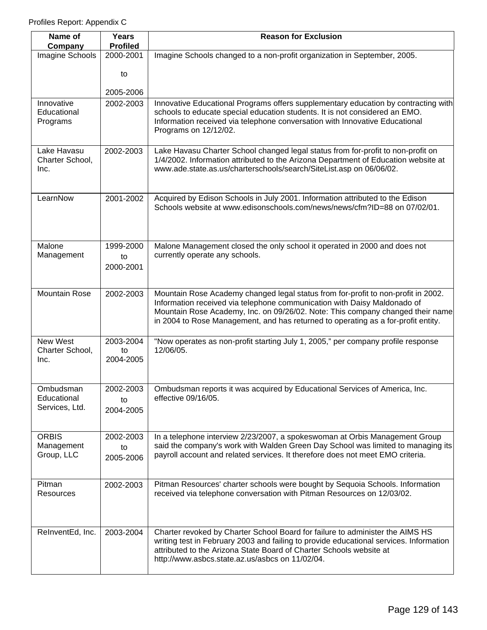| Name of<br>Company                         | Years<br><b>Profiled</b>     | <b>Reason for Exclusion</b>                                                                                                                                                                                                                                                                                                          |
|--------------------------------------------|------------------------------|--------------------------------------------------------------------------------------------------------------------------------------------------------------------------------------------------------------------------------------------------------------------------------------------------------------------------------------|
| Imagine Schools                            | 2000-2001                    | Imagine Schools changed to a non-profit organization in September, 2005.                                                                                                                                                                                                                                                             |
|                                            | to                           |                                                                                                                                                                                                                                                                                                                                      |
|                                            | 2005-2006                    |                                                                                                                                                                                                                                                                                                                                      |
| Innovative<br>Educational<br>Programs      | 2002-2003                    | Innovative Educational Programs offers supplementary education by contracting with<br>schools to educate special education students. It is not considered an EMO.<br>Information received via telephone conversation with Innovative Educational<br>Programs on 12/12/02.                                                            |
| Lake Havasu<br>Charter School,<br>Inc.     | 2002-2003                    | Lake Havasu Charter School changed legal status from for-profit to non-profit on<br>1/4/2002. Information attributed to the Arizona Department of Education website at<br>www.ade.state.as.us/charterschools/search/SiteList.asp on 06/06/02.                                                                                        |
| LearnNow                                   | 2001-2002                    | Acquired by Edison Schools in July 2001. Information attributed to the Edison<br>Schools website at www.edisonschools.com/news/news/cfm?ID=88 on 07/02/01.                                                                                                                                                                           |
| Malone<br>Management                       | 1999-2000<br>to<br>2000-2001 | Malone Management closed the only school it operated in 2000 and does not<br>currently operate any schools.                                                                                                                                                                                                                          |
| <b>Mountain Rose</b>                       | 2002-2003                    | Mountain Rose Academy changed legal status from for-profit to non-profit in 2002.<br>Information received via telephone communication with Daisy Maldonado of<br>Mountain Rose Academy, Inc. on 09/26/02. Note: This company changed their name<br>in 2004 to Rose Management, and has returned to operating as a for-profit entity. |
| New West<br>Charter School,<br>Inc.        | 2003-2004<br>to<br>2004-2005 | "Now operates as non-profit starting July 1, 2005," per company profile response<br>12/06/05.                                                                                                                                                                                                                                        |
| Ombudsman<br>Educational<br>Services, Ltd. | 2002-2003<br>to<br>2004-2005 | Ombudsman reports it was acquired by Educational Services of America, Inc.<br>effective 09/16/05.                                                                                                                                                                                                                                    |
| <b>ORBIS</b><br>Management<br>Group, LLC   | 2002-2003<br>to<br>2005-2006 | In a telephone interview 2/23/2007, a spokeswoman at Orbis Management Group<br>said the company's work with Walden Green Day School was limited to managing its<br>payroll account and related services. It therefore does not meet EMO criteria.                                                                                    |
| Pitman<br>Resources                        | 2002-2003                    | Pitman Resources' charter schools were bought by Sequoia Schools. Information<br>received via telephone conversation with Pitman Resources on 12/03/02.                                                                                                                                                                              |
| RelnventEd, Inc.                           | 2003-2004                    | Charter revoked by Charter School Board for failure to administer the AIMS HS<br>writing test in February 2003 and failing to provide educational services. Information<br>attributed to the Arizona State Board of Charter Schools website at<br>http://www.asbcs.state.az.us/asbcs on 11/02/04.                                    |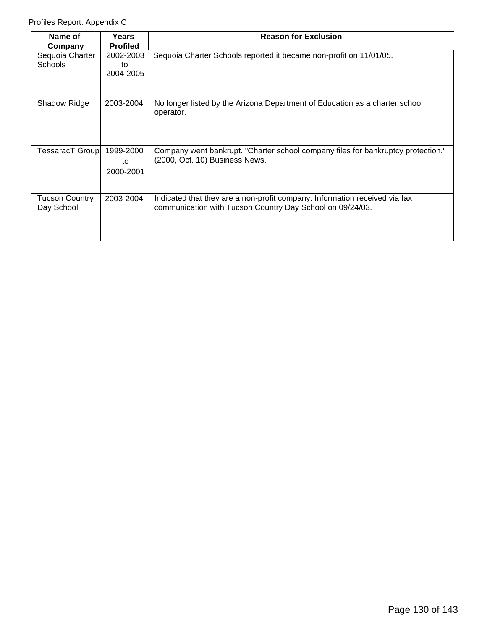| Name of<br>Company                  | Years<br><b>Profiled</b>     | <b>Reason for Exclusion</b>                                                                                                             |
|-------------------------------------|------------------------------|-----------------------------------------------------------------------------------------------------------------------------------------|
| Sequoia Charter<br><b>Schools</b>   | 2002-2003<br>to<br>2004-2005 | Sequoia Charter Schools reported it became non-profit on 11/01/05.                                                                      |
| Shadow Ridge                        | 2003-2004                    | No longer listed by the Arizona Department of Education as a charter school<br>operator.                                                |
| <b>TessaracT Group</b>              | 1999-2000<br>to<br>2000-2001 | Company went bankrupt. "Charter school company files for bankruptcy protection."<br>(2000, Oct. 10) Business News.                      |
| <b>Tucson Country</b><br>Day School | 2003-2004                    | Indicated that they are a non-profit company. Information received via fax<br>communication with Tucson Country Day School on 09/24/03. |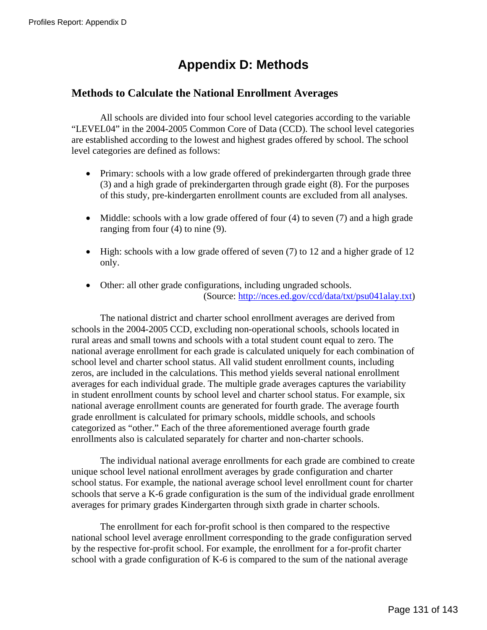# **Appendix D: Methods**

### **Methods to Calculate the National Enrollment Averages**

 All schools are divided into four school level categories according to the variable "LEVEL04" in the 2004-2005 Common Core of Data (CCD). The school level categories are established according to the lowest and highest grades offered by school. The school level categories are defined as follows:

- Primary: schools with a low grade offered of prekindergarten through grade three (3) and a high grade of prekindergarten through grade eight (8). For the purposes of this study, pre-kindergarten enrollment counts are excluded from all analyses.
- Middle: schools with a low grade offered of four (4) to seven (7) and a high grade ranging from four (4) to nine (9).
- High: schools with a low grade offered of seven (7) to 12 and a higher grade of 12 only.
- Other: all other grade configurations, including ungraded schools. (Source: [http://nces.ed.gov/ccd/data/txt/psu041alay.txt\)](http://nces.ed.gov/ccd/data/txt/psu041alay.txt)

 The national district and charter school enrollment averages are derived from schools in the 2004-2005 CCD, excluding non-operational schools, schools located in rural areas and small towns and schools with a total student count equal to zero. The national average enrollment for each grade is calculated uniquely for each combination of school level and charter school status. All valid student enrollment counts, including zeros, are included in the calculations. This method yields several national enrollment averages for each individual grade. The multiple grade averages captures the variability in student enrollment counts by school level and charter school status. For example, six national average enrollment counts are generated for fourth grade. The average fourth grade enrollment is calculated for primary schools, middle schools, and schools categorized as "other." Each of the three aforementioned average fourth grade enrollments also is calculated separately for charter and non-charter schools.

 The individual national average enrollments for each grade are combined to create unique school level national enrollment averages by grade configuration and charter school status. For example, the national average school level enrollment count for charter schools that serve a K-6 grade configuration is the sum of the individual grade enrollment averages for primary grades Kindergarten through sixth grade in charter schools.

 The enrollment for each for-profit school is then compared to the respective national school level average enrollment corresponding to the grade configuration served by the respective for-profit school. For example, the enrollment for a for-profit charter school with a grade configuration of K-6 is compared to the sum of the national average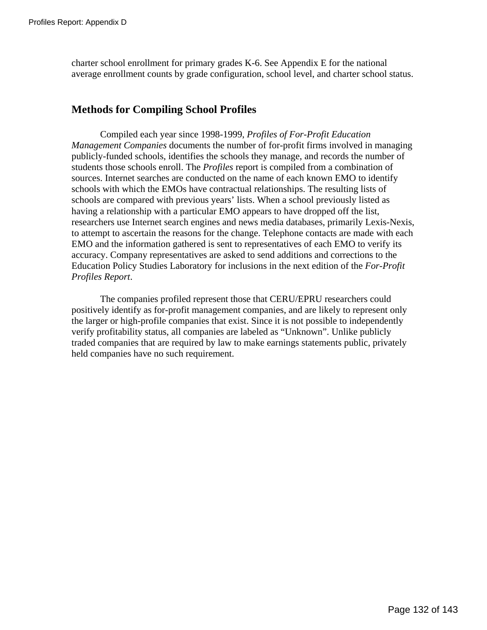charter school enrollment for primary grades K-6. See Appendix E for the national average enrollment counts by grade configuration, school level, and charter school status.

## **Methods for Compiling School Profiles**

Compiled each year since 1998-1999, *Profiles of For-Profit Education Management Companies* documents the number of for-profit firms involved in managing publicly-funded schools, identifies the schools they manage, and records the number of students those schools enroll. The *Profiles* report is compiled from a combination of sources. Internet searches are conducted on the name of each known EMO to identify schools with which the EMOs have contractual relationships. The resulting lists of schools are compared with previous years' lists. When a school previously listed as having a relationship with a particular EMO appears to have dropped off the list, researchers use Internet search engines and news media databases, primarily Lexis-Nexis, to attempt to ascertain the reasons for the change. Telephone contacts are made with each EMO and the information gathered is sent to representatives of each EMO to verify its accuracy. Company representatives are asked to send additions and corrections to the Education Policy Studies Laboratory for inclusions in the next edition of the *For-Profit Profiles Report*.

The companies profiled represent those that CERU/EPRU researchers could positively identify as for-profit management companies, and are likely to represent only the larger or high-profile companies that exist. Since it is not possible to independently verify profitability status, all companies are labeled as "Unknown". Unlike publicly traded companies that are required by law to make earnings statements public, privately held companies have no such requirement.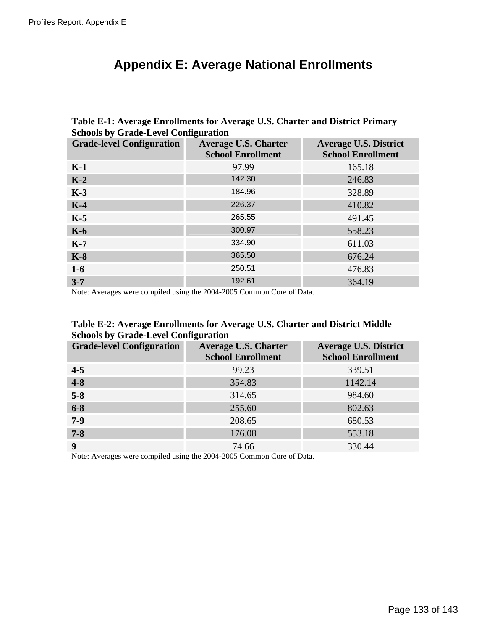# **Appendix E: Average National Enrollments**

| <b>Schools by Grade-Level Configuration</b> |                                                         |                                                          |  |  |  |  |  |
|---------------------------------------------|---------------------------------------------------------|----------------------------------------------------------|--|--|--|--|--|
| <b>Grade-level Configuration</b>            | <b>Average U.S. Charter</b><br><b>School Enrollment</b> | <b>Average U.S. District</b><br><b>School Enrollment</b> |  |  |  |  |  |
| $K-1$                                       | 97.99                                                   | 165.18                                                   |  |  |  |  |  |
| $K-2$                                       | 142.30                                                  | 246.83                                                   |  |  |  |  |  |
| $K-3$                                       | 184.96                                                  | 328.89                                                   |  |  |  |  |  |
| $K-4$                                       | 226.37                                                  | 410.82                                                   |  |  |  |  |  |
| $K-5$                                       | 265.55                                                  | 491.45                                                   |  |  |  |  |  |
| $K-6$                                       | 300.97                                                  | 558.23                                                   |  |  |  |  |  |
| $K-7$                                       | 334.90                                                  | 611.03                                                   |  |  |  |  |  |
| $K-8$                                       | 365.50                                                  | 676.24                                                   |  |  |  |  |  |
| $1-6$                                       | 250.51                                                  | 476.83                                                   |  |  |  |  |  |
| $3 - 7$                                     | 192.61                                                  | 364.19                                                   |  |  |  |  |  |

**Table E-1: Average Enrollments for Average U.S. Charter and District Primary Schools by Grade-Level Configuration** 

Note: Averages were compiled using the 2004-2005 Common Core of Data.

| Table E-2: Average Enrollments for Average U.S. Charter and District Middle |  |
|-----------------------------------------------------------------------------|--|
| <b>Schools by Grade-Level Configuration</b>                                 |  |

| <b>Grade-level Configuration</b> | ີ<br><b>Average U.S. Charter</b><br><b>School Enrollment</b> | <b>Average U.S. District</b><br><b>School Enrollment</b> |
|----------------------------------|--------------------------------------------------------------|----------------------------------------------------------|
| $4 - 5$                          | 99.23                                                        | 339.51                                                   |
| $4 - 8$                          | 354.83                                                       | 1142.14                                                  |
| $5 - 8$                          | 314.65                                                       | 984.60                                                   |
| $6 - 8$                          | 255.60                                                       | 802.63                                                   |
| $7-9$                            | 208.65                                                       | 680.53                                                   |
| $7 - 8$                          | 176.08                                                       | 553.18                                                   |
| 9                                | 74.66                                                        | 330.44                                                   |

Note: Averages were compiled using the 2004-2005 Common Core of Data.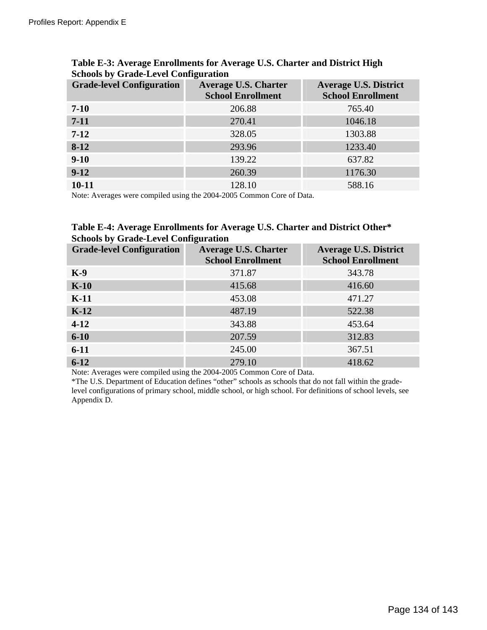| <b>Grade-level Configuration</b> | <b>Average U.S. Charter</b><br><b>School Enrollment</b> | Average U.S. District<br><b>School Enrollment</b> |
|----------------------------------|---------------------------------------------------------|---------------------------------------------------|
| $7 - 10$                         | 206.88                                                  | 765.40                                            |
| $7 - 11$                         | 270.41                                                  | 1046.18                                           |
| $7 - 12$                         | 328.05                                                  | 1303.88                                           |
| $8-12$                           | 293.96                                                  | 1233.40                                           |
| $9-10$                           | 139.22                                                  | 637.82                                            |
| $9-12$                           | 260.39                                                  | 1176.30                                           |
| $10 - 11$                        | 128.10                                                  | 588.16                                            |

### **Table E-3: Average Enrollments for Average U.S. Charter and District High Schools by Grade-Level Configuration**

Note: Averages were compiled using the 2004-2005 Common Core of Data.

### **Table E-4: Average Enrollments for Average U.S. Charter and District Other\* Schools by Grade-Level Configuration**

| <b>Grade-level Configuration</b> | <b>Average U.S. Charter</b><br><b>School Enrollment</b> | <b>Average U.S. District</b><br><b>School Enrollment</b> |
|----------------------------------|---------------------------------------------------------|----------------------------------------------------------|
| $K-9$                            | 371.87                                                  | 343.78                                                   |
| $K-10$                           | 415.68                                                  | 416.60                                                   |
| $K-11$                           | 453.08                                                  | 471.27                                                   |
| $K-12$                           | 487.19                                                  | 522.38                                                   |
| $4-12$                           | 343.88                                                  | 453.64                                                   |
| $6 - 10$                         | 207.59                                                  | 312.83                                                   |
| $6 - 11$                         | 245.00                                                  | 367.51                                                   |
| $6 - 12$                         | 279.10                                                  | 418.62                                                   |

Note: Averages were compiled using the 2004-2005 Common Core of Data.

\*The U.S. Department of Education defines "other" schools as schools that do not fall within the gradelevel configurations of primary school, middle school, or high school. For definitions of school levels, see Appendix D.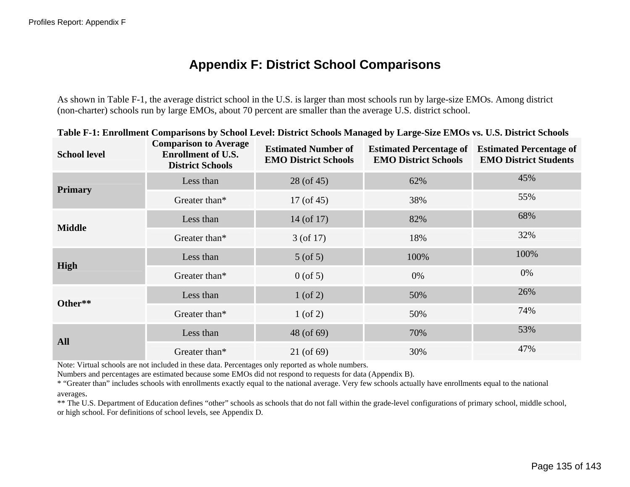# **Appendix F: District School Comparisons**

As shown in Table F-1, the average district school in the U.S. is larger than most schools run by large-size EMOs. Among district (non-charter) schools run by large EMOs, about 70 percent are smaller than the average U.S. district school.

| <b>School level</b> | <b>Comparison to Average</b><br><b>Enrollment of U.S.</b><br><b>District Schools</b> | <b>Estimated Number of</b><br><b>EMO District Schools</b> | <b>Estimated Percentage of</b><br><b>EMO District Schools</b> | <b>Estimated Percentage of</b><br><b>EMO District Students</b> |
|---------------------|--------------------------------------------------------------------------------------|-----------------------------------------------------------|---------------------------------------------------------------|----------------------------------------------------------------|
| <b>Primary</b>      | Less than                                                                            | 28 (of 45)                                                | 62%                                                           | 45%                                                            |
|                     | Greater than*                                                                        | $17($ of 45)                                              | 38%                                                           | 55%                                                            |
| <b>Middle</b>       | Less than                                                                            | $14$ (of 17)                                              | 82%                                                           | 68%                                                            |
|                     | Greater than*                                                                        | $3($ of 17 $)$                                            | 18%                                                           | 32%                                                            |
|                     | Less than                                                                            | $5($ of $5)$                                              | 100%                                                          | 100%                                                           |
| High                | Greater than*                                                                        | $0$ (of 5)                                                | 0%                                                            | 0%                                                             |
| Other**             | Less than                                                                            | $1$ (of 2)                                                | 50%                                                           | 26%                                                            |
|                     | Greater than*                                                                        | $1$ (of 2)                                                | 50%                                                           | 74%                                                            |
| <b>All</b>          | Less than                                                                            | 48 (of 69)                                                | 70%                                                           | 53%                                                            |
|                     | Greater than*                                                                        | 21 (of 69)                                                | 30%                                                           | 47%                                                            |

|  |  | Table F-1: Enrollment Comparisons by School Level: District Schools Managed by Large-Size EMOs vs. U.S. District Schools |  |  |  |  |  |  |  |  |  |
|--|--|--------------------------------------------------------------------------------------------------------------------------|--|--|--|--|--|--|--|--|--|
|  |  |                                                                                                                          |  |  |  |  |  |  |  |  |  |

Note: Virtual schools are not included in these data. Percentages only reported as whole numbers.

Numbers and percentages are estimated because some EMOs did not respond to requests for data (Appendix B).

\* "Greater than" includes schools with enrollments exactly equal to the national average. Very few schools actually have enroll ments equal to the national averages.

\*\* The U.S. Department of Education defines "other" schools as schools that do not fall within the grade-level configurations of primary school, middle school, or high school. For definitions of school levels, see Appendix D.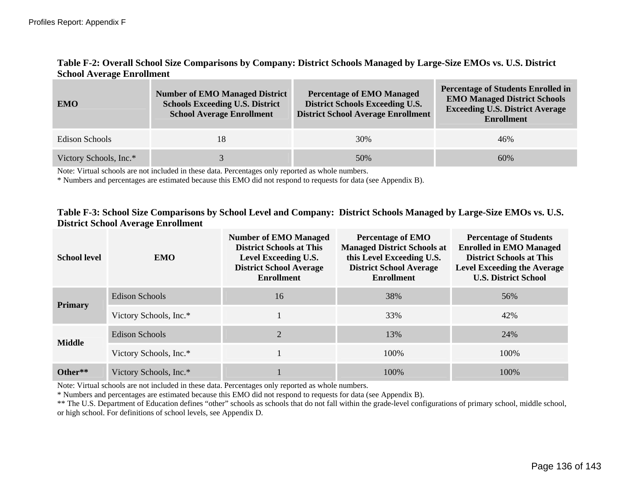### **Table F-2: Overall School Size Comparisons by Company: District Schools Managed by Large-Size EMOs vs. U.S. District School Average Enrollment**

| <b>EMO</b>             | <b>Number of EMO Managed District</b><br><b>Schools Exceeding U.S. District</b><br><b>School Average Enrollment</b> | <b>Percentage of EMO Managed</b><br><b>District Schools Exceeding U.S.</b><br><b>District School Average Enrollment</b> | <b>Percentage of Students Enrolled in</b><br><b>EMO Managed District Schools</b><br><b>Exceeding U.S. District Average</b><br><b>Enrollment</b> |
|------------------------|---------------------------------------------------------------------------------------------------------------------|-------------------------------------------------------------------------------------------------------------------------|-------------------------------------------------------------------------------------------------------------------------------------------------|
| Edison Schools         | 18                                                                                                                  | 30%                                                                                                                     | 46%                                                                                                                                             |
| Victory Schools, Inc.* |                                                                                                                     | 50%                                                                                                                     | 60%                                                                                                                                             |

Note: Virtual schools are not included in these data. Percentages only reported as whole numbers.

\* Numbers and percentages are estimated because this EMO did not respond to requests for data (see Appendix B).

#### **Table F-3: School Size Comparisons by School Level and Company: District Schools Managed by Large-Size EMOs vs. U.S. District School Average Enrollment**

| <b>School level</b> | <b>EMO</b>             | <b>Number of EMO Managed</b><br><b>District Schools at This</b><br>Level Exceeding U.S.<br><b>District School Average</b><br><b>Enrollment</b> | <b>Percentage of EMO</b><br><b>Managed District Schools at</b><br>this Level Exceeding U.S.<br><b>District School Average</b><br><b>Enrollment</b> | <b>Percentage of Students</b><br><b>Enrolled in EMO Managed</b><br><b>District Schools at This</b><br><b>Level Exceeding the Average</b><br><b>U.S. District School</b> |
|---------------------|------------------------|------------------------------------------------------------------------------------------------------------------------------------------------|----------------------------------------------------------------------------------------------------------------------------------------------------|-------------------------------------------------------------------------------------------------------------------------------------------------------------------------|
| <b>Primary</b>      | Edison Schools         | 16                                                                                                                                             | 38%                                                                                                                                                | 56%                                                                                                                                                                     |
|                     | Victory Schools, Inc.* |                                                                                                                                                | 33%                                                                                                                                                | 42%                                                                                                                                                                     |
| <b>Middle</b>       | Edison Schools         | $\overline{2}$                                                                                                                                 | 13%                                                                                                                                                | 24%                                                                                                                                                                     |
|                     | Victory Schools, Inc.* |                                                                                                                                                | 100\%                                                                                                                                              | 100\%                                                                                                                                                                   |
| Other**             | Victory Schools, Inc.* |                                                                                                                                                | 100\%                                                                                                                                              | 100\%                                                                                                                                                                   |

Note: Virtual schools are not included in these data. Percentages only reported as whole numbers.

\* Numbers and percentages are estimated because this EMO did not respond to requests for data (see Appendix B).

\*\* The U.S. Department of Education defines "other" schools as schools that do not fall within the grade-level configurations of primary school, middle school, or high school. For definitions of school levels, see Appendix D.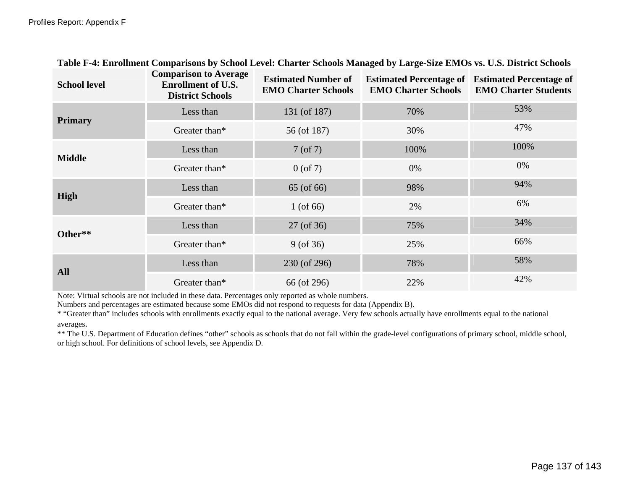| <b>School level</b> | <b>Comparison to Average</b><br><b>Enrollment of U.S.</b><br><b>District Schools</b> | <b>Estimated Number of</b><br><b>EMO Charter Schools</b> | <b>Estimated Percentage of</b><br><b>EMO Charter Schools</b> | <b>Estimated Percentage of</b><br><b>EMO Charter Students</b> |
|---------------------|--------------------------------------------------------------------------------------|----------------------------------------------------------|--------------------------------------------------------------|---------------------------------------------------------------|
| <b>Primary</b>      | Less than                                                                            | 131 (of 187)                                             | 70%                                                          | 53%                                                           |
|                     | Greater than*                                                                        | 56 (of 187)                                              | 30%                                                          | 47%                                                           |
|                     | Less than                                                                            | $7($ of $7)$                                             | 100%                                                         | 100%                                                          |
| <b>Middle</b>       | Greater than*                                                                        | $0$ (of 7)                                               | 0%                                                           | 0%                                                            |
|                     | Less than                                                                            | 65 (of 66)                                               | 98%                                                          | 94%                                                           |
| High                | Greater than*                                                                        | 1 (of $66$ )                                             | 2%                                                           | 6%                                                            |
| Other**             | Less than                                                                            | 27 (of 36)                                               | 75%                                                          | 34%                                                           |
|                     | Greater than*                                                                        | $9($ of 36)                                              | 25%                                                          | 66%                                                           |
| <b>All</b>          | Less than                                                                            | 230 (of 296)                                             | 78%                                                          | 58%                                                           |
|                     | Greater than*                                                                        | 66 (of 296)                                              | 22%                                                          | 42%                                                           |

## **Table F-4: Enrollment Comparisons by School Level: Charter Schools Managed by Large-Size EMOs vs. U.S. District Schools**

Note: Virtual schools are not included in these data. Percentages only reported as whole numbers.

Numbers and percentages are estimated because some EMOs did not respond to requests for data (Appendix B).

\* "Greater than" includes schools with enrollments exactly equal to the national average. Very few schools actually have enrollments equal to the national averages.

\*\* The U.S. Department of Education defines "other" schools as schools that do not fall within the grade-level configurations of primary school, middle school, or high school. For definitions of school levels, see Appendix D.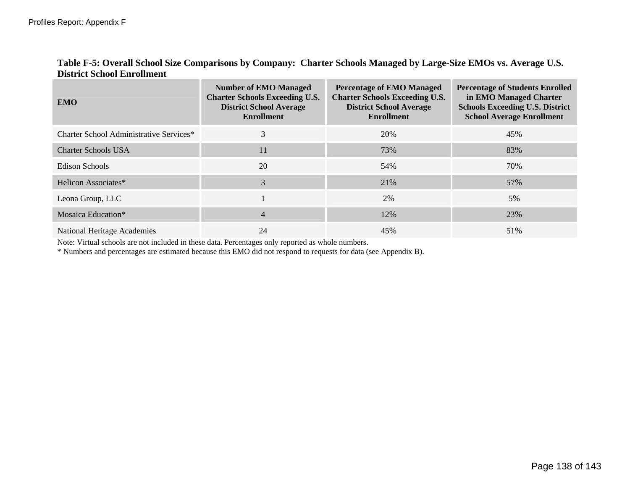|                                   | Table F-5: Overall School Size Comparisons by Company: Charter Schools Managed by Large-Size EMOs vs. Average U.S. |
|-----------------------------------|--------------------------------------------------------------------------------------------------------------------|
| <b>District School Enrollment</b> |                                                                                                                    |

| <b>EMO</b>                              | <b>Number of EMO Managed</b><br><b>Charter Schools Exceeding U.S.</b><br><b>District School Average</b><br><b>Enrollment</b> | <b>Percentage of EMO Managed</b><br><b>Charter Schools Exceeding U.S.</b><br><b>District School Average</b><br><b>Enrollment</b> | <b>Percentage of Students Enrolled</b><br>in EMO Managed Charter<br><b>Schools Exceeding U.S. District</b><br><b>School Average Enrollment</b> |
|-----------------------------------------|------------------------------------------------------------------------------------------------------------------------------|----------------------------------------------------------------------------------------------------------------------------------|------------------------------------------------------------------------------------------------------------------------------------------------|
| Charter School Administrative Services* | 3                                                                                                                            | 20%                                                                                                                              | 45%                                                                                                                                            |
| <b>Charter Schools USA</b>              | 11                                                                                                                           | 73%                                                                                                                              | 83%                                                                                                                                            |
| Edison Schools                          | 20                                                                                                                           | 54%                                                                                                                              | 70%                                                                                                                                            |
| Helicon Associates*                     | 3                                                                                                                            | 21%                                                                                                                              | 57%                                                                                                                                            |
| Leona Group, LLC                        |                                                                                                                              | 2%                                                                                                                               | 5%                                                                                                                                             |
| Mosaica Education*                      | 4                                                                                                                            | 12%                                                                                                                              | 23%                                                                                                                                            |
| <b>National Heritage Academies</b>      | 24                                                                                                                           | 45%                                                                                                                              | 51%                                                                                                                                            |

Note: Virtual schools are not included in these data. Percentages only reported as whole numbers.

\* Numbers and percentages are estimated because this EMO did not respond to requests for data (see Appendix B).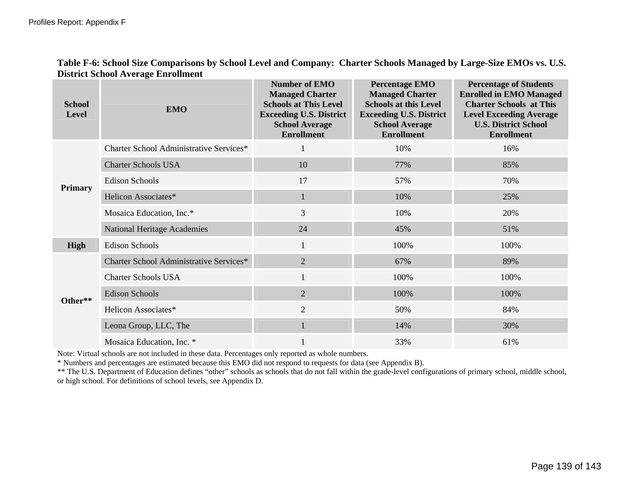| Table F-6: School Size Comparisons by School Level and Company: Charter Schools Managed by Large-Size EMOs vs. U.S. |  |
|---------------------------------------------------------------------------------------------------------------------|--|
| <b>District School Average Enrollment</b>                                                                           |  |

| <b>School</b><br><b>Level</b> | <b>EMO</b>                              | <b>Number of EMO</b><br><b>Managed Charter</b><br><b>Schools at This Level</b><br><b>Exceeding U.S. District</b><br><b>School Average</b><br><b>Enrollment</b> | <b>Percentage EMO</b><br><b>Managed Charter</b><br><b>Schools at this Level</b><br><b>Exceeding U.S. District</b><br><b>School Average</b><br><b>Enrollment</b> | <b>Percentage of Students</b><br><b>Enrolled in EMO Managed</b><br><b>Charter Schools at This</b><br><b>Level Exceeding Average</b><br><b>U.S. District School</b><br><b>Enrollment</b> |
|-------------------------------|-----------------------------------------|----------------------------------------------------------------------------------------------------------------------------------------------------------------|-----------------------------------------------------------------------------------------------------------------------------------------------------------------|-----------------------------------------------------------------------------------------------------------------------------------------------------------------------------------------|
|                               | Charter School Administrative Services* |                                                                                                                                                                | 10%                                                                                                                                                             | 16%                                                                                                                                                                                     |
|                               | <b>Charter Schools USA</b>              | 10                                                                                                                                                             | 77%                                                                                                                                                             | 85%                                                                                                                                                                                     |
|                               | <b>Edison Schools</b>                   | 17                                                                                                                                                             | 57%                                                                                                                                                             | 70%                                                                                                                                                                                     |
| <b>Primary</b>                | Helicon Associates*                     | $\mathbf{1}$                                                                                                                                                   | 10%                                                                                                                                                             | 25%                                                                                                                                                                                     |
|                               | Mosaica Education, Inc.*                | 3                                                                                                                                                              | 10%                                                                                                                                                             | 20%                                                                                                                                                                                     |
|                               | <b>National Heritage Academies</b>      | 24                                                                                                                                                             | 45%                                                                                                                                                             | 51%                                                                                                                                                                                     |
| <b>High</b>                   | <b>Edison Schools</b>                   | $\mathbf{1}$                                                                                                                                                   | 100%                                                                                                                                                            | 100%                                                                                                                                                                                    |
|                               | Charter School Administrative Services* | $\overline{2}$                                                                                                                                                 | 67%                                                                                                                                                             | 89%                                                                                                                                                                                     |
|                               | <b>Charter Schools USA</b>              | $\mathbf{1}$                                                                                                                                                   | 100%                                                                                                                                                            | 100%                                                                                                                                                                                    |
| Other**                       | <b>Edison Schools</b>                   | $\overline{2}$                                                                                                                                                 | 100%                                                                                                                                                            | 100%                                                                                                                                                                                    |
|                               | Helicon Associates*                     | $\overline{2}$                                                                                                                                                 | 50%                                                                                                                                                             | 84%                                                                                                                                                                                     |
|                               | Leona Group, LLC, The                   |                                                                                                                                                                | 14%                                                                                                                                                             | 30%                                                                                                                                                                                     |
|                               | Mosaica Education, Inc. *               |                                                                                                                                                                | 33%                                                                                                                                                             | 61%                                                                                                                                                                                     |

Note: Virtual schools are not included in these data. Percentages only reported as whole numbers.

\* Numbers and percentages are estimated because this EMO did not respond to requests for data (see Appendix B).

\*\* The U.S. Department of Education defines "other" schools as schools that do not fall within the grade-level configurations of primary school, middle school, or high school. For definitions of school levels, see Appendix D.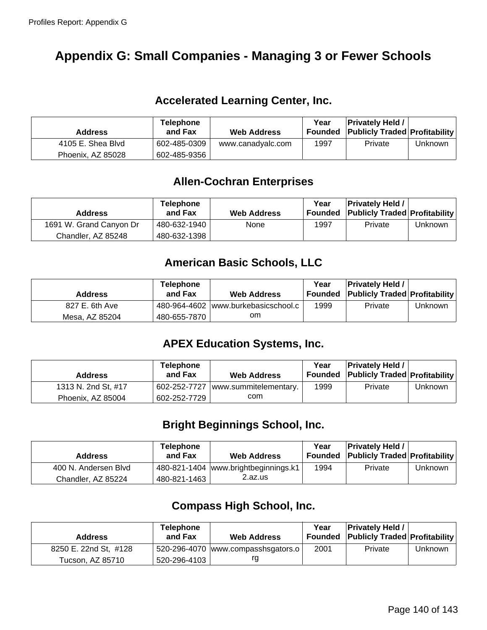# **Appendix G: Small Companies - Managing 3 or Fewer Schools**

## **Accelerated Learning Center, Inc.**

| <b>Address</b>    | <b>Telephone</b><br>and Fax | <b>Web Address</b> | Year<br>Founded | <b>Privately Held /</b><br><b>Publicly Traded Profitability</b> |         |
|-------------------|-----------------------------|--------------------|-----------------|-----------------------------------------------------------------|---------|
| 4105 E. Shea Blyd | 602-485-0309                | www.canadyalc.com  | 1997            | Private                                                         | Unknown |
| Phoenix, AZ 85028 | 602-485-9356                |                    |                 |                                                                 |         |

## **Allen-Cochran Enterprises**

| <b>Address</b>          | <b>Telephone</b><br>and Fax | <b>Web Address</b> | Year | <b>Privately Held /</b><br><b>Founded Publicly Traded Profitability</b> |         |
|-------------------------|-----------------------------|--------------------|------|-------------------------------------------------------------------------|---------|
| 1691 W. Grand Canyon Dr | 480-632-1940                | None               | 1997 | Private                                                                 | Unknown |
| Chandler, AZ 85248      | 480-632-1398                |                    |      |                                                                         |         |

## **American Basic Schools, LLC**

| <b>Address</b> | <b>Telephone</b><br>and Fax | <b>Web Address</b>                  | Year | <b>Privately Held /</b><br>Founded Publicly Traded Profitability |         |
|----------------|-----------------------------|-------------------------------------|------|------------------------------------------------------------------|---------|
| 827 E. 6th Ave |                             | 480-964-4602 www.burkebasicschool.c | 1999 | Private                                                          | Unknown |
| Mesa. AZ 85204 | 480-655-7870                | om                                  |      |                                                                  |         |

# **APEX Education Systems, Inc.**

| <b>Address</b>      | <b>Telephone</b><br>and Fax | <b>Web Address</b>    | Year | <b>Privately Held /</b><br>Founded Publicly Traded Profitability |         |
|---------------------|-----------------------------|-----------------------|------|------------------------------------------------------------------|---------|
| 1313 N. 2nd St, #17 | 602-252-7727                | www.summitelementary. | 1999 | Private                                                          | Unknown |
| Phoenix, AZ 85004   | 602-252-7729                | com                   |      |                                                                  |         |

## **Bright Beginnings School, Inc.**

| <b>Address</b>       | <b>Telephone</b><br>and Fax | <b>Web Address</b>                   | Year | <b>Privately Held /</b><br><b>Founded Publicly Traded Profitability</b> |         |
|----------------------|-----------------------------|--------------------------------------|------|-------------------------------------------------------------------------|---------|
| 400 N. Andersen Blvd |                             | 480-821-1404 www.brightbeginnings.k1 | 1994 | Private                                                                 | Unknown |
| Chandler, AZ 85224   | 480-821-1463                | 2.az.us                              |      |                                                                         |         |

## **Compass High School, Inc.**

| <b>Address</b>        | <b>Telephone</b><br>and Fax | <b>Web Address</b>                 | Year<br>Founded | <b>Privately Held /</b><br><b>Publicly Traded Profitability</b> |                |
|-----------------------|-----------------------------|------------------------------------|-----------------|-----------------------------------------------------------------|----------------|
| 8250 E. 22nd St, #128 |                             | 520-296-4070 www.compasshsgators.o | 2001            | Private                                                         | <b>Unknown</b> |
| Tucson, AZ 85710      | 520-296-4103                | rg                                 |                 |                                                                 |                |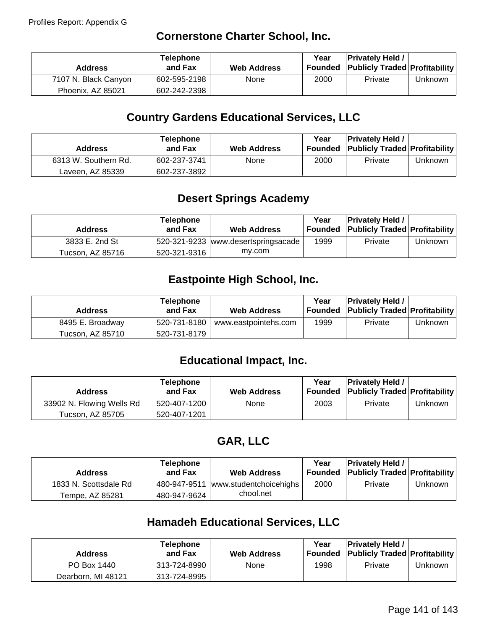## **Cornerstone Charter School, Inc.**

| <b>Address</b>       | <b>Telephone</b><br>and Fax | <b>Web Address</b> | Year | <b>Privately Held /</b><br>Founded Publicly Traded Profitability |         |
|----------------------|-----------------------------|--------------------|------|------------------------------------------------------------------|---------|
| 7107 N. Black Canyon | 602-595-2198                | None               | 2000 | Private                                                          | Unknown |
| Phoenix, AZ 85021    | 602-242-2398                |                    |      |                                                                  |         |

## **Country Gardens Educational Services, LLC**

| <b>Address</b>       | <b>Telephone</b><br>and Fax | <b>Web Address</b> | Year | <b>Privately Held /</b><br>Founded Publicly Traded Profitability |         |
|----------------------|-----------------------------|--------------------|------|------------------------------------------------------------------|---------|
| 6313 W. Southern Rd. | 602-237-3741                | None               | 2000 | Private                                                          | Unknown |
| Laveen, AZ 85339     | 602-237-3892                |                    |      |                                                                  |         |

# **Desert Springs Academy**

| <b>Address</b>   | <b>Telephone</b><br>and Fax | <b>Web Address</b>                  | Year<br>Founded | <b>Privately Held /</b><br><b>Publicly Traded Profitability</b> |         |
|------------------|-----------------------------|-------------------------------------|-----------------|-----------------------------------------------------------------|---------|
| 3833 E. 2nd St   |                             | 520-321-9233 www.desertspringsacade | 1999            | Private                                                         | Unknown |
| Tucson, AZ 85716 | 520-321-9316                | my.com                              |                 |                                                                 |         |

## **Eastpointe High School, Inc.**

| <b>Address</b>   | <b>Telephone</b><br>and Fax | <b>Web Address</b>                  | Year | <b>Privately Held /</b><br>Founded Publicly Traded Profitability |         |
|------------------|-----------------------------|-------------------------------------|------|------------------------------------------------------------------|---------|
| 8495 E. Broadway |                             | 520-731-8180   www.eastpointehs.com | 1999 | Private                                                          | Unknown |
| Tucson, AZ 85710 | 520-731-8179                |                                     |      |                                                                  |         |

# **Educational Impact, Inc.**

| <b>Address</b>            | <b>Telephone</b><br>and Fax | <b>Web Address</b> | Year<br>Founded | <b>Privately Held /</b><br><b>Publicly Traded Profitability</b> |         |
|---------------------------|-----------------------------|--------------------|-----------------|-----------------------------------------------------------------|---------|
| 33902 N. Flowing Wells Rd | 520-407-1200                | None               | 2003            | Private                                                         | Unknown |
| Tucson, AZ 85705          | 520-407-1201                |                    |                 |                                                                 |         |

## **GAR, LLC**

| <b>Address</b>        | <b>Telephone</b><br>and Fax | <b>Web Address</b>     | Year | <b>Privately Held /</b><br>Founded Publicly Traded Profitability |         |
|-----------------------|-----------------------------|------------------------|------|------------------------------------------------------------------|---------|
| 1833 N. Scottsdale Rd | 480-947-9511                | www.studentchoicehighs | 2000 | Private                                                          | Unknown |
| Tempe, AZ 85281       | 480-947-9624                | chool.net              |      |                                                                  |         |

# **Hamadeh Educational Services, LLC**

| <b>Address</b>     | <b>Telephone</b><br>and Fax | <b>Web Address</b> | Year<br>Founded | <b>Privately Held /</b><br><b>Publicly Traded Profitability</b> |         |
|--------------------|-----------------------------|--------------------|-----------------|-----------------------------------------------------------------|---------|
| PO Box 1440        | ∣313-724-8990 I             | None               | 1998            | Private                                                         | Unknown |
| Dearborn, MI 48121 | 313-724-8995                |                    |                 |                                                                 |         |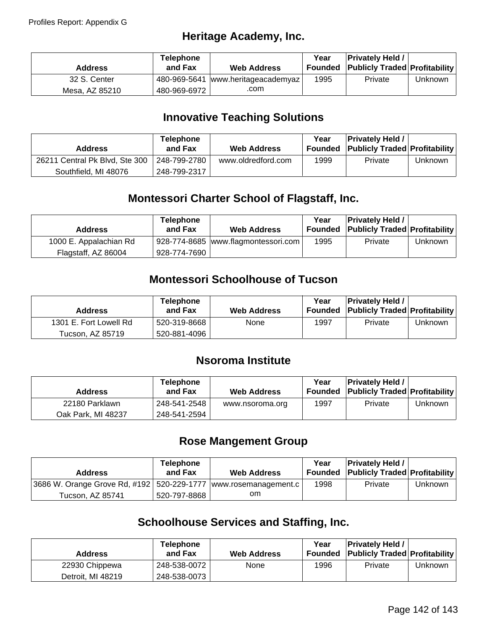## **Heritage Academy, Inc.**

| <b>Address</b> | <b>Telephone</b><br>and Fax | <b>Web Address</b>                 | Year<br>Founded | <b>Privately Held /</b><br><b>Publicly Traded Profitability</b> |         |
|----------------|-----------------------------|------------------------------------|-----------------|-----------------------------------------------------------------|---------|
| 32 S. Center   |                             | 480-969-5641 www.heritageacademyaz | 1995            | Private                                                         | Unknown |
| Mesa, AZ 85210 | 480-969-6972                | .com                               |                 |                                                                 |         |

## **Innovative Teaching Solutions**

| <b>Address</b>                 | <b>Telephone</b><br>and Fax | <b>Web Address</b> | Year<br>Founded | <b>Privately Held /</b><br><b>Publicly Traded Profitability</b> |         |
|--------------------------------|-----------------------------|--------------------|-----------------|-----------------------------------------------------------------|---------|
| 26211 Central Pk Blvd, Ste 300 | 248-799-2780                | www.oldredford.com | 1999            | Private                                                         | Unknown |
| Southfield, MI 48076           | 248-799-2317                |                    |                 |                                                                 |         |

# **Montessori Charter School of Flagstaff, Inc.**

| <b>Address</b>         | <b>Telephone</b><br>and Fax | <b>Web Address</b>                  | Year | <b>Privately Held /</b><br>Founded Publicly Traded Profitability |         |
|------------------------|-----------------------------|-------------------------------------|------|------------------------------------------------------------------|---------|
| 1000 E. Appalachian Rd |                             | 928-774-8685 www.flagmontessori.com | 1995 | Private                                                          | Unknown |
| Flagstaff, AZ 86004    | 928-774-7690                |                                     |      |                                                                  |         |

## **Montessori Schoolhouse of Tucson**

| <b>Address</b>         | <b>Telephone</b><br>and Fax | <b>Web Address</b> | Year | <b>Privately Held /</b><br><b>Founded Publicly Traded Profitability</b> |         |
|------------------------|-----------------------------|--------------------|------|-------------------------------------------------------------------------|---------|
| 1301 E. Fort Lowell Rd | 520-319-8668                | None               | 1997 | Private                                                                 | Unknown |
| Tucson, AZ 85719       | 520-881-4096                |                    |      |                                                                         |         |

## **Nsoroma Institute**

| <b>Address</b>     | Telephone<br>and Fax | <b>Web Address</b> | Year | <b>Privately Held /</b><br><b>Founded Publicly Traded Profitability</b> |         |
|--------------------|----------------------|--------------------|------|-------------------------------------------------------------------------|---------|
| 22180 Parklawn     | 248-541-2548         | www.nsoroma.org    | 1997 | Private                                                                 | Unknown |
| Oak Park. MI 48237 | 248-541-2594         |                    |      |                                                                         |         |

## **Rose Mangement Group**

| <b>Address</b>                                                      | <b>Telephone</b><br>and Fax | <b>Web Address</b> | Year<br>Founded | <b>Privately Held /</b><br><b>Publicly Traded Profitability</b> |         |
|---------------------------------------------------------------------|-----------------------------|--------------------|-----------------|-----------------------------------------------------------------|---------|
| 3686 W. Orange Grove Rd, #192   520-229-1777   www.rosemanagement.c |                             |                    | 1998            | Private                                                         | Unknown |
| Tucson. AZ 85741                                                    | 520-797-8868                | om                 |                 |                                                                 |         |

# **Schoolhouse Services and Staffing, Inc.**

| <b>Address</b>    | <b>Telephone</b><br>and Fax | <b>Web Address</b> | Year<br>Founded | <b>Privately Held /</b><br><b>Publicly Traded Profitability</b> |         |
|-------------------|-----------------------------|--------------------|-----------------|-----------------------------------------------------------------|---------|
| 22930 Chippewa    | 248-538-0072                | None               | 1996            | Private                                                         | Unknown |
| Detroit. MI 48219 | 248-538-0073                |                    |                 |                                                                 |         |